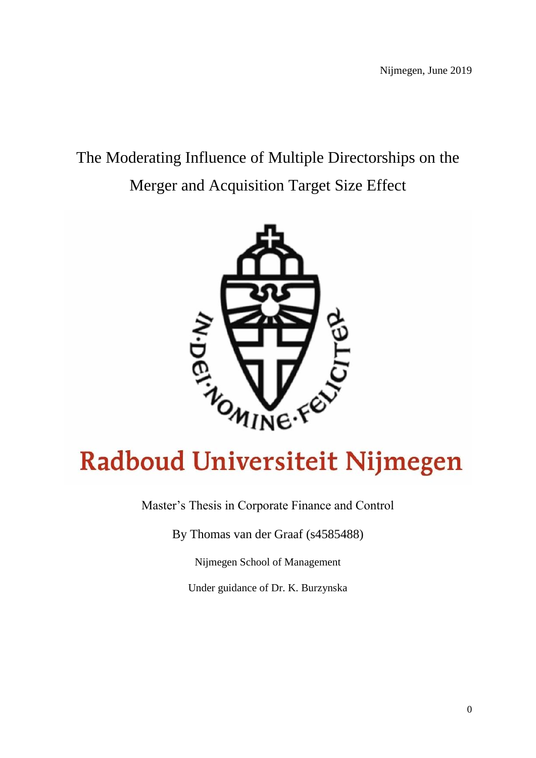# The Moderating Influence of Multiple Directorships on the Merger and Acquisition Target Size Effect



# **Radboud Universiteit Nijmegen**

Master's Thesis in Corporate Finance and Control

By Thomas van der Graaf (s4585488)

Nijmegen School of Management

Under guidance of Dr. K. Burzynska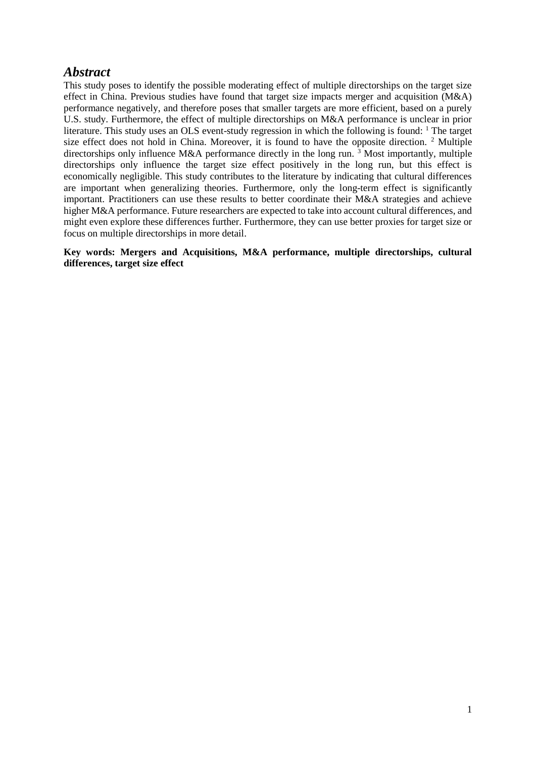# <span id="page-1-0"></span>*Abstract*

This study poses to identify the possible moderating effect of multiple directorships on the target size effect in China. Previous studies have found that target size impacts merger and acquisition (M&A) performance negatively, and therefore poses that smaller targets are more efficient, based on a purely U.S. study. Furthermore, the effect of multiple directorships on M&A performance is unclear in prior literature. This study uses an OLS event-study regression in which the following is found: <sup>1</sup> The target size effect does not hold in China. Moreover, it is found to have the opposite direction.  $2$  Multiple directorships only influence M&A performance directly in the long run.<sup>3</sup> Most importantly, multiple directorships only influence the target size effect positively in the long run, but this effect is economically negligible. This study contributes to the literature by indicating that cultural differences are important when generalizing theories. Furthermore, only the long-term effect is significantly important. Practitioners can use these results to better coordinate their M&A strategies and achieve higher M&A performance. Future researchers are expected to take into account cultural differences, and might even explore these differences further. Furthermore, they can use better proxies for target size or focus on multiple directorships in more detail.

**Key words: Mergers and Acquisitions, M&A performance, multiple directorships, cultural differences, target size effect**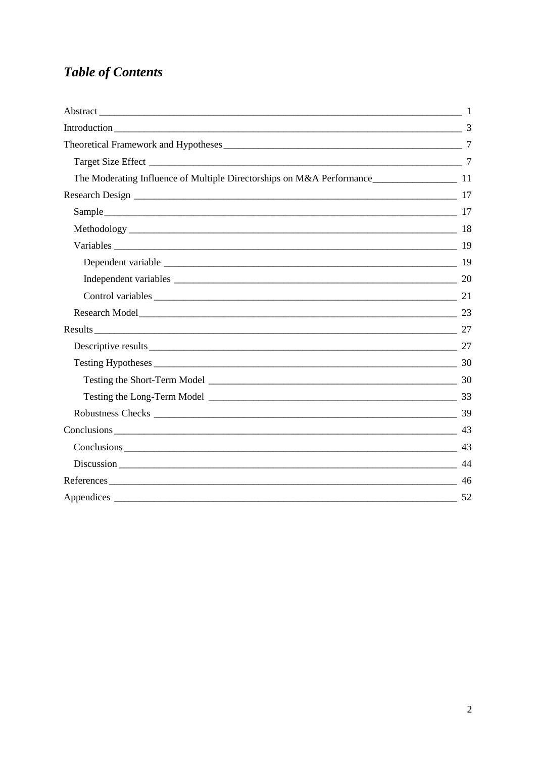# **Table of Contents**

| Introduction 3         |  |
|------------------------|--|
|                        |  |
|                        |  |
|                        |  |
|                        |  |
|                        |  |
|                        |  |
|                        |  |
|                        |  |
|                        |  |
| Control variables 21   |  |
| Research Model 23      |  |
|                        |  |
| Descriptive results 27 |  |
|                        |  |
|                        |  |
|                        |  |
|                        |  |
| $Conclusions$ 43       |  |
| $Conclusions$ 43       |  |
|                        |  |
|                        |  |
|                        |  |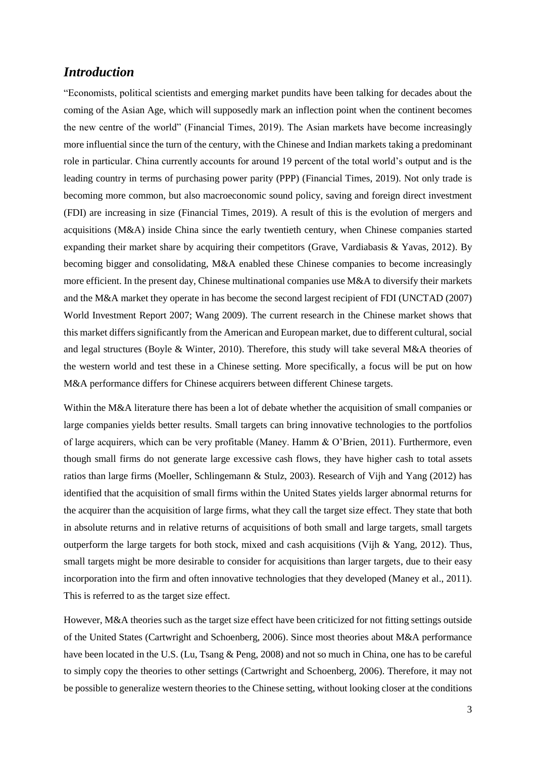# <span id="page-3-0"></span>*Introduction*

"Economists, political scientists and emerging market pundits have been talking for decades about the coming of the Asian Age, which will supposedly mark an inflection point when the continent becomes the new centre of the world" (Financial Times, 2019). The Asian markets have become increasingly more influential since the turn of the century, with the Chinese and Indian markets taking a predominant role in particular. China currently accounts for around 19 percent of the total world's output and is the leading country in terms of purchasing power parity (PPP) (Financial Times, 2019). Not only trade is becoming more common, but also macroeconomic sound policy, saving and foreign direct investment (FDI) are increasing in size (Financial Times, 2019). A result of this is the evolution of mergers and acquisitions (M&A) inside China since the early twentieth century, when Chinese companies started expanding their market share by acquiring their competitors (Grave, Vardiabasis & Yavas, 2012). By becoming bigger and consolidating, M&A enabled these Chinese companies to become increasingly more efficient. In the present day, Chinese multinational companies use M&A to diversify their markets and the M&A market they operate in has become the second largest recipient of FDI (UNCTAD (2007) World Investment Report 2007; Wang 2009). The current research in the Chinese market shows that this market differs significantly from the American and European market, due to different cultural, social and legal structures (Boyle & Winter, 2010). Therefore, this study will take several M&A theories of the western world and test these in a Chinese setting. More specifically, a focus will be put on how M&A performance differs for Chinese acquirers between different Chinese targets.

Within the M&A literature there has been a lot of debate whether the acquisition of small companies or large companies yields better results. Small targets can bring innovative technologies to the portfolios of large acquirers, which can be very profitable (Maney. Hamm & O'Brien, 2011). Furthermore, even though small firms do not generate large excessive cash flows, they have higher cash to total assets ratios than large firms (Moeller, Schlingemann & Stulz, 2003). Research of Vijh and Yang (2012) has identified that the acquisition of small firms within the United States yields larger abnormal returns for the acquirer than the acquisition of large firms, what they call the target size effect. They state that both in absolute returns and in relative returns of acquisitions of both small and large targets, small targets outperform the large targets for both stock, mixed and cash acquisitions (Vijh  $\&$  Yang, 2012). Thus, small targets might be more desirable to consider for acquisitions than larger targets, due to their easy incorporation into the firm and often innovative technologies that they developed (Maney et al., 2011). This is referred to as the target size effect.

However, M&A theories such as the target size effect have been criticized for not fitting settings outside of the United States (Cartwright and Schoenberg, 2006). Since most theories about M&A performance have been located in the U.S. (Lu, Tsang & Peng, 2008) and not so much in China, one has to be careful to simply copy the theories to other settings (Cartwright and Schoenberg, 2006). Therefore, it may not be possible to generalize western theories to the Chinese setting, without looking closer at the conditions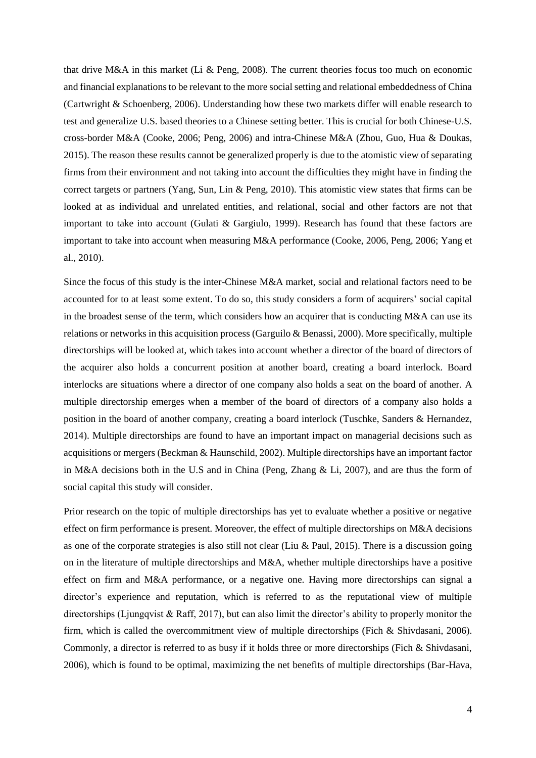that drive M&A in this market (Li & Peng, 2008). The current theories focus too much on economic and financial explanations to be relevant to the more social setting and relational embeddedness of China (Cartwright & Schoenberg, 2006). Understanding how these two markets differ will enable research to test and generalize U.S. based theories to a Chinese setting better. This is crucial for both Chinese-U.S. cross-border M&A (Cooke, 2006; Peng, 2006) and intra-Chinese M&A (Zhou, Guo, Hua & Doukas, 2015). The reason these results cannot be generalized properly is due to the atomistic view of separating firms from their environment and not taking into account the difficulties they might have in finding the correct targets or partners (Yang, Sun, Lin & Peng, 2010). This atomistic view states that firms can be looked at as individual and unrelated entities, and relational, social and other factors are not that important to take into account (Gulati & Gargiulo, 1999). Research has found that these factors are important to take into account when measuring M&A performance (Cooke, 2006, Peng, 2006; Yang et al., 2010).

Since the focus of this study is the inter-Chinese M&A market, social and relational factors need to be accounted for to at least some extent. To do so, this study considers a form of acquirers' social capital in the broadest sense of the term, which considers how an acquirer that is conducting M&A can use its relations or networks in this acquisition process (Garguilo & Benassi, 2000). More specifically, multiple directorships will be looked at, which takes into account whether a director of the board of directors of the acquirer also holds a concurrent position at another board, creating a board interlock. Board interlocks are situations where a director of one company also holds a seat on the board of another. A multiple directorship emerges when a member of the board of directors of a company also holds a position in the board of another company, creating a board interlock (Tuschke, Sanders & Hernandez, 2014). Multiple directorships are found to have an important impact on managerial decisions such as acquisitions or mergers (Beckman & Haunschild, 2002). Multiple directorships have an important factor in M&A decisions both in the U.S and in China (Peng, Zhang & Li, 2007), and are thus the form of social capital this study will consider.

Prior research on the topic of multiple directorships has yet to evaluate whether a positive or negative effect on firm performance is present. Moreover, the effect of multiple directorships on M&A decisions as one of the corporate strategies is also still not clear (Liu & Paul, 2015). There is a discussion going on in the literature of multiple directorships and M&A, whether multiple directorships have a positive effect on firm and M&A performance, or a negative one. Having more directorships can signal a director's experience and reputation, which is referred to as the reputational view of multiple directorships (Ljungqvist & Raff, 2017), but can also limit the director's ability to properly monitor the firm, which is called the overcommitment view of multiple directorships (Fich & Shivdasani, 2006). Commonly, a director is referred to as busy if it holds three or more directorships (Fich & Shivdasani, 2006), which is found to be optimal, maximizing the net benefits of multiple directorships (Bar-Hava,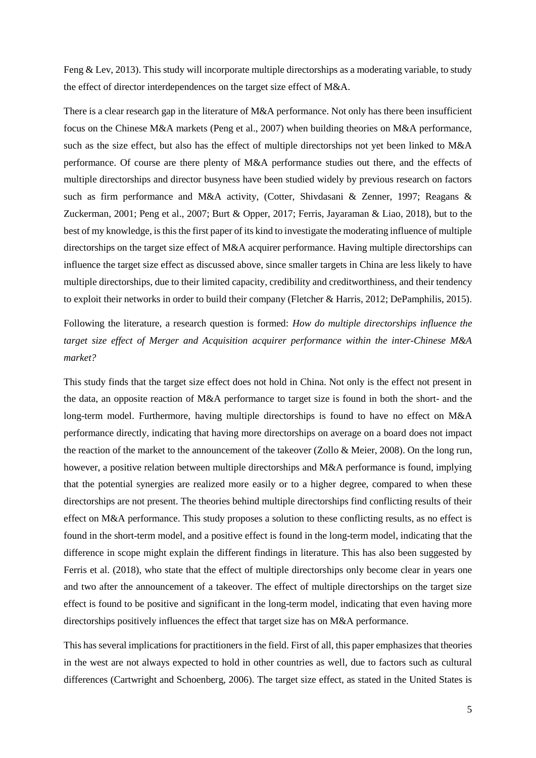Feng & Lev, 2013). This study will incorporate multiple directorships as a moderating variable, to study the effect of director interdependences on the target size effect of M&A.

There is a clear research gap in the literature of M&A performance. Not only has there been insufficient focus on the Chinese M&A markets (Peng et al., 2007) when building theories on M&A performance, such as the size effect, but also has the effect of multiple directorships not yet been linked to M&A performance. Of course are there plenty of M&A performance studies out there, and the effects of multiple directorships and director busyness have been studied widely by previous research on factors such as firm performance and M&A activity, (Cotter, Shivdasani & Zenner, 1997; Reagans & Zuckerman, 2001; Peng et al., 2007; Burt & Opper, 2017; Ferris, Jayaraman & Liao, 2018), but to the best of my knowledge, is this the first paper of its kind to investigate the moderating influence of multiple directorships on the target size effect of M&A acquirer performance. Having multiple directorships can influence the target size effect as discussed above, since smaller targets in China are less likely to have multiple directorships, due to their limited capacity, credibility and creditworthiness, and their tendency to exploit their networks in order to build their company (Fletcher & Harris, 2012; DePamphilis, 2015).

Following the literature, a research question is formed: *How do multiple directorships influence the target size effect of Merger and Acquisition acquirer performance within the inter-Chinese M&A market?*

This study finds that the target size effect does not hold in China. Not only is the effect not present in the data, an opposite reaction of M&A performance to target size is found in both the short- and the long-term model. Furthermore, having multiple directorships is found to have no effect on M&A performance directly, indicating that having more directorships on average on a board does not impact the reaction of the market to the announcement of the takeover (Zollo & Meier, 2008). On the long run, however, a positive relation between multiple directorships and M&A performance is found, implying that the potential synergies are realized more easily or to a higher degree, compared to when these directorships are not present. The theories behind multiple directorships find conflicting results of their effect on M&A performance. This study proposes a solution to these conflicting results, as no effect is found in the short-term model, and a positive effect is found in the long-term model, indicating that the difference in scope might explain the different findings in literature. This has also been suggested by Ferris et al. (2018), who state that the effect of multiple directorships only become clear in years one and two after the announcement of a takeover. The effect of multiple directorships on the target size effect is found to be positive and significant in the long-term model, indicating that even having more directorships positively influences the effect that target size has on M&A performance.

This has several implications for practitioners in the field. First of all, this paper emphasizes that theories in the west are not always expected to hold in other countries as well, due to factors such as cultural differences (Cartwright and Schoenberg, 2006). The target size effect, as stated in the United States is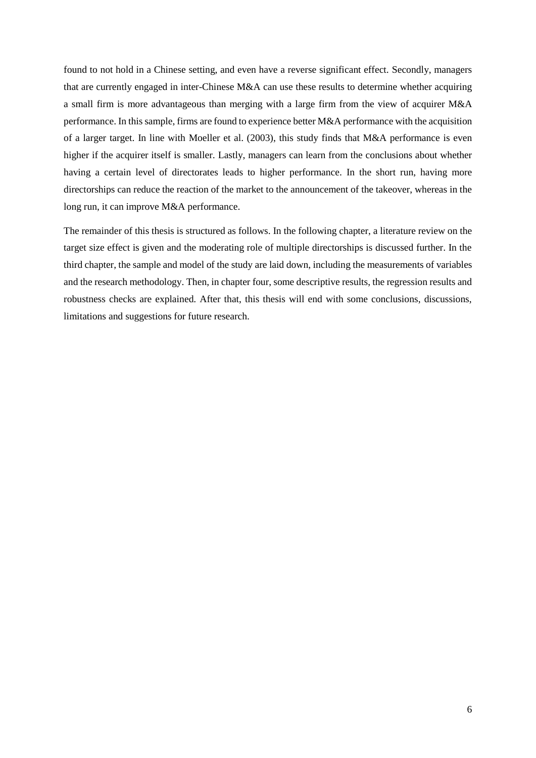found to not hold in a Chinese setting, and even have a reverse significant effect. Secondly, managers that are currently engaged in inter-Chinese M&A can use these results to determine whether acquiring a small firm is more advantageous than merging with a large firm from the view of acquirer M&A performance. In this sample, firms are found to experience better M&A performance with the acquisition of a larger target. In line with Moeller et al. (2003), this study finds that M&A performance is even higher if the acquirer itself is smaller. Lastly, managers can learn from the conclusions about whether having a certain level of directorates leads to higher performance. In the short run, having more directorships can reduce the reaction of the market to the announcement of the takeover, whereas in the long run, it can improve M&A performance.

The remainder of this thesis is structured as follows. In the following chapter, a literature review on the target size effect is given and the moderating role of multiple directorships is discussed further. In the third chapter, the sample and model of the study are laid down, including the measurements of variables and the research methodology. Then, in chapter four, some descriptive results, the regression results and robustness checks are explained. After that, this thesis will end with some conclusions, discussions, limitations and suggestions for future research.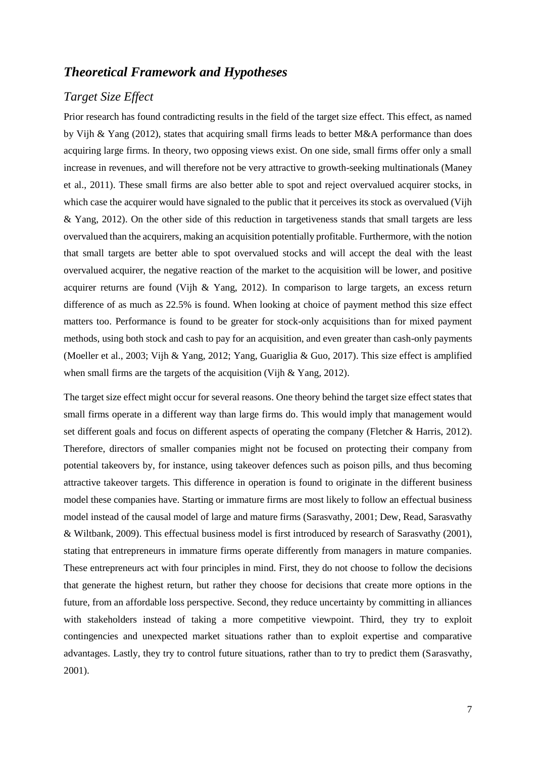# <span id="page-7-0"></span>*Theoretical Framework and Hypotheses*

# <span id="page-7-1"></span>*Target Size Effect*

Prior research has found contradicting results in the field of the target size effect. This effect, as named by Vijh & Yang (2012), states that acquiring small firms leads to better M&A performance than does acquiring large firms. In theory, two opposing views exist. On one side, small firms offer only a small increase in revenues, and will therefore not be very attractive to growth-seeking multinationals (Maney et al., 2011). These small firms are also better able to spot and reject overvalued acquirer stocks, in which case the acquirer would have signaled to the public that it perceives its stock as overvalued (Vijh & Yang, 2012). On the other side of this reduction in targetiveness stands that small targets are less overvalued than the acquirers, making an acquisition potentially profitable. Furthermore, with the notion that small targets are better able to spot overvalued stocks and will accept the deal with the least overvalued acquirer, the negative reaction of the market to the acquisition will be lower, and positive acquirer returns are found (Vijh & Yang, 2012). In comparison to large targets, an excess return difference of as much as 22.5% is found. When looking at choice of payment method this size effect matters too. Performance is found to be greater for stock-only acquisitions than for mixed payment methods, using both stock and cash to pay for an acquisition, and even greater than cash-only payments (Moeller et al., 2003; Vijh & Yang, 2012; Yang, Guariglia & Guo, 2017). This size effect is amplified when small firms are the targets of the acquisition (Vijh & Yang, 2012).

The target size effect might occur for several reasons. One theory behind the target size effect states that small firms operate in a different way than large firms do. This would imply that management would set different goals and focus on different aspects of operating the company (Fletcher & Harris, 2012). Therefore, directors of smaller companies might not be focused on protecting their company from potential takeovers by, for instance, using takeover defences such as poison pills, and thus becoming attractive takeover targets. This difference in operation is found to originate in the different business model these companies have. Starting or immature firms are most likely to follow an effectual business model instead of the causal model of large and mature firms (Sarasvathy, 2001; Dew, Read, Sarasvathy & Wiltbank, 2009). This effectual business model is first introduced by research of Sarasvathy (2001), stating that entrepreneurs in immature firms operate differently from managers in mature companies. These entrepreneurs act with four principles in mind. First, they do not choose to follow the decisions that generate the highest return, but rather they choose for decisions that create more options in the future, from an affordable loss perspective. Second, they reduce uncertainty by committing in alliances with stakeholders instead of taking a more competitive viewpoint. Third, they try to exploit contingencies and unexpected market situations rather than to exploit expertise and comparative advantages. Lastly, they try to control future situations, rather than to try to predict them (Sarasvathy, 2001).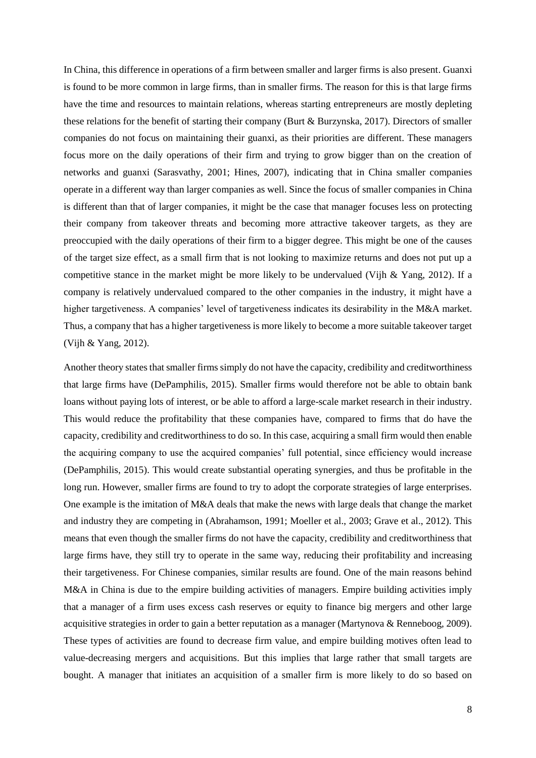In China, this difference in operations of a firm between smaller and larger firms is also present. Guanxi is found to be more common in large firms, than in smaller firms. The reason for this is that large firms have the time and resources to maintain relations, whereas starting entrepreneurs are mostly depleting these relations for the benefit of starting their company (Burt & Burzynska, 2017). Directors of smaller companies do not focus on maintaining their guanxi, as their priorities are different. These managers focus more on the daily operations of their firm and trying to grow bigger than on the creation of networks and guanxi (Sarasvathy, 2001; Hines, 2007), indicating that in China smaller companies operate in a different way than larger companies as well. Since the focus of smaller companies in China is different than that of larger companies, it might be the case that manager focuses less on protecting their company from takeover threats and becoming more attractive takeover targets, as they are preoccupied with the daily operations of their firm to a bigger degree. This might be one of the causes of the target size effect, as a small firm that is not looking to maximize returns and does not put up a competitive stance in the market might be more likely to be undervalued (Vijh & Yang, 2012). If a company is relatively undervalued compared to the other companies in the industry, it might have a higher targetiveness. A companies' level of targetiveness indicates its desirability in the M&A market. Thus, a company that has a higher targetiveness is more likely to become a more suitable takeover target (Vijh & Yang, 2012).

Another theory states that smaller firms simply do not have the capacity, credibility and creditworthiness that large firms have (DePamphilis, 2015). Smaller firms would therefore not be able to obtain bank loans without paying lots of interest, or be able to afford a large-scale market research in their industry. This would reduce the profitability that these companies have, compared to firms that do have the capacity, credibility and creditworthiness to do so. In this case, acquiring a small firm would then enable the acquiring company to use the acquired companies' full potential, since efficiency would increase (DePamphilis, 2015). This would create substantial operating synergies, and thus be profitable in the long run. However, smaller firms are found to try to adopt the corporate strategies of large enterprises. One example is the imitation of M&A deals that make the news with large deals that change the market and industry they are competing in (Abrahamson, 1991; Moeller et al., 2003; Grave et al., 2012). This means that even though the smaller firms do not have the capacity, credibility and creditworthiness that large firms have, they still try to operate in the same way, reducing their profitability and increasing their targetiveness. For Chinese companies, similar results are found. One of the main reasons behind M&A in China is due to the empire building activities of managers. Empire building activities imply that a manager of a firm uses excess cash reserves or equity to finance big mergers and other large acquisitive strategies in order to gain a better reputation as a manager (Martynova & Renneboog, 2009). These types of activities are found to decrease firm value, and empire building motives often lead to value-decreasing mergers and acquisitions. But this implies that large rather that small targets are bought. A manager that initiates an acquisition of a smaller firm is more likely to do so based on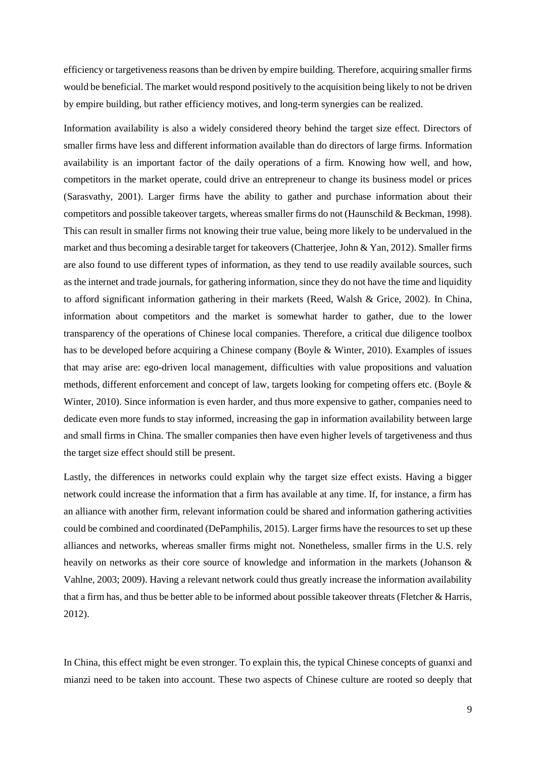efficiency or targetiveness reasons than be driven by empire building. Therefore, acquiring smaller firms would be beneficial. The market would respond positively to the acquisition being likely to not be driven by empire building, but rather efficiency motives, and long-term synergies can be realized.

Information availability is also a widely considered theory behind the target size effect. Directors of smaller firms have less and different information available than do directors of large firms. Information availability is an important factor of the daily operations of a firm. Knowing how well, and how, competitors in the market operate, could drive an entrepreneur to change its business model or prices (Sarasvathy, 2001). Larger firms have the ability to gather and purchase information about their competitors and possible takeover targets, whereas smaller firms do not (Haunschild & Beckman, 1998). This can result in smaller firms not knowing their true value, being more likely to be undervalued in the market and thus becoming a desirable target for takeovers (Chatterjee, John & Yan, 2012). Smaller firms are also found to use different types of information, as they tend to use readily available sources, such as the internet and trade journals, for gathering information, since they do not have the time and liquidity to afford significant information gathering in their markets (Reed, Walsh & Grice, 2002). In China, information about competitors and the market is somewhat harder to gather, due to the lower transparency of the operations of Chinese local companies. Therefore, a critical due diligence toolbox has to be developed before acquiring a Chinese company (Boyle & Winter, 2010). Examples of issues that may arise are: ego-driven local management, difficulties with value propositions and valuation methods, different enforcement and concept of law, targets looking for competing offers etc. (Boyle & Winter, 2010). Since information is even harder, and thus more expensive to gather, companies need to dedicate even more funds to stay informed, increasing the gap in information availability between large and small firms in China. The smaller companies then have even higher levels of targetiveness and thus the target size effect should still be present.

Lastly, the differences in networks could explain why the target size effect exists. Having a bigger network could increase the information that a firm has available at any time. If, for instance, a firm has an alliance with another firm, relevant information could be shared and information gathering activities could be combined and coordinated (DePamphilis, 2015). Larger firms have the resources to set up these alliances and networks, whereas smaller firms might not. Nonetheless, smaller firms in the U.S. rely heavily on networks as their core source of knowledge and information in the markets (Johanson & Vahlne, 2003; 2009). Having a relevant network could thus greatly increase the information availability that a firm has, and thus be better able to be informed about possible takeover threats (Fletcher & Harris, 2012).

In China, this effect might be even stronger. To explain this, the typical Chinese concepts of guanxi and mianzi need to be taken into account. These two aspects of Chinese culture are rooted so deeply that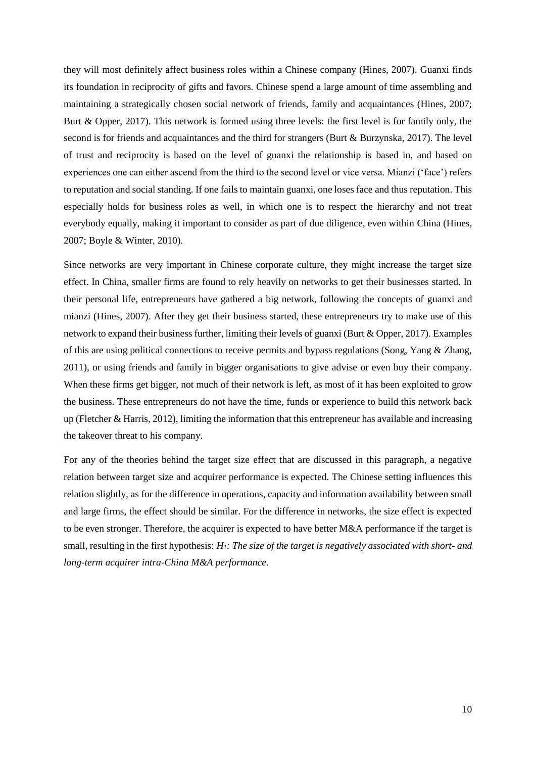they will most definitely affect business roles within a Chinese company (Hines, 2007). Guanxi finds its foundation in reciprocity of gifts and favors. Chinese spend a large amount of time assembling and maintaining a strategically chosen social network of friends, family and acquaintances (Hines, 2007; Burt & Opper, 2017). This network is formed using three levels: the first level is for family only, the second is for friends and acquaintances and the third for strangers (Burt & Burzynska, 2017). The level of trust and reciprocity is based on the level of guanxi the relationship is based in, and based on experiences one can either ascend from the third to the second level or vice versa. Mianzi ('face') refers to reputation and social standing. If one fails to maintain guanxi, one loses face and thus reputation. This especially holds for business roles as well, in which one is to respect the hierarchy and not treat everybody equally, making it important to consider as part of due diligence, even within China (Hines, 2007; Boyle & Winter, 2010).

Since networks are very important in Chinese corporate culture, they might increase the target size effect. In China, smaller firms are found to rely heavily on networks to get their businesses started. In their personal life, entrepreneurs have gathered a big network, following the concepts of guanxi and mianzi (Hines, 2007). After they get their business started, these entrepreneurs try to make use of this network to expand their business further, limiting their levels of guanxi (Burt & Opper, 2017). Examples of this are using political connections to receive permits and bypass regulations (Song, Yang & Zhang, 2011), or using friends and family in bigger organisations to give advise or even buy their company. When these firms get bigger, not much of their network is left, as most of it has been exploited to grow the business. These entrepreneurs do not have the time, funds or experience to build this network back up (Fletcher & Harris, 2012), limiting the information that this entrepreneur has available and increasing the takeover threat to his company.

For any of the theories behind the target size effect that are discussed in this paragraph, a negative relation between target size and acquirer performance is expected. The Chinese setting influences this relation slightly, as for the difference in operations, capacity and information availability between small and large firms, the effect should be similar. For the difference in networks, the size effect is expected to be even stronger. Therefore, the acquirer is expected to have better M&A performance if the target is small, resulting in the first hypothesis: *H1: The size of the target is negatively associated with short- and long-term acquirer intra-China M&A performance.*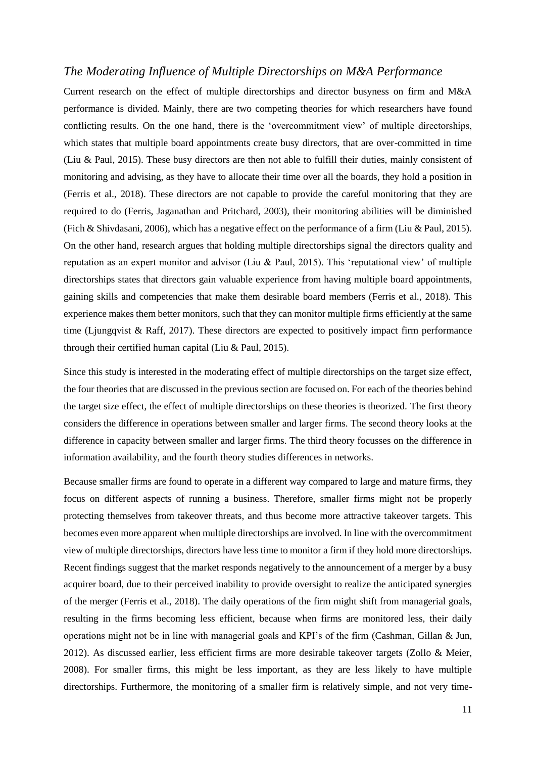### <span id="page-11-0"></span>*The Moderating Influence of Multiple Directorships on M&A Performance*

Current research on the effect of multiple directorships and director busyness on firm and M&A performance is divided. Mainly, there are two competing theories for which researchers have found conflicting results. On the one hand, there is the 'overcommitment view' of multiple directorships, which states that multiple board appointments create busy directors, that are over-committed in time (Liu & Paul, 2015). These busy directors are then not able to fulfill their duties, mainly consistent of monitoring and advising, as they have to allocate their time over all the boards, they hold a position in (Ferris et al., 2018). These directors are not capable to provide the careful monitoring that they are required to do (Ferris, Jaganathan and Pritchard, 2003), their monitoring abilities will be diminished (Fich & Shivdasani, 2006), which has a negative effect on the performance of a firm (Liu & Paul, 2015). On the other hand, research argues that holding multiple directorships signal the directors quality and reputation as an expert monitor and advisor (Liu & Paul, 2015). This 'reputational view' of multiple directorships states that directors gain valuable experience from having multiple board appointments, gaining skills and competencies that make them desirable board members (Ferris et al., 2018). This experience makes them better monitors, such that they can monitor multiple firms efficiently at the same time (Ljungqvist  $\&$  Raff, 2017). These directors are expected to positively impact firm performance through their certified human capital (Liu & Paul, 2015).

Since this study is interested in the moderating effect of multiple directorships on the target size effect, the four theories that are discussed in the previous section are focused on. For each of the theories behind the target size effect, the effect of multiple directorships on these theories is theorized. The first theory considers the difference in operations between smaller and larger firms. The second theory looks at the difference in capacity between smaller and larger firms. The third theory focusses on the difference in information availability, and the fourth theory studies differences in networks.

Because smaller firms are found to operate in a different way compared to large and mature firms, they focus on different aspects of running a business. Therefore, smaller firms might not be properly protecting themselves from takeover threats, and thus become more attractive takeover targets. This becomes even more apparent when multiple directorships are involved. In line with the overcommitment view of multiple directorships, directors have less time to monitor a firm if they hold more directorships. Recent findings suggest that the market responds negatively to the announcement of a merger by a busy acquirer board, due to their perceived inability to provide oversight to realize the anticipated synergies of the merger (Ferris et al., 2018). The daily operations of the firm might shift from managerial goals, resulting in the firms becoming less efficient, because when firms are monitored less, their daily operations might not be in line with managerial goals and KPI's of the firm (Cashman, Gillan & Jun, 2012). As discussed earlier, less efficient firms are more desirable takeover targets (Zollo & Meier, 2008). For smaller firms, this might be less important, as they are less likely to have multiple directorships. Furthermore, the monitoring of a smaller firm is relatively simple, and not very time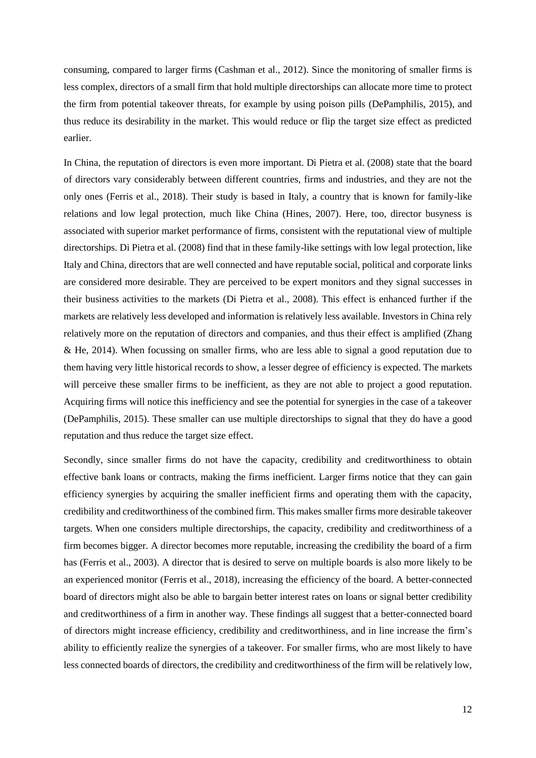consuming, compared to larger firms (Cashman et al., 2012). Since the monitoring of smaller firms is less complex, directors of a small firm that hold multiple directorships can allocate more time to protect the firm from potential takeover threats, for example by using poison pills (DePamphilis, 2015), and thus reduce its desirability in the market. This would reduce or flip the target size effect as predicted earlier.

In China, the reputation of directors is even more important. Di Pietra et al. (2008) state that the board of directors vary considerably between different countries, firms and industries, and they are not the only ones (Ferris et al., 2018). Their study is based in Italy, a country that is known for family-like relations and low legal protection, much like China (Hines, 2007). Here, too, director busyness is associated with superior market performance of firms, consistent with the reputational view of multiple directorships. Di Pietra et al. (2008) find that in these family-like settings with low legal protection, like Italy and China, directors that are well connected and have reputable social, political and corporate links are considered more desirable. They are perceived to be expert monitors and they signal successes in their business activities to the markets (Di Pietra et al., 2008). This effect is enhanced further if the markets are relatively less developed and information is relatively less available. Investors in China rely relatively more on the reputation of directors and companies, and thus their effect is amplified (Zhang & He, 2014). When focussing on smaller firms, who are less able to signal a good reputation due to them having very little historical records to show, a lesser degree of efficiency is expected. The markets will perceive these smaller firms to be inefficient, as they are not able to project a good reputation. Acquiring firms will notice this inefficiency and see the potential for synergies in the case of a takeover (DePamphilis, 2015). These smaller can use multiple directorships to signal that they do have a good reputation and thus reduce the target size effect.

Secondly, since smaller firms do not have the capacity, credibility and creditworthiness to obtain effective bank loans or contracts, making the firms inefficient. Larger firms notice that they can gain efficiency synergies by acquiring the smaller inefficient firms and operating them with the capacity, credibility and creditworthiness of the combined firm. This makes smaller firms more desirable takeover targets. When one considers multiple directorships, the capacity, credibility and creditworthiness of a firm becomes bigger. A director becomes more reputable, increasing the credibility the board of a firm has (Ferris et al., 2003). A director that is desired to serve on multiple boards is also more likely to be an experienced monitor (Ferris et al., 2018), increasing the efficiency of the board. A better-connected board of directors might also be able to bargain better interest rates on loans or signal better credibility and creditworthiness of a firm in another way. These findings all suggest that a better-connected board of directors might increase efficiency, credibility and creditworthiness, and in line increase the firm's ability to efficiently realize the synergies of a takeover. For smaller firms, who are most likely to have less connected boards of directors, the credibility and creditworthiness of the firm will be relatively low,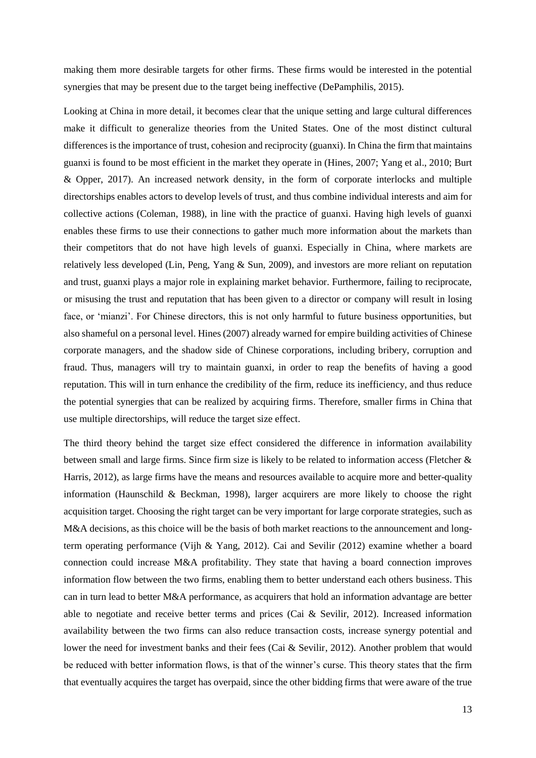making them more desirable targets for other firms. These firms would be interested in the potential synergies that may be present due to the target being ineffective (DePamphilis, 2015).

Looking at China in more detail, it becomes clear that the unique setting and large cultural differences make it difficult to generalize theories from the United States. One of the most distinct cultural differences is the importance of trust, cohesion and reciprocity (guanxi). In China the firm that maintains guanxi is found to be most efficient in the market they operate in (Hines, 2007; Yang et al., 2010; Burt & Opper, 2017). An increased network density, in the form of corporate interlocks and multiple directorships enables actors to develop levels of trust, and thus combine individual interests and aim for collective actions (Coleman, 1988), in line with the practice of guanxi. Having high levels of guanxi enables these firms to use their connections to gather much more information about the markets than their competitors that do not have high levels of guanxi. Especially in China, where markets are relatively less developed (Lin, Peng, Yang & Sun, 2009), and investors are more reliant on reputation and trust, guanxi plays a major role in explaining market behavior. Furthermore, failing to reciprocate, or misusing the trust and reputation that has been given to a director or company will result in losing face, or 'mianzi'. For Chinese directors, this is not only harmful to future business opportunities, but also shameful on a personal level. Hines (2007) already warned for empire building activities of Chinese corporate managers, and the shadow side of Chinese corporations, including bribery, corruption and fraud. Thus, managers will try to maintain guanxi, in order to reap the benefits of having a good reputation. This will in turn enhance the credibility of the firm, reduce its inefficiency, and thus reduce the potential synergies that can be realized by acquiring firms. Therefore, smaller firms in China that use multiple directorships, will reduce the target size effect.

The third theory behind the target size effect considered the difference in information availability between small and large firms. Since firm size is likely to be related to information access (Fletcher & Harris, 2012), as large firms have the means and resources available to acquire more and better-quality information (Haunschild & Beckman, 1998), larger acquirers are more likely to choose the right acquisition target. Choosing the right target can be very important for large corporate strategies, such as M&A decisions, as this choice will be the basis of both market reactions to the announcement and longterm operating performance (Vijh & Yang, 2012). Cai and Sevilir (2012) examine whether a board connection could increase M&A profitability. They state that having a board connection improves information flow between the two firms, enabling them to better understand each others business. This can in turn lead to better M&A performance, as acquirers that hold an information advantage are better able to negotiate and receive better terms and prices (Cai & Sevilir, 2012). Increased information availability between the two firms can also reduce transaction costs, increase synergy potential and lower the need for investment banks and their fees (Cai & Sevilir, 2012). Another problem that would be reduced with better information flows, is that of the winner's curse. This theory states that the firm that eventually acquires the target has overpaid, since the other bidding firms that were aware of the true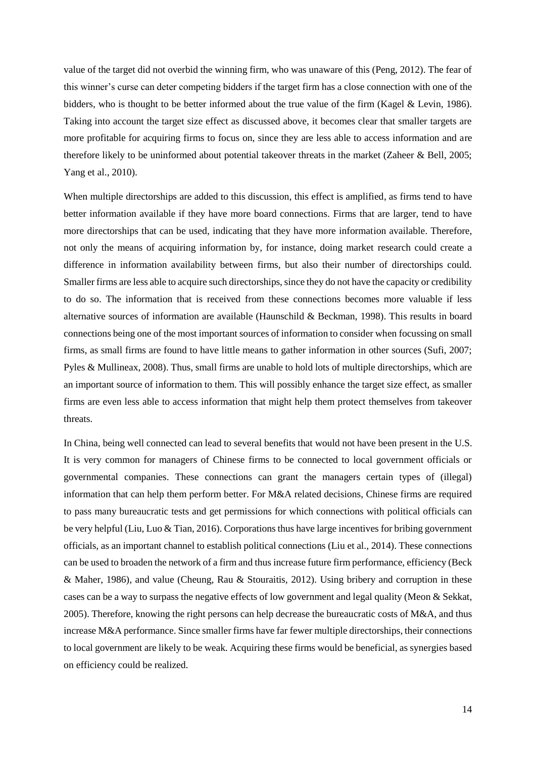value of the target did not overbid the winning firm, who was unaware of this (Peng, 2012). The fear of this winner's curse can deter competing bidders if the target firm has a close connection with one of the bidders, who is thought to be better informed about the true value of the firm (Kagel & Levin, 1986). Taking into account the target size effect as discussed above, it becomes clear that smaller targets are more profitable for acquiring firms to focus on, since they are less able to access information and are therefore likely to be uninformed about potential takeover threats in the market (Zaheer & Bell, 2005; Yang et al., 2010).

When multiple directorships are added to this discussion, this effect is amplified, as firms tend to have better information available if they have more board connections. Firms that are larger, tend to have more directorships that can be used, indicating that they have more information available. Therefore, not only the means of acquiring information by, for instance, doing market research could create a difference in information availability between firms, but also their number of directorships could. Smaller firms are less able to acquire such directorships, since they do not have the capacity or credibility to do so. The information that is received from these connections becomes more valuable if less alternative sources of information are available (Haunschild & Beckman, 1998). This results in board connections being one of the most important sources of information to consider when focussing on small firms, as small firms are found to have little means to gather information in other sources (Sufi, 2007; Pyles & Mullineax, 2008). Thus, small firms are unable to hold lots of multiple directorships, which are an important source of information to them. This will possibly enhance the target size effect, as smaller firms are even less able to access information that might help them protect themselves from takeover threats.

In China, being well connected can lead to several benefits that would not have been present in the U.S. It is very common for managers of Chinese firms to be connected to local government officials or governmental companies. These connections can grant the managers certain types of (illegal) information that can help them perform better. For M&A related decisions, Chinese firms are required to pass many bureaucratic tests and get permissions for which connections with political officials can be very helpful (Liu, Luo & Tian, 2016). Corporations thus have large incentives for bribing government officials, as an important channel to establish political connections (Liu et al., 2014). These connections can be used to broaden the network of a firm and thus increase future firm performance, efficiency (Beck & Maher, 1986), and value (Cheung, Rau & Stouraitis, 2012). Using bribery and corruption in these cases can be a way to surpass the negative effects of low government and legal quality (Meon & Sekkat, 2005). Therefore, knowing the right persons can help decrease the bureaucratic costs of M&A, and thus increase M&A performance. Since smaller firms have far fewer multiple directorships, their connections to local government are likely to be weak. Acquiring these firms would be beneficial, as synergies based on efficiency could be realized.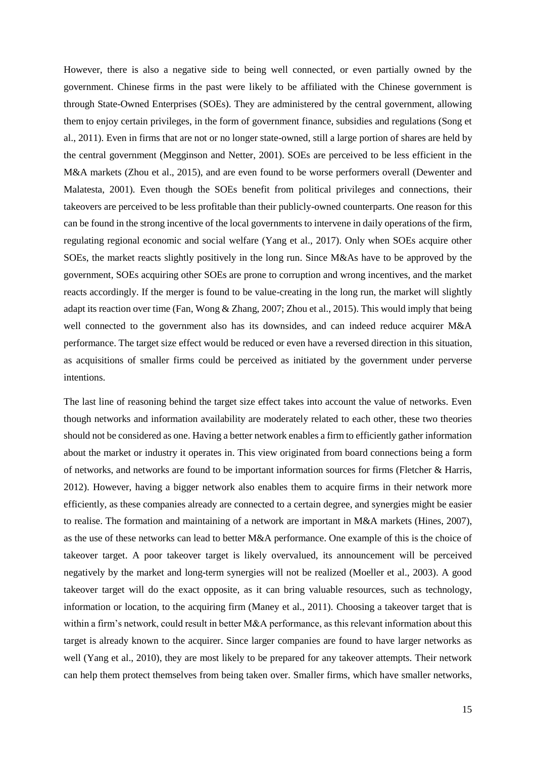However, there is also a negative side to being well connected, or even partially owned by the government. Chinese firms in the past were likely to be affiliated with the Chinese government is through State-Owned Enterprises (SOEs). They are administered by the central government, allowing them to enjoy certain privileges, in the form of government finance, subsidies and regulations (Song et al., 2011). Even in firms that are not or no longer state-owned, still a large portion of shares are held by the central government (Megginson and Netter, 2001). SOEs are perceived to be less efficient in the M&A markets (Zhou et al., 2015), and are even found to be worse performers overall (Dewenter and Malatesta, 2001). Even though the SOEs benefit from political privileges and connections, their takeovers are perceived to be less profitable than their publicly-owned counterparts. One reason for this can be found in the strong incentive of the local governments to intervene in daily operations of the firm, regulating regional economic and social welfare (Yang et al., 2017). Only when SOEs acquire other SOEs, the market reacts slightly positively in the long run. Since M&As have to be approved by the government, SOEs acquiring other SOEs are prone to corruption and wrong incentives, and the market reacts accordingly. If the merger is found to be value-creating in the long run, the market will slightly adapt its reaction over time (Fan, Wong & Zhang, 2007; Zhou et al., 2015). This would imply that being well connected to the government also has its downsides, and can indeed reduce acquirer M&A performance. The target size effect would be reduced or even have a reversed direction in this situation, as acquisitions of smaller firms could be perceived as initiated by the government under perverse intentions.

The last line of reasoning behind the target size effect takes into account the value of networks. Even though networks and information availability are moderately related to each other, these two theories should not be considered as one. Having a better network enables a firm to efficiently gather information about the market or industry it operates in. This view originated from board connections being a form of networks, and networks are found to be important information sources for firms (Fletcher & Harris, 2012). However, having a bigger network also enables them to acquire firms in their network more efficiently, as these companies already are connected to a certain degree, and synergies might be easier to realise. The formation and maintaining of a network are important in M&A markets (Hines, 2007), as the use of these networks can lead to better M&A performance. One example of this is the choice of takeover target. A poor takeover target is likely overvalued, its announcement will be perceived negatively by the market and long-term synergies will not be realized (Moeller et al., 2003). A good takeover target will do the exact opposite, as it can bring valuable resources, such as technology, information or location, to the acquiring firm (Maney et al., 2011). Choosing a takeover target that is within a firm's network, could result in better M&A performance, as this relevant information about this target is already known to the acquirer. Since larger companies are found to have larger networks as well (Yang et al., 2010), they are most likely to be prepared for any takeover attempts. Their network can help them protect themselves from being taken over. Smaller firms, which have smaller networks,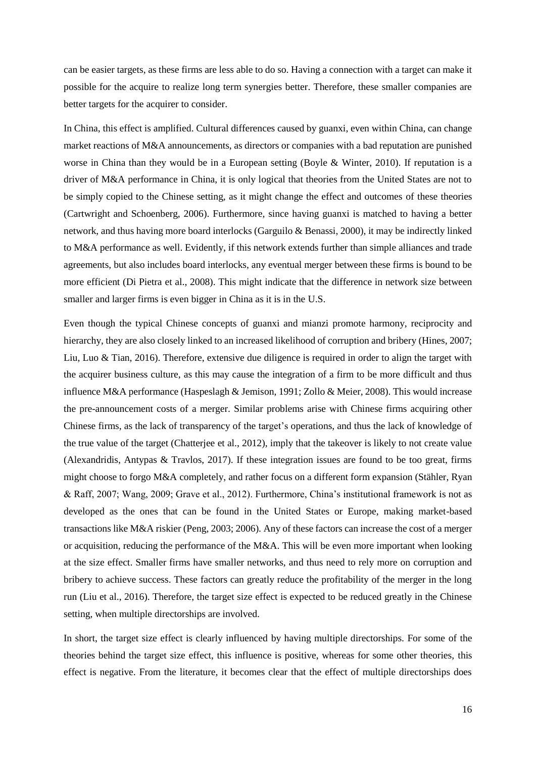can be easier targets, as these firms are less able to do so. Having a connection with a target can make it possible for the acquire to realize long term synergies better. Therefore, these smaller companies are better targets for the acquirer to consider.

In China, this effect is amplified. Cultural differences caused by guanxi, even within China, can change market reactions of M&A announcements, as directors or companies with a bad reputation are punished worse in China than they would be in a European setting (Boyle & Winter, 2010). If reputation is a driver of M&A performance in China, it is only logical that theories from the United States are not to be simply copied to the Chinese setting, as it might change the effect and outcomes of these theories (Cartwright and Schoenberg, 2006). Furthermore, since having guanxi is matched to having a better network, and thus having more board interlocks (Garguilo & Benassi, 2000), it may be indirectly linked to M&A performance as well. Evidently, if this network extends further than simple alliances and trade agreements, but also includes board interlocks, any eventual merger between these firms is bound to be more efficient (Di Pietra et al., 2008). This might indicate that the difference in network size between smaller and larger firms is even bigger in China as it is in the U.S.

Even though the typical Chinese concepts of guanxi and mianzi promote harmony, reciprocity and hierarchy, they are also closely linked to an increased likelihood of corruption and bribery (Hines, 2007; Liu, Luo & Tian, 2016). Therefore, extensive due diligence is required in order to align the target with the acquirer business culture, as this may cause the integration of a firm to be more difficult and thus influence M&A performance (Haspeslagh & Jemison, 1991; Zollo & Meier, 2008). This would increase the pre-announcement costs of a merger. Similar problems arise with Chinese firms acquiring other Chinese firms, as the lack of transparency of the target's operations, and thus the lack of knowledge of the true value of the target (Chatterjee et al., 2012), imply that the takeover is likely to not create value (Alexandridis, Antypas & Travlos, 2017). If these integration issues are found to be too great, firms might choose to forgo M&A completely, and rather focus on a different form expansion (Stähler, Ryan & Raff, 2007; Wang, 2009; Grave et al., 2012). Furthermore, China's institutional framework is not as developed as the ones that can be found in the United States or Europe, making market-based transactions like M&A riskier (Peng, 2003; 2006). Any of these factors can increase the cost of a merger or acquisition, reducing the performance of the  $M&A$ . This will be even more important when looking at the size effect. Smaller firms have smaller networks, and thus need to rely more on corruption and bribery to achieve success. These factors can greatly reduce the profitability of the merger in the long run (Liu et al., 2016). Therefore, the target size effect is expected to be reduced greatly in the Chinese setting, when multiple directorships are involved.

In short, the target size effect is clearly influenced by having multiple directorships. For some of the theories behind the target size effect, this influence is positive, whereas for some other theories, this effect is negative. From the literature, it becomes clear that the effect of multiple directorships does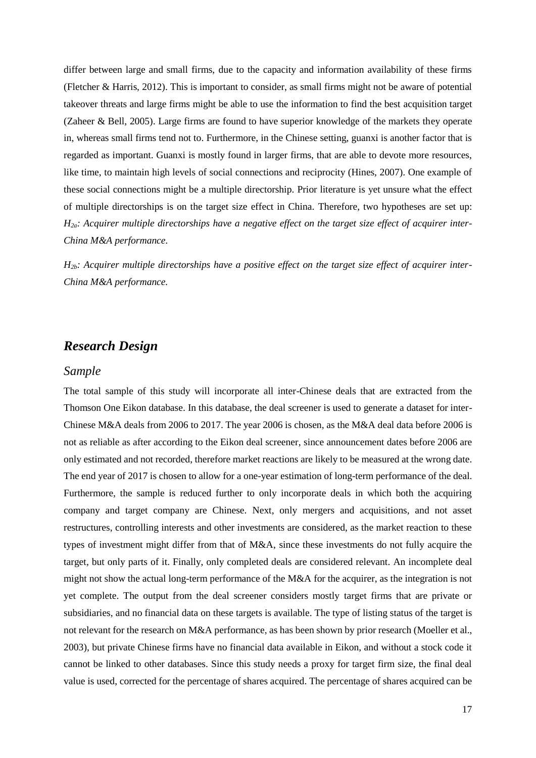differ between large and small firms, due to the capacity and information availability of these firms (Fletcher & Harris, 2012). This is important to consider, as small firms might not be aware of potential takeover threats and large firms might be able to use the information to find the best acquisition target (Zaheer & Bell, 2005). Large firms are found to have superior knowledge of the markets they operate in, whereas small firms tend not to. Furthermore, in the Chinese setting, guanxi is another factor that is regarded as important. Guanxi is mostly found in larger firms, that are able to devote more resources, like time, to maintain high levels of social connections and reciprocity (Hines, 2007). One example of these social connections might be a multiple directorship. Prior literature is yet unsure what the effect of multiple directorships is on the target size effect in China. Therefore, two hypotheses are set up: *H2a: Acquirer multiple directorships have a negative effect on the target size effect of acquirer inter-China M&A performance.* 

*H2b: Acquirer multiple directorships have a positive effect on the target size effect of acquirer inter-China M&A performance.*

# <span id="page-17-0"></span>*Research Design*

#### <span id="page-17-1"></span>*Sample*

The total sample of this study will incorporate all inter-Chinese deals that are extracted from the Thomson One Eikon database. In this database, the deal screener is used to generate a dataset for inter-Chinese M&A deals from 2006 to 2017. The year 2006 is chosen, as the M&A deal data before 2006 is not as reliable as after according to the Eikon deal screener, since announcement dates before 2006 are only estimated and not recorded, therefore market reactions are likely to be measured at the wrong date. The end year of 2017 is chosen to allow for a one-year estimation of long-term performance of the deal. Furthermore, the sample is reduced further to only incorporate deals in which both the acquiring company and target company are Chinese. Next, only mergers and acquisitions, and not asset restructures, controlling interests and other investments are considered, as the market reaction to these types of investment might differ from that of M&A, since these investments do not fully acquire the target, but only parts of it. Finally, only completed deals are considered relevant. An incomplete deal might not show the actual long-term performance of the M&A for the acquirer, as the integration is not yet complete. The output from the deal screener considers mostly target firms that are private or subsidiaries, and no financial data on these targets is available. The type of listing status of the target is not relevant for the research on M&A performance, as has been shown by prior research (Moeller et al., 2003), but private Chinese firms have no financial data available in Eikon, and without a stock code it cannot be linked to other databases. Since this study needs a proxy for target firm size, the final deal value is used, corrected for the percentage of shares acquired. The percentage of shares acquired can be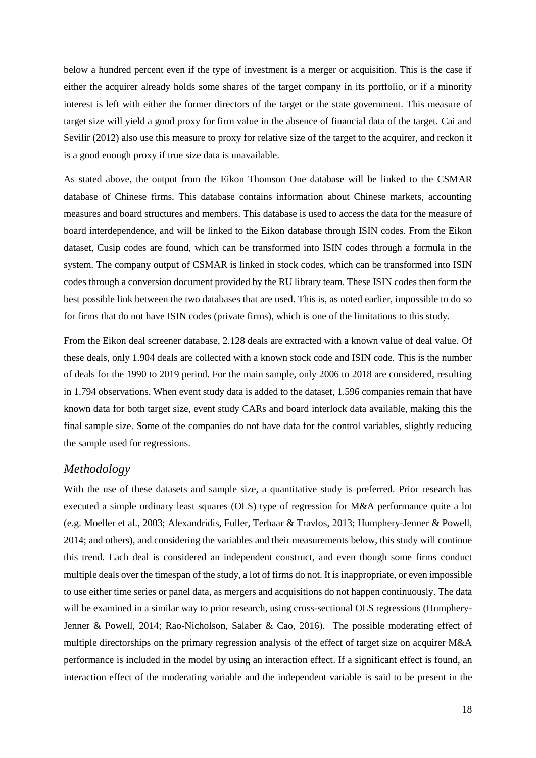below a hundred percent even if the type of investment is a merger or acquisition. This is the case if either the acquirer already holds some shares of the target company in its portfolio, or if a minority interest is left with either the former directors of the target or the state government. This measure of target size will yield a good proxy for firm value in the absence of financial data of the target. Cai and Sevilir (2012) also use this measure to proxy for relative size of the target to the acquirer, and reckon it is a good enough proxy if true size data is unavailable.

As stated above, the output from the Eikon Thomson One database will be linked to the CSMAR database of Chinese firms. This database contains information about Chinese markets, accounting measures and board structures and members. This database is used to access the data for the measure of board interdependence, and will be linked to the Eikon database through ISIN codes. From the Eikon dataset, Cusip codes are found, which can be transformed into ISIN codes through a formula in the system. The company output of CSMAR is linked in stock codes, which can be transformed into ISIN codes through a conversion document provided by the RU library team. These ISIN codes then form the best possible link between the two databases that are used. This is, as noted earlier, impossible to do so for firms that do not have ISIN codes (private firms), which is one of the limitations to this study.

From the Eikon deal screener database, 2.128 deals are extracted with a known value of deal value. Of these deals, only 1.904 deals are collected with a known stock code and ISIN code. This is the number of deals for the 1990 to 2019 period. For the main sample, only 2006 to 2018 are considered, resulting in 1.794 observations. When event study data is added to the dataset, 1.596 companies remain that have known data for both target size, event study CARs and board interlock data available, making this the final sample size. Some of the companies do not have data for the control variables, slightly reducing the sample used for regressions.

# <span id="page-18-0"></span>*Methodology*

With the use of these datasets and sample size, a quantitative study is preferred. Prior research has executed a simple ordinary least squares (OLS) type of regression for M&A performance quite a lot (e.g. Moeller et al., 2003; Alexandridis, Fuller, Terhaar & Travlos, 2013; Humphery-Jenner & Powell, 2014; and others), and considering the variables and their measurements below, this study will continue this trend. Each deal is considered an independent construct, and even though some firms conduct multiple deals over the timespan of the study, a lot of firms do not. It is inappropriate, or even impossible to use either time series or panel data, as mergers and acquisitions do not happen continuously. The data will be examined in a similar way to prior research, using cross-sectional OLS regressions (Humphery-Jenner & Powell, 2014; Rao-Nicholson, Salaber & Cao, 2016). The possible moderating effect of multiple directorships on the primary regression analysis of the effect of target size on acquirer M&A performance is included in the model by using an interaction effect. If a significant effect is found, an interaction effect of the moderating variable and the independent variable is said to be present in the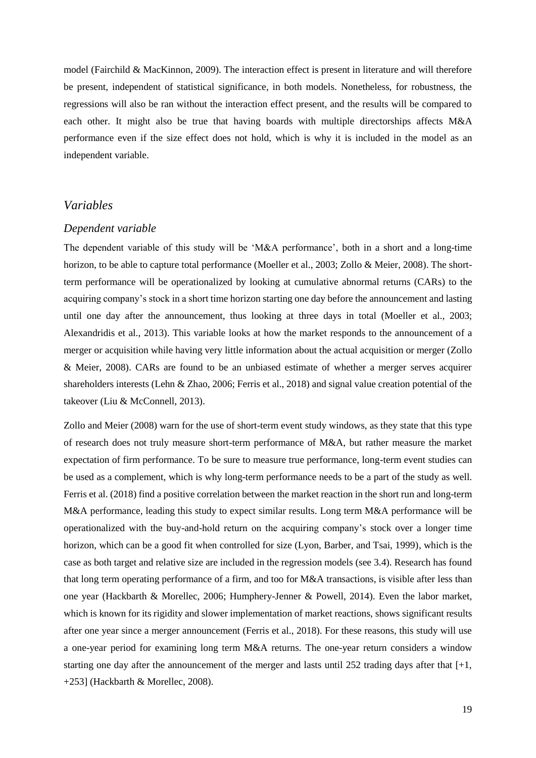model (Fairchild & MacKinnon, 2009). The interaction effect is present in literature and will therefore be present, independent of statistical significance, in both models. Nonetheless, for robustness, the regressions will also be ran without the interaction effect present, and the results will be compared to each other. It might also be true that having boards with multiple directorships affects M&A performance even if the size effect does not hold, which is why it is included in the model as an independent variable.

# <span id="page-19-0"></span>*Variables*

#### <span id="page-19-1"></span>*Dependent variable*

The dependent variable of this study will be 'M&A performance', both in a short and a long-time horizon, to be able to capture total performance (Moeller et al., 2003; Zollo & Meier, 2008). The shortterm performance will be operationalized by looking at cumulative abnormal returns (CARs) to the acquiring company's stock in a short time horizon starting one day before the announcement and lasting until one day after the announcement, thus looking at three days in total (Moeller et al., 2003; Alexandridis et al., 2013). This variable looks at how the market responds to the announcement of a merger or acquisition while having very little information about the actual acquisition or merger (Zollo & Meier, 2008). CARs are found to be an unbiased estimate of whether a merger serves acquirer shareholders interests (Lehn & Zhao, 2006; Ferris et al., 2018) and signal value creation potential of the takeover (Liu & McConnell, 2013).

Zollo and Meier (2008) warn for the use of short-term event study windows, as they state that this type of research does not truly measure short-term performance of M&A, but rather measure the market expectation of firm performance. To be sure to measure true performance, long-term event studies can be used as a complement, which is why long-term performance needs to be a part of the study as well. Ferris et al. (2018) find a positive correlation between the market reaction in the short run and long-term M&A performance, leading this study to expect similar results. Long term M&A performance will be operationalized with the buy-and-hold return on the acquiring company's stock over a longer time horizon, which can be a good fit when controlled for size (Lyon, Barber, and Tsai, 1999), which is the case as both target and relative size are included in the regression models (see 3.4). Research has found that long term operating performance of a firm, and too for M&A transactions, is visible after less than one year (Hackbarth & Morellec, 2006; Humphery-Jenner & Powell, 2014). Even the labor market, which is known for its rigidity and slower implementation of market reactions, shows significant results after one year since a merger announcement (Ferris et al., 2018). For these reasons, this study will use a one-year period for examining long term M&A returns. The one-year return considers a window starting one day after the announcement of the merger and lasts until 252 trading days after that  $[+1, 0]$ +253] (Hackbarth & Morellec, 2008).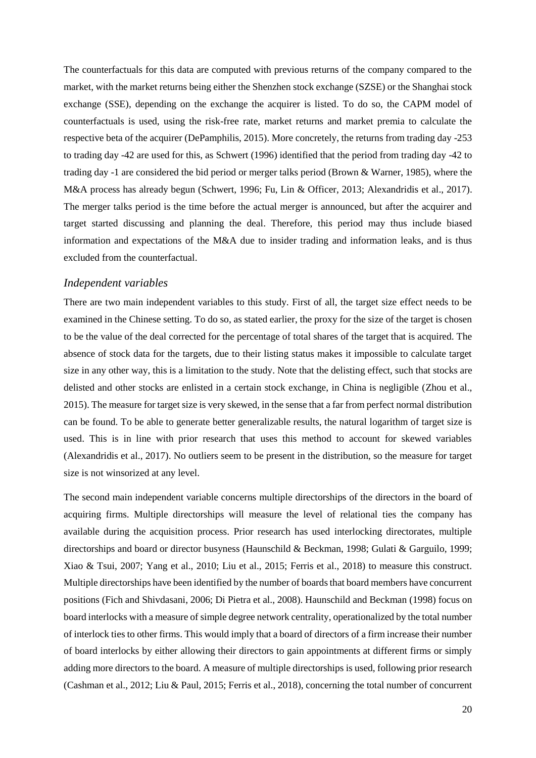The counterfactuals for this data are computed with previous returns of the company compared to the market, with the market returns being either the Shenzhen stock exchange (SZSE) or the Shanghai stock exchange (SSE), depending on the exchange the acquirer is listed. To do so, the CAPM model of counterfactuals is used, using the risk-free rate, market returns and market premia to calculate the respective beta of the acquirer (DePamphilis, 2015). More concretely, the returns from trading day -253 to trading day -42 are used for this, as Schwert (1996) identified that the period from trading day -42 to trading day -1 are considered the bid period or merger talks period (Brown & Warner, 1985), where the M&A process has already begun (Schwert, 1996; Fu, Lin & Officer, 2013; Alexandridis et al., 2017). The merger talks period is the time before the actual merger is announced, but after the acquirer and target started discussing and planning the deal. Therefore, this period may thus include biased information and expectations of the M&A due to insider trading and information leaks, and is thus excluded from the counterfactual.

#### <span id="page-20-0"></span>*Independent variables*

There are two main independent variables to this study. First of all, the target size effect needs to be examined in the Chinese setting. To do so, as stated earlier, the proxy for the size of the target is chosen to be the value of the deal corrected for the percentage of total shares of the target that is acquired. The absence of stock data for the targets, due to their listing status makes it impossible to calculate target size in any other way, this is a limitation to the study. Note that the delisting effect, such that stocks are delisted and other stocks are enlisted in a certain stock exchange, in China is negligible (Zhou et al., 2015). The measure for target size is very skewed, in the sense that a far from perfect normal distribution can be found. To be able to generate better generalizable results, the natural logarithm of target size is used. This is in line with prior research that uses this method to account for skewed variables (Alexandridis et al., 2017). No outliers seem to be present in the distribution, so the measure for target size is not winsorized at any level.

The second main independent variable concerns multiple directorships of the directors in the board of acquiring firms. Multiple directorships will measure the level of relational ties the company has available during the acquisition process. Prior research has used interlocking directorates, multiple directorships and board or director busyness (Haunschild & Beckman, 1998; Gulati & Garguilo, 1999; Xiao & Tsui, 2007; Yang et al., 2010; Liu et al., 2015; Ferris et al., 2018) to measure this construct. Multiple directorships have been identified by the number of boards that board members have concurrent positions (Fich and Shivdasani, 2006; Di Pietra et al., 2008). Haunschild and Beckman (1998) focus on board interlocks with a measure of simple degree network centrality, operationalized by the total number of interlock ties to other firms. This would imply that a board of directors of a firm increase their number of board interlocks by either allowing their directors to gain appointments at different firms or simply adding more directors to the board. A measure of multiple directorships is used, following prior research (Cashman et al., 2012; Liu & Paul, 2015; Ferris et al., 2018), concerning the total number of concurrent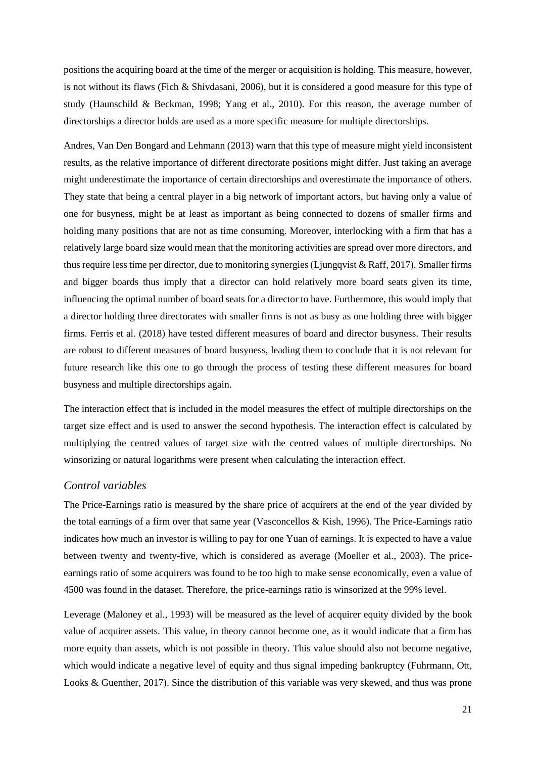positions the acquiring board at the time of the merger or acquisition is holding. This measure, however, is not without its flaws (Fich & Shivdasani, 2006), but it is considered a good measure for this type of study (Haunschild & Beckman, 1998; Yang et al., 2010). For this reason, the average number of directorships a director holds are used as a more specific measure for multiple directorships.

Andres, Van Den Bongard and Lehmann (2013) warn that this type of measure might yield inconsistent results, as the relative importance of different directorate positions might differ. Just taking an average might underestimate the importance of certain directorships and overestimate the importance of others. They state that being a central player in a big network of important actors, but having only a value of one for busyness, might be at least as important as being connected to dozens of smaller firms and holding many positions that are not as time consuming. Moreover, interlocking with a firm that has a relatively large board size would mean that the monitoring activities are spread over more directors, and thus require less time per director, due to monitoring synergies (Ljungqvist & Raff, 2017). Smaller firms and bigger boards thus imply that a director can hold relatively more board seats given its time, influencing the optimal number of board seats for a director to have. Furthermore, this would imply that a director holding three directorates with smaller firms is not as busy as one holding three with bigger firms. Ferris et al. (2018) have tested different measures of board and director busyness. Their results are robust to different measures of board busyness, leading them to conclude that it is not relevant for future research like this one to go through the process of testing these different measures for board busyness and multiple directorships again.

The interaction effect that is included in the model measures the effect of multiple directorships on the target size effect and is used to answer the second hypothesis. The interaction effect is calculated by multiplying the centred values of target size with the centred values of multiple directorships. No winsorizing or natural logarithms were present when calculating the interaction effect.

#### <span id="page-21-0"></span>*Control variables*

The Price-Earnings ratio is measured by the share price of acquirers at the end of the year divided by the total earnings of a firm over that same year (Vasconcellos & Kish, 1996). The Price-Earnings ratio indicates how much an investor is willing to pay for one Yuan of earnings. It is expected to have a value between twenty and twenty-five, which is considered as average (Moeller et al., 2003). The priceearnings ratio of some acquirers was found to be too high to make sense economically, even a value of 4500 was found in the dataset. Therefore, the price-earnings ratio is winsorized at the 99% level.

Leverage (Maloney et al., 1993) will be measured as the level of acquirer equity divided by the book value of acquirer assets. This value, in theory cannot become one, as it would indicate that a firm has more equity than assets, which is not possible in theory. This value should also not become negative, which would indicate a negative level of equity and thus signal impeding bankruptcy (Fuhrmann, Ott, Looks & Guenther, 2017). Since the distribution of this variable was very skewed, and thus was prone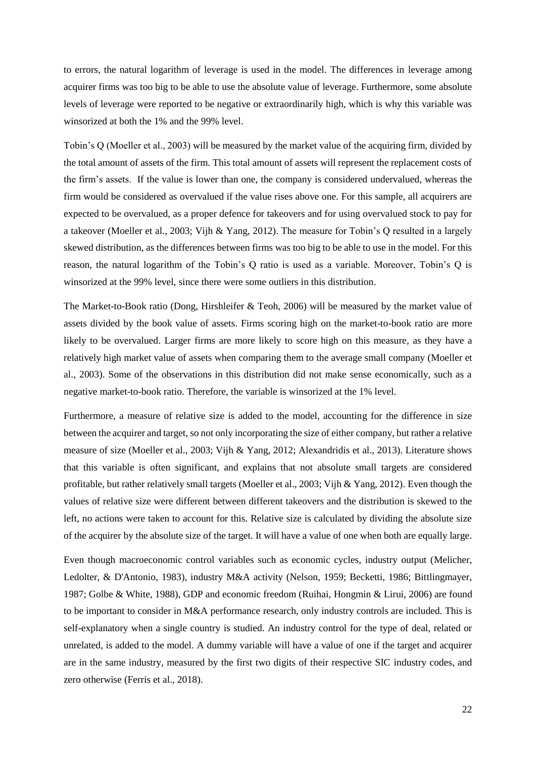to errors, the natural logarithm of leverage is used in the model. The differences in leverage among acquirer firms was too big to be able to use the absolute value of leverage. Furthermore, some absolute levels of leverage were reported to be negative or extraordinarily high, which is why this variable was winsorized at both the 1% and the 99% level.

Tobin's Q (Moeller et al., 2003) will be measured by the market value of the acquiring firm, divided by the total amount of assets of the firm. This total amount of assets will represent the replacement costs of the firm's assets. If the value is lower than one, the company is considered undervalued, whereas the firm would be considered as overvalued if the value rises above one. For this sample, all acquirers are expected to be overvalued, as a proper defence for takeovers and for using overvalued stock to pay for a takeover (Moeller et al., 2003; Vijh & Yang, 2012). The measure for Tobin's Q resulted in a largely skewed distribution, as the differences between firms was too big to be able to use in the model. For this reason, the natural logarithm of the Tobin's Q ratio is used as a variable. Moreover, Tobin's Q is winsorized at the 99% level, since there were some outliers in this distribution.

The Market-to-Book ratio (Dong, Hirshleifer & Teoh, 2006) will be measured by the market value of assets divided by the book value of assets. Firms scoring high on the market-to-book ratio are more likely to be overvalued. Larger firms are more likely to score high on this measure, as they have a relatively high market value of assets when comparing them to the average small company (Moeller et al., 2003). Some of the observations in this distribution did not make sense economically, such as a negative market-to-book ratio. Therefore, the variable is winsorized at the 1% level.

Furthermore, a measure of relative size is added to the model, accounting for the difference in size between the acquirer and target, so not only incorporating the size of either company, but rather a relative measure of size (Moeller et al., 2003; Vijh & Yang, 2012; Alexandridis et al., 2013). Literature shows that this variable is often significant, and explains that not absolute small targets are considered profitable, but rather relatively small targets (Moeller et al., 2003; Vijh & Yang, 2012). Even though the values of relative size were different between different takeovers and the distribution is skewed to the left, no actions were taken to account for this. Relative size is calculated by dividing the absolute size of the acquirer by the absolute size of the target. It will have a value of one when both are equally large.

Even though macroeconomic control variables such as economic cycles, industry output (Melicher, Ledolter, & D'Antonio, 1983), industry M&A activity (Nelson, 1959; Becketti, 1986; Bittlingmayer, 1987; Golbe & White, 1988), GDP and economic freedom (Ruihai, Hongmin & Lirui, 2006) are found to be important to consider in M&A performance research, only industry controls are included. This is self-explanatory when a single country is studied. An industry control for the type of deal, related or unrelated, is added to the model. A dummy variable will have a value of one if the target and acquirer are in the same industry, measured by the first two digits of their respective SIC industry codes, and zero otherwise (Ferris et al., 2018).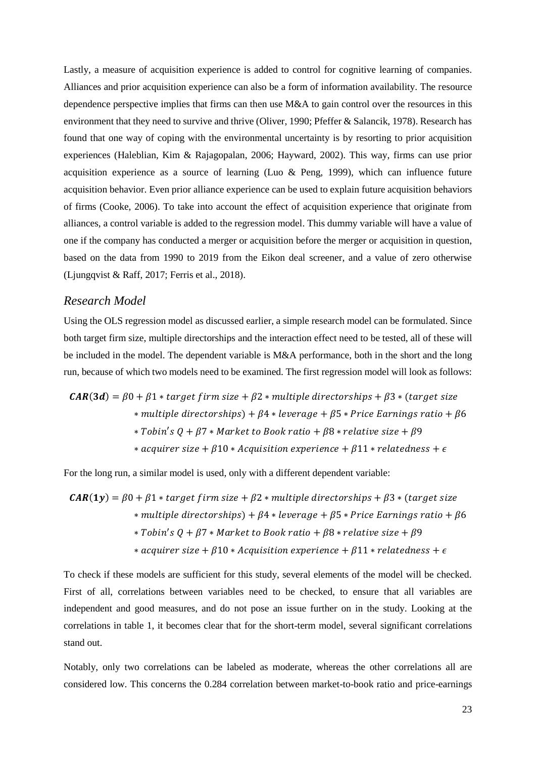Lastly, a measure of acquisition experience is added to control for cognitive learning of companies. Alliances and prior acquisition experience can also be a form of information availability. The resource dependence perspective implies that firms can then use M&A to gain control over the resources in this environment that they need to survive and thrive (Oliver, 1990; Pfeffer & Salancik, 1978). Research has found that one way of coping with the environmental uncertainty is by resorting to prior acquisition experiences (Haleblian, Kim & Rajagopalan, 2006; Hayward, 2002). This way, firms can use prior acquisition experience as a source of learning (Luo & Peng, 1999), which can influence future acquisition behavior. Even prior alliance experience can be used to explain future acquisition behaviors of firms (Cooke, 2006). To take into account the effect of acquisition experience that originate from alliances, a control variable is added to the regression model. This dummy variable will have a value of one if the company has conducted a merger or acquisition before the merger or acquisition in question, based on the data from 1990 to 2019 from the Eikon deal screener, and a value of zero otherwise (Ljungqvist & Raff, 2017; Ferris et al., 2018).

#### <span id="page-23-0"></span>*Research Model*

Using the OLS regression model as discussed earlier, a simple research model can be formulated. Since both target firm size, multiple directorships and the interaction effect need to be tested, all of these will be included in the model. The dependent variable is M&A performance, both in the short and the long run, because of which two models need to be examined. The first regression model will look as follows:

$$
CAR(3d) = \beta 0 + \beta 1 * target firm size + \beta 2 * multiple directorieships + \beta 3 * (target size * multiple directorieships) + \beta 4 * leverage + \beta 5 * Price Earning ratio + \beta 6 * Tobin's Q + \beta 7 * Market to Book ratio + \beta 8 * relative size + \beta 9 * acquire size + \beta 10 * Acquisition experience + \beta 11 * relatedness + \epsilon
$$

For the long run, a similar model is used, only with a different dependent variable:

$$
CAR(1y) = \beta 0 + \beta 1 * target firm size + \beta 2 * multiple directions = \beta 0 + \beta 1 * target frame
$$
  
\n
$$
* multiple directions = \beta 0 + \beta 1 * average + \beta 2 * price\n \text{Examples } * \beta 1 * \beta 2 * \beta 3 * \beta 3 * \beta 4 * \beta 4 * \beta 5 * price\n \text{Examples } * \beta 4 * \beta 5 * relative size + \beta 9
$$
  
\n
$$
* Tobin's Q + \beta 7 * Market to Book ratio + \beta 8 * relative size + \beta 9
$$
  
\n
$$
* acquire rise + \beta 10 * Acquisition experience + \beta 11 * relatedness + \epsilon
$$

To check if these models are sufficient for this study, several elements of the model will be checked. First of all, correlations between variables need to be checked, to ensure that all variables are independent and good measures, and do not pose an issue further on in the study. Looking at the correlations in table 1, it becomes clear that for the short-term model, several significant correlations stand out.

Notably, only two correlations can be labeled as moderate, whereas the other correlations all are considered low. This concerns the 0.284 correlation between market-to-book ratio and price-earnings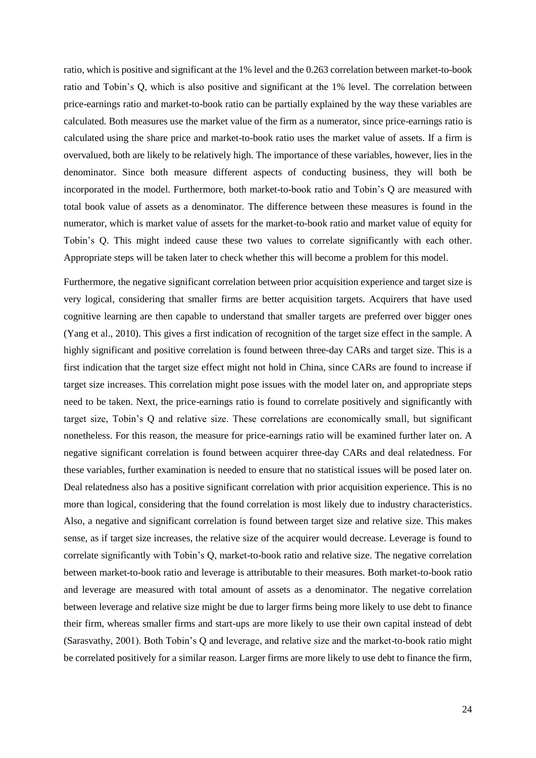ratio, which is positive and significant at the 1% level and the 0.263 correlation between market-to-book ratio and Tobin's Q, which is also positive and significant at the 1% level. The correlation between price-earnings ratio and market-to-book ratio can be partially explained by the way these variables are calculated. Both measures use the market value of the firm as a numerator, since price-earnings ratio is calculated using the share price and market-to-book ratio uses the market value of assets. If a firm is overvalued, both are likely to be relatively high. The importance of these variables, however, lies in the denominator. Since both measure different aspects of conducting business, they will both be incorporated in the model. Furthermore, both market-to-book ratio and Tobin's Q are measured with total book value of assets as a denominator. The difference between these measures is found in the numerator, which is market value of assets for the market-to-book ratio and market value of equity for Tobin's Q. This might indeed cause these two values to correlate significantly with each other. Appropriate steps will be taken later to check whether this will become a problem for this model.

Furthermore, the negative significant correlation between prior acquisition experience and target size is very logical, considering that smaller firms are better acquisition targets. Acquirers that have used cognitive learning are then capable to understand that smaller targets are preferred over bigger ones (Yang et al., 2010). This gives a first indication of recognition of the target size effect in the sample. A highly significant and positive correlation is found between three-day CARs and target size. This is a first indication that the target size effect might not hold in China, since CARs are found to increase if target size increases. This correlation might pose issues with the model later on, and appropriate steps need to be taken. Next, the price-earnings ratio is found to correlate positively and significantly with target size, Tobin's Q and relative size. These correlations are economically small, but significant nonetheless. For this reason, the measure for price-earnings ratio will be examined further later on. A negative significant correlation is found between acquirer three-day CARs and deal relatedness. For these variables, further examination is needed to ensure that no statistical issues will be posed later on. Deal relatedness also has a positive significant correlation with prior acquisition experience. This is no more than logical, considering that the found correlation is most likely due to industry characteristics. Also, a negative and significant correlation is found between target size and relative size. This makes sense, as if target size increases, the relative size of the acquirer would decrease. Leverage is found to correlate significantly with Tobin's Q, market-to-book ratio and relative size. The negative correlation between market-to-book ratio and leverage is attributable to their measures. Both market-to-book ratio and leverage are measured with total amount of assets as a denominator. The negative correlation between leverage and relative size might be due to larger firms being more likely to use debt to finance their firm, whereas smaller firms and start-ups are more likely to use their own capital instead of debt (Sarasvathy, 2001). Both Tobin's Q and leverage, and relative size and the market-to-book ratio might be correlated positively for a similar reason. Larger firms are more likely to use debt to finance the firm,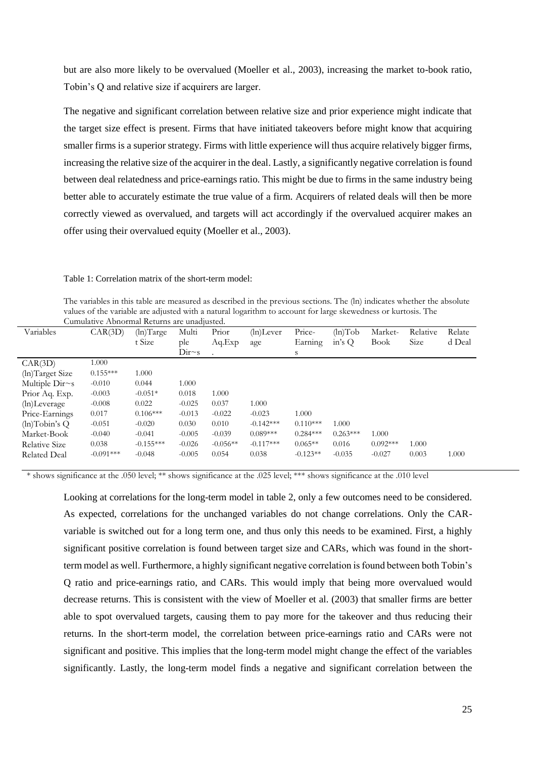but are also more likely to be overvalued (Moeller et al., 2003), increasing the market to-book ratio, Tobin's Q and relative size if acquirers are larger.

The negative and significant correlation between relative size and prior experience might indicate that the target size effect is present. Firms that have initiated takeovers before might know that acquiring smaller firms is a superior strategy. Firms with little experience will thus acquire relatively bigger firms, increasing the relative size of the acquirer in the deal. Lastly, a significantly negative correlation is found between deal relatedness and price-earnings ratio. This might be due to firms in the same industry being better able to accurately estimate the true value of a firm. Acquirers of related deals will then be more correctly viewed as overvalued, and targets will act accordingly if the overvalued acquirer makes an offer using their overvalued equity (Moeller et al., 2003).

Table 1: Correlation matrix of the short-term model:

The variables in this table are measured as described in the previous sections. The (ln) indicates whether the absolute values of the variable are adjusted with a natural logarithm to account for large skewedness or kurtosis. The Cumulative Abnormal Returns are unadjusted.

| Variables           |             |             | Multi            | Prior      |              | Price-     |                   |             | Relative | Relate |
|---------------------|-------------|-------------|------------------|------------|--------------|------------|-------------------|-------------|----------|--------|
|                     | CAR(3D)     | (ln) Target |                  |            | $(ln)$ Lever |            | $(ln) \text{Tob}$ | Market-     |          |        |
|                     |             | t Size      | ple              | Aq.Exp     | age          | Earning    | in's Q            | <b>Book</b> | Size     | d Deal |
|                     |             |             | Dir <sub>s</sub> |            |              | S          |                   |             |          |        |
| CAR(3D)             | 1.000       |             |                  |            |              |            |                   |             |          |        |
| (ln)Target Size     | $0.155***$  | 1.000       |                  |            |              |            |                   |             |          |        |
| Multiple $Dirs$     | $-0.010$    | 0.044       | 1.000            |            |              |            |                   |             |          |        |
| Prior Aq. Exp.      | $-0.003$    | $-0.051*$   | 0.018            | 1.000      |              |            |                   |             |          |        |
| (ln)Leverage        | $-0.008$    | 0.022       | $-0.025$         | 0.037      | 1.000        |            |                   |             |          |        |
| Price-Earnings      | 0.017       | $0.106***$  | $-0.013$         | $-0.022$   | $-0.023$     | 1.000      |                   |             |          |        |
| $(h)$ Tobin's Q     | $-0.051$    | $-0.020$    | 0.030            | 0.010      | $-0.142***$  | $0.110***$ | 1.000             |             |          |        |
| Market-Book         | $-0.040$    | $-0.041$    | $-0.005$         | $-0.039$   | $0.089***$   | $0.284***$ | $0.263***$        | 1.000       |          |        |
| Relative Size       | 0.038       | $-0.155***$ | $-0.026$         | $-0.056**$ | $-0.117***$  | $0.065**$  | 0.016             | $0.092***$  | 1.000    |        |
| <b>Related Deal</b> | $-0.091***$ | $-0.048$    | $-0.005$         | 0.054      | 0.038        | $-0.123**$ | $-0.035$          | $-0.027$    | 0.003    | 1.000  |
|                     |             |             |                  |            |              |            |                   |             |          |        |

\* shows significance at the .050 level; \*\* shows significance at the .025 level; \*\*\* shows significance at the .010 level

Looking at correlations for the long-term model in table 2, only a few outcomes need to be considered. As expected, correlations for the unchanged variables do not change correlations. Only the CARvariable is switched out for a long term one, and thus only this needs to be examined. First, a highly significant positive correlation is found between target size and CARs, which was found in the shortterm model as well. Furthermore, a highly significant negative correlation is found between both Tobin's Q ratio and price-earnings ratio, and CARs. This would imply that being more overvalued would decrease returns. This is consistent with the view of Moeller et al. (2003) that smaller firms are better able to spot overvalued targets, causing them to pay more for the takeover and thus reducing their returns. In the short-term model, the correlation between price-earnings ratio and CARs were not significant and positive. This implies that the long-term model might change the effect of the variables significantly. Lastly, the long-term model finds a negative and significant correlation between the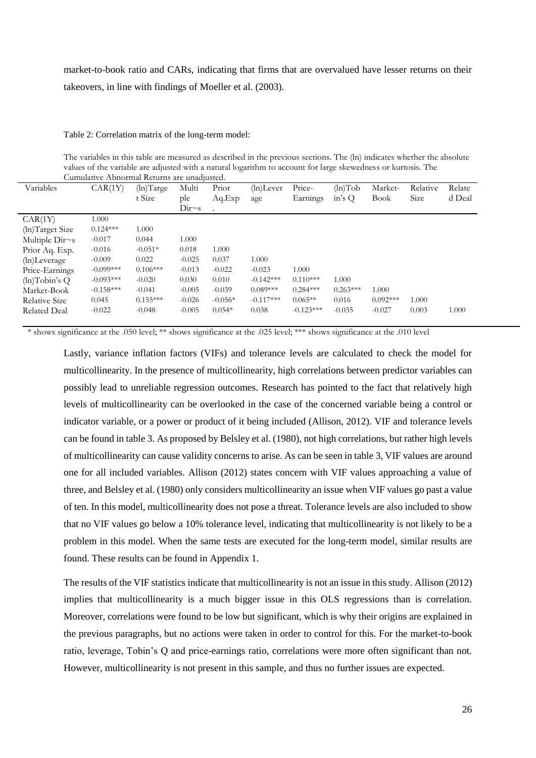market-to-book ratio and CARs, indicating that firms that are overvalued have lesser returns on their takeovers, in line with findings of Moeller et al. (2003).

#### Table 2: Correlation matrix of the long-term model:

The variables in this table are measured as described in the previous sections. The (ln) indicates whether the absolute values of the variable are adjusted with a natural logarithm to account for large skewedness or kurtosis. The Cumulative Abnormal Returns are unadjusted.

| Variables           | CAR(1Y)     | (ln) Target | Multi            | Prior     | $(ln)$ Lever | Price-      | $(ln) \text{Tob}$ | Market-     | Relative | Relate |
|---------------------|-------------|-------------|------------------|-----------|--------------|-------------|-------------------|-------------|----------|--------|
|                     |             | t Size      | ple              | Aq.Exp    | age          | Earnings    | in's $Q$          | <b>Book</b> | Size     | d Deal |
|                     |             |             | Dir <sub>s</sub> |           |              |             |                   |             |          |        |
| CAR(1Y)             | 1.000       |             |                  |           |              |             |                   |             |          |        |
| (ln)Target Size     | $0.124***$  | 1.000       |                  |           |              |             |                   |             |          |        |
| Multiple $Dirs$     | $-0.017$    | 0.044       | 1.000            |           |              |             |                   |             |          |        |
| Prior Aq. Exp.      | $-0.016$    | $-0.051*$   | 0.018            | 1.000     |              |             |                   |             |          |        |
| (ln)Leverage        | $-0.009$    | 0.022       | $-0.025$         | 0.037     | 1.000        |             |                   |             |          |        |
| Price-Earnings      | $-0.099***$ | $0.106***$  | $-0.013$         | $-0.022$  | $-0.023$     | 1.000       |                   |             |          |        |
| $(h)$ Tobin's Q     | $-0.093***$ | $-0.020$    | 0.030            | 0.010     | $-0.142***$  | $0.110***$  | 1.000             |             |          |        |
| Market-Book         | $-0.158***$ | $-0.041$    | $-0.005$         | $-0.039$  | $0.089***$   | $0.284***$  | $0.263***$        | 1.000       |          |        |
| Relative Size       | 0.045       | $0.155***$  | $-0.026$         | $-0.056*$ | $-0.117***$  | $0.065**$   | 0.016             | $0.092***$  | 1.000    |        |
| <b>Related Deal</b> | $-0.022$    | $-0.048$    | $-0.005$         | $0.054*$  | 0.038        | $-0.123***$ | $-0.035$          | $-0.027$    | 0.003    | 1.000  |

\* shows significance at the .050 level; \*\* shows significance at the .025 level; \*\*\* shows significance at the .010 level

Lastly, variance inflation factors (VIFs) and tolerance levels are calculated to check the model for multicollinearity. In the presence of multicollinearity, high correlations between predictor variables can possibly lead to unreliable regression outcomes. Research has pointed to the fact that relatively high levels of multicollinearity can be overlooked in the case of the concerned variable being a control or indicator variable, or a power or product of it being included (Allison, 2012). VIF and tolerance levels can be found in table 3. As proposed by Belsley et al. (1980), not high correlations, but rather high levels of multicollinearity can cause validity concerns to arise. As can be seen in table 3, VIF values are around one for all included variables. Allison (2012) states concern with VIF values approaching a value of three, and Belsley et al. (1980) only considers multicollinearity an issue when VIF values go past a value of ten. In this model, multicollinearity does not pose a threat. Tolerance levels are also included to show that no VIF values go below a 10% tolerance level, indicating that multicollinearity is not likely to be a problem in this model. When the same tests are executed for the long-term model, similar results are found. These results can be found in Appendix 1.

The results of the VIF statistics indicate that multicollinearity is not an issue in this study. Allison (2012) implies that multicollinearity is a much bigger issue in this OLS regressions than is correlation. Moreover, correlations were found to be low but significant, which is why their origins are explained in the previous paragraphs, but no actions were taken in order to control for this. For the market-to-book ratio, leverage, Tobin's Q and price-earnings ratio, correlations were more often significant than not. However, multicollinearity is not present in this sample, and thus no further issues are expected.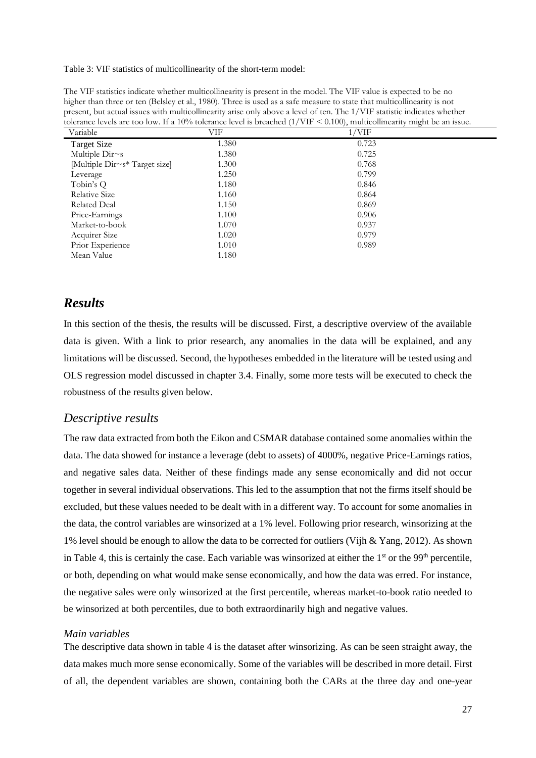Table 3: VIF statistics of multicollinearity of the short-term model:

The VIF statistics indicate whether multicollinearity is present in the model. The VIF value is expected to be no higher than three or ten (Belsley et al., 1980). Three is used as a safe measure to state that multicollinearity is not present, but actual issues with multicollinearity arise only above a level of ten. The 1/VIF statistic indicates whether tolerance levels are too low. If a 10% tolerance level is breached (1/VIF < 0.100), multicollinearity might be an issue.

| Variable                      | VIF   | $1/\text{VIF}$ |  |
|-------------------------------|-------|----------------|--|
| <b>Target Size</b>            | 1.380 | 0.723          |  |
| Multiple Dir~s                | 1.380 | 0.725          |  |
| [Multiple Dir~s* Target size] | 1.300 | 0.768          |  |
| Leverage                      | 1.250 | 0.799          |  |
| Tobin's Q                     | 1.180 | 0.846          |  |
| Relative Size                 | 1.160 | 0.864          |  |
| <b>Related Deal</b>           | 1.150 | 0.869          |  |
| Price-Earnings                | 1.100 | 0.906          |  |
| Market-to-book                | 1.070 | 0.937          |  |
| Acquirer Size                 | 1.020 | 0.979          |  |
| Prior Experience              | 1.010 | 0.989          |  |
| Mean Value                    | 1.180 |                |  |

# <span id="page-27-0"></span>*Results*

In this section of the thesis, the results will be discussed. First, a descriptive overview of the available data is given. With a link to prior research, any anomalies in the data will be explained, and any limitations will be discussed. Second, the hypotheses embedded in the literature will be tested using and OLS regression model discussed in chapter 3.4. Finally, some more tests will be executed to check the robustness of the results given below.

#### <span id="page-27-1"></span>*Descriptive results*

The raw data extracted from both the Eikon and CSMAR database contained some anomalies within the data. The data showed for instance a leverage (debt to assets) of 4000%, negative Price-Earnings ratios, and negative sales data. Neither of these findings made any sense economically and did not occur together in several individual observations. This led to the assumption that not the firms itself should be excluded, but these values needed to be dealt with in a different way. To account for some anomalies in the data, the control variables are winsorized at a 1% level. Following prior research, winsorizing at the 1% level should be enough to allow the data to be corrected for outliers (Vijh & Yang, 2012). As shown in Table 4, this is certainly the case. Each variable was winsorized at either the  $1<sup>st</sup>$  or the 99<sup>th</sup> percentile, or both, depending on what would make sense economically, and how the data was erred. For instance, the negative sales were only winsorized at the first percentile, whereas market-to-book ratio needed to be winsorized at both percentiles, due to both extraordinarily high and negative values.

#### *Main variables*

The descriptive data shown in table 4 is the dataset after winsorizing. As can be seen straight away, the data makes much more sense economically. Some of the variables will be described in more detail. First of all, the dependent variables are shown, containing both the CARs at the three day and one-year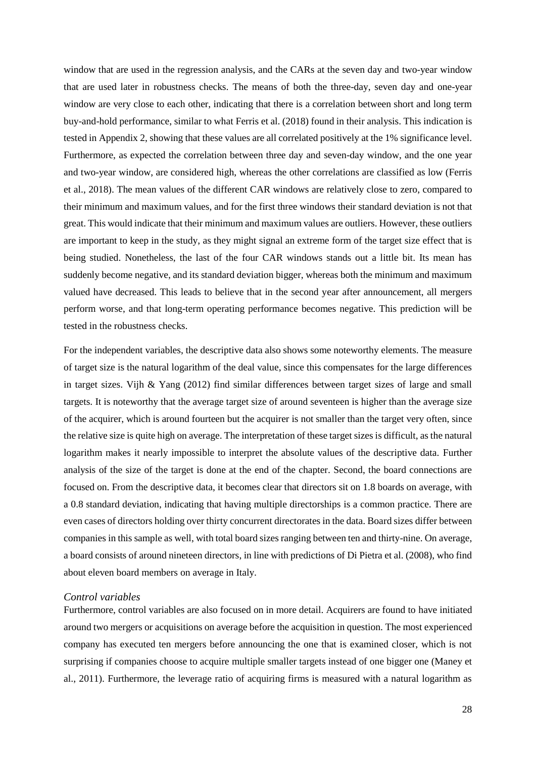window that are used in the regression analysis, and the CARs at the seven day and two-year window that are used later in robustness checks. The means of both the three-day, seven day and one-year window are very close to each other, indicating that there is a correlation between short and long term buy-and-hold performance, similar to what Ferris et al. (2018) found in their analysis. This indication is tested in Appendix 2, showing that these values are all correlated positively at the 1% significance level. Furthermore, as expected the correlation between three day and seven-day window, and the one year and two-year window, are considered high, whereas the other correlations are classified as low (Ferris et al., 2018). The mean values of the different CAR windows are relatively close to zero, compared to their minimum and maximum values, and for the first three windows their standard deviation is not that great. This would indicate that their minimum and maximum values are outliers. However, these outliers are important to keep in the study, as they might signal an extreme form of the target size effect that is being studied. Nonetheless, the last of the four CAR windows stands out a little bit. Its mean has suddenly become negative, and its standard deviation bigger, whereas both the minimum and maximum valued have decreased. This leads to believe that in the second year after announcement, all mergers perform worse, and that long-term operating performance becomes negative. This prediction will be tested in the robustness checks.

For the independent variables, the descriptive data also shows some noteworthy elements. The measure of target size is the natural logarithm of the deal value, since this compensates for the large differences in target sizes. Vijh & Yang (2012) find similar differences between target sizes of large and small targets. It is noteworthy that the average target size of around seventeen is higher than the average size of the acquirer, which is around fourteen but the acquirer is not smaller than the target very often, since the relative size is quite high on average. The interpretation of these target sizes is difficult, as the natural logarithm makes it nearly impossible to interpret the absolute values of the descriptive data. Further analysis of the size of the target is done at the end of the chapter. Second, the board connections are focused on. From the descriptive data, it becomes clear that directors sit on 1.8 boards on average, with a 0.8 standard deviation, indicating that having multiple directorships is a common practice. There are even cases of directors holding over thirty concurrent directorates in the data. Board sizes differ between companies in this sample as well, with total board sizes ranging between ten and thirty-nine. On average, a board consists of around nineteen directors, in line with predictions of Di Pietra et al. (2008), who find about eleven board members on average in Italy.

#### *Control variables*

Furthermore, control variables are also focused on in more detail. Acquirers are found to have initiated around two mergers or acquisitions on average before the acquisition in question. The most experienced company has executed ten mergers before announcing the one that is examined closer, which is not surprising if companies choose to acquire multiple smaller targets instead of one bigger one (Maney et al., 2011). Furthermore, the leverage ratio of acquiring firms is measured with a natural logarithm as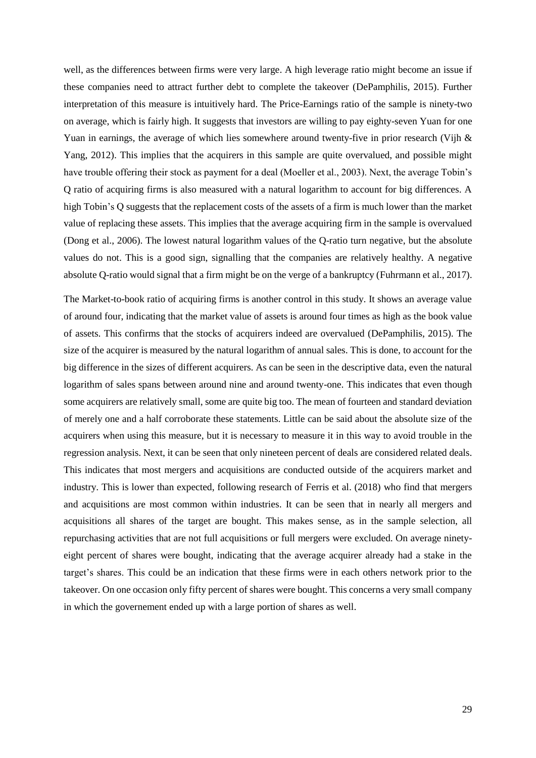well, as the differences between firms were very large. A high leverage ratio might become an issue if these companies need to attract further debt to complete the takeover (DePamphilis, 2015). Further interpretation of this measure is intuitively hard. The Price-Earnings ratio of the sample is ninety-two on average, which is fairly high. It suggests that investors are willing to pay eighty-seven Yuan for one Yuan in earnings, the average of which lies somewhere around twenty-five in prior research (Vijh & Yang, 2012). This implies that the acquirers in this sample are quite overvalued, and possible might have trouble offering their stock as payment for a deal (Moeller et al., 2003). Next, the average Tobin's Q ratio of acquiring firms is also measured with a natural logarithm to account for big differences. A high Tobin's Q suggests that the replacement costs of the assets of a firm is much lower than the market value of replacing these assets. This implies that the average acquiring firm in the sample is overvalued (Dong et al., 2006). The lowest natural logarithm values of the Q-ratio turn negative, but the absolute values do not. This is a good sign, signalling that the companies are relatively healthy. A negative absolute Q-ratio would signal that a firm might be on the verge of a bankruptcy (Fuhrmann et al., 2017).

The Market-to-book ratio of acquiring firms is another control in this study. It shows an average value of around four, indicating that the market value of assets is around four times as high as the book value of assets. This confirms that the stocks of acquirers indeed are overvalued (DePamphilis, 2015). The size of the acquirer is measured by the natural logarithm of annual sales. This is done, to account for the big difference in the sizes of different acquirers. As can be seen in the descriptive data, even the natural logarithm of sales spans between around nine and around twenty-one. This indicates that even though some acquirers are relatively small, some are quite big too. The mean of fourteen and standard deviation of merely one and a half corroborate these statements. Little can be said about the absolute size of the acquirers when using this measure, but it is necessary to measure it in this way to avoid trouble in the regression analysis. Next, it can be seen that only nineteen percent of deals are considered related deals. This indicates that most mergers and acquisitions are conducted outside of the acquirers market and industry. This is lower than expected, following research of Ferris et al. (2018) who find that mergers and acquisitions are most common within industries. It can be seen that in nearly all mergers and acquisitions all shares of the target are bought. This makes sense, as in the sample selection, all repurchasing activities that are not full acquisitions or full mergers were excluded. On average ninetyeight percent of shares were bought, indicating that the average acquirer already had a stake in the target's shares. This could be an indication that these firms were in each others network prior to the takeover. On one occasion only fifty percent of shares were bought. This concerns a very small company in which the governement ended up with a large portion of shares as well.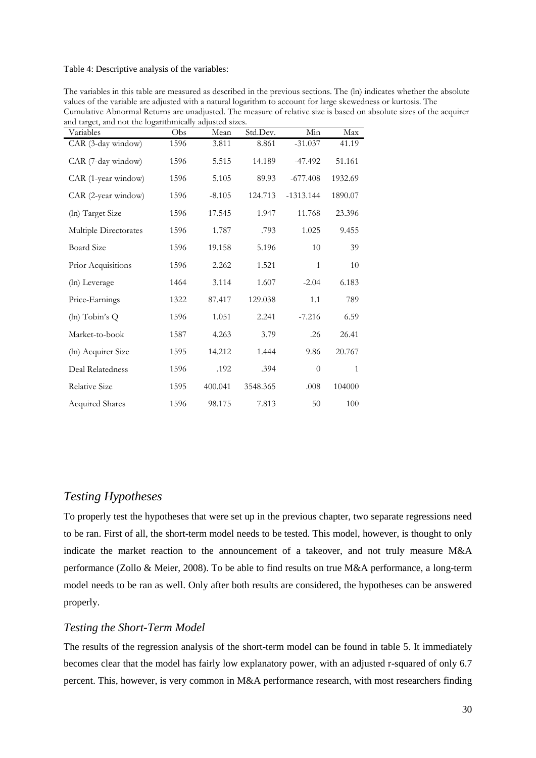#### Table 4: Descriptive analysis of the variables:

| Variables              | Obs  | Mean     | Std.Dev. | Min            | Max          |
|------------------------|------|----------|----------|----------------|--------------|
| CAR (3-day window)     | 1596 | 3.811    | 8.861    | $-31.037$      | 41.19        |
| CAR (7-day window)     | 1596 | 5.515    | 14.189   | $-47.492$      | 51.161       |
| CAR (1-year window)    | 1596 | 5.105    | 89.93    | $-677.408$     | 1932.69      |
| CAR (2-year window)    | 1596 | $-8.105$ | 124.713  | $-1313.144$    | 1890.07      |
| (ln) Target Size       | 1596 | 17.545   | 1.947    | 11.768         | 23.396       |
| Multiple Directorates  | 1596 | 1.787    | .793     | 1.025          | 9.455        |
| <b>Board Size</b>      | 1596 | 19.158   | 5.196    | 10             | 39           |
| Prior Acquisitions     | 1596 | 2.262    | 1.521    | $\mathbf{1}$   | 10           |
| (ln) Leverage          | 1464 | 3.114    | 1.607    | $-2.04$        | 6.183        |
| Price-Earnings         | 1322 | 87.417   | 129.038  | 1.1            | 789          |
| (ln) Tobin's Q         | 1596 | 1.051    | 2.241    | $-7.216$       | 6.59         |
| Market-to-book         | 1587 | 4.263    | 3.79     | .26            | 26.41        |
| (ln) Acquirer Size     | 1595 | 14.212   | 1.444    | 9.86           | 20.767       |
| Deal Relatedness       | 1596 | .192     | .394     | $\overline{0}$ | $\mathbf{1}$ |
| <b>Relative Size</b>   | 1595 | 400.041  | 3548.365 | .008           | 104000       |
| <b>Acquired Shares</b> | 1596 | 98.175   | 7.813    | 50             | 100          |

The variables in this table are measured as described in the previous sections. The (ln) indicates whether the absolute values of the variable are adjusted with a natural logarithm to account for large skewedness or kurtosis. The Cumulative Abnormal Returns are unadjusted. The measure of relative size is based on absolute sizes of the acquirer and target, and not the logarithmically adjusted sizes.

#### <span id="page-30-0"></span>*Testing Hypotheses*

To properly test the hypotheses that were set up in the previous chapter, two separate regressions need to be ran. First of all, the short-term model needs to be tested. This model, however, is thought to only indicate the market reaction to the announcement of a takeover, and not truly measure M&A performance (Zollo & Meier, 2008). To be able to find results on true M&A performance, a long-term model needs to be ran as well. Only after both results are considered, the hypotheses can be answered properly.

#### <span id="page-30-1"></span>*Testing the Short-Term Model*

The results of the regression analysis of the short-term model can be found in table 5. It immediately becomes clear that the model has fairly low explanatory power, with an adjusted r-squared of only 6.7 percent. This, however, is very common in M&A performance research, with most researchers finding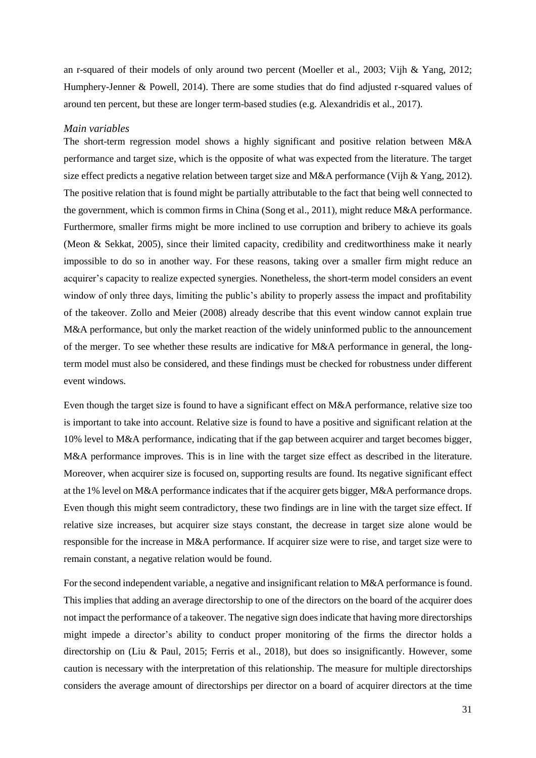an r-squared of their models of only around two percent (Moeller et al., 2003; Vijh & Yang, 2012; Humphery-Jenner & Powell, 2014). There are some studies that do find adjusted r-squared values of around ten percent, but these are longer term-based studies (e.g. Alexandridis et al., 2017).

#### *Main variables*

The short-term regression model shows a highly significant and positive relation between M&A performance and target size, which is the opposite of what was expected from the literature. The target size effect predicts a negative relation between target size and M&A performance (Vijh & Yang, 2012). The positive relation that is found might be partially attributable to the fact that being well connected to the government, which is common firms in China (Song et al., 2011), might reduce M&A performance. Furthermore, smaller firms might be more inclined to use corruption and bribery to achieve its goals (Meon & Sekkat, 2005), since their limited capacity, credibility and creditworthiness make it nearly impossible to do so in another way. For these reasons, taking over a smaller firm might reduce an acquirer's capacity to realize expected synergies. Nonetheless, the short-term model considers an event window of only three days, limiting the public's ability to properly assess the impact and profitability of the takeover. Zollo and Meier (2008) already describe that this event window cannot explain true M&A performance, but only the market reaction of the widely uninformed public to the announcement of the merger. To see whether these results are indicative for M&A performance in general, the longterm model must also be considered, and these findings must be checked for robustness under different event windows.

Even though the target size is found to have a significant effect on M&A performance, relative size too is important to take into account. Relative size is found to have a positive and significant relation at the 10% level to M&A performance, indicating that if the gap between acquirer and target becomes bigger, M&A performance improves. This is in line with the target size effect as described in the literature. Moreover, when acquirer size is focused on, supporting results are found. Its negative significant effect at the 1% level on M&A performance indicates that if the acquirer gets bigger, M&A performance drops. Even though this might seem contradictory, these two findings are in line with the target size effect. If relative size increases, but acquirer size stays constant, the decrease in target size alone would be responsible for the increase in M&A performance. If acquirer size were to rise, and target size were to remain constant, a negative relation would be found.

For the second independent variable, a negative and insignificant relation to M&A performance is found. This implies that adding an average directorship to one of the directors on the board of the acquirer does not impact the performance of a takeover. The negative sign does indicate that having more directorships might impede a director's ability to conduct proper monitoring of the firms the director holds a directorship on (Liu & Paul, 2015; Ferris et al., 2018), but does so insignificantly. However, some caution is necessary with the interpretation of this relationship. The measure for multiple directorships considers the average amount of directorships per director on a board of acquirer directors at the time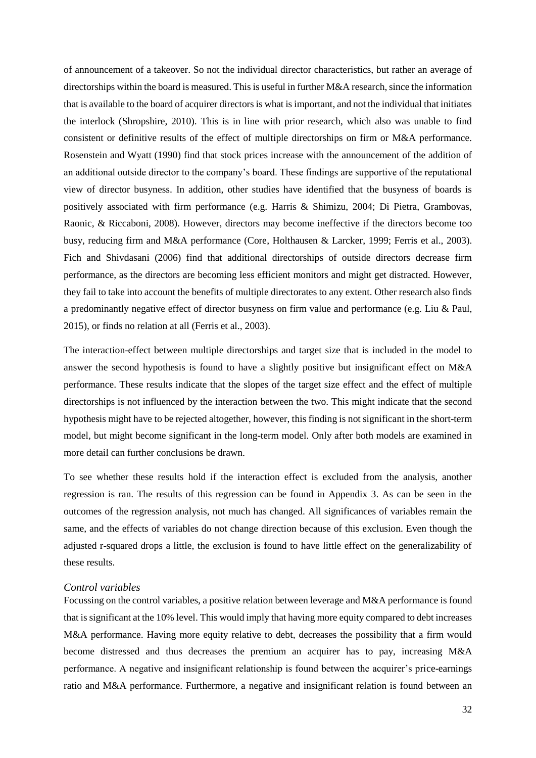of announcement of a takeover. So not the individual director characteristics, but rather an average of directorships within the board is measured. This is useful in further M&A research, since the information that is available to the board of acquirer directors is what is important, and not the individual that initiates the interlock (Shropshire, 2010). This is in line with prior research, which also was unable to find consistent or definitive results of the effect of multiple directorships on firm or M&A performance. Rosenstein and Wyatt (1990) find that stock prices increase with the announcement of the addition of an additional outside director to the company's board. These findings are supportive of the reputational view of director busyness. In addition, other studies have identified that the busyness of boards is positively associated with firm performance (e.g. Harris & Shimizu, 2004; Di Pietra, Grambovas, Raonic, & Riccaboni, 2008). However, directors may become ineffective if the directors become too busy, reducing firm and M&A performance (Core, Holthausen & Larcker, 1999; Ferris et al., 2003). Fich and Shivdasani (2006) find that additional directorships of outside directors decrease firm performance, as the directors are becoming less efficient monitors and might get distracted. However, they fail to take into account the benefits of multiple directorates to any extent. Other research also finds a predominantly negative effect of director busyness on firm value and performance (e.g. Liu & Paul, 2015), or finds no relation at all (Ferris et al., 2003).

The interaction-effect between multiple directorships and target size that is included in the model to answer the second hypothesis is found to have a slightly positive but insignificant effect on M&A performance. These results indicate that the slopes of the target size effect and the effect of multiple directorships is not influenced by the interaction between the two. This might indicate that the second hypothesis might have to be rejected altogether, however, this finding is not significant in the short-term model, but might become significant in the long-term model. Only after both models are examined in more detail can further conclusions be drawn.

To see whether these results hold if the interaction effect is excluded from the analysis, another regression is ran. The results of this regression can be found in Appendix 3. As can be seen in the outcomes of the regression analysis, not much has changed. All significances of variables remain the same, and the effects of variables do not change direction because of this exclusion. Even though the adjusted r-squared drops a little, the exclusion is found to have little effect on the generalizability of these results.

#### *Control variables*

Focussing on the control variables, a positive relation between leverage and M&A performance is found that is significant at the 10% level. This would imply that having more equity compared to debt increases M&A performance. Having more equity relative to debt, decreases the possibility that a firm would become distressed and thus decreases the premium an acquirer has to pay, increasing M&A performance. A negative and insignificant relationship is found between the acquirer's price-earnings ratio and M&A performance. Furthermore, a negative and insignificant relation is found between an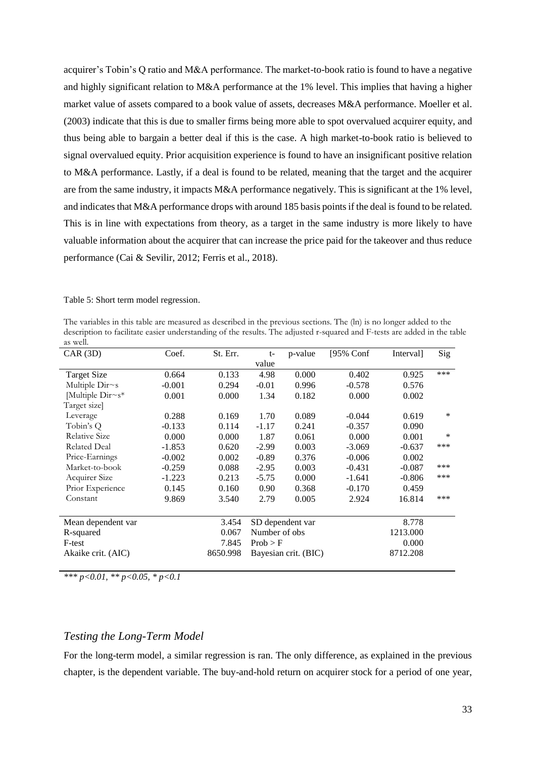acquirer's Tobin's Q ratio and M&A performance. The market-to-book ratio is found to have a negative and highly significant relation to M&A performance at the 1% level. This implies that having a higher market value of assets compared to a book value of assets, decreases M&A performance. Moeller et al. (2003) indicate that this is due to smaller firms being more able to spot overvalued acquirer equity, and thus being able to bargain a better deal if this is the case. A high market-to-book ratio is believed to signal overvalued equity. Prior acquisition experience is found to have an insignificant positive relation to M&A performance. Lastly, if a deal is found to be related, meaning that the target and the acquirer are from the same industry, it impacts M&A performance negatively. This is significant at the 1% level, and indicates that M&A performance drops with around 185 basis points if the deal is found to be related. This is in line with expectations from theory, as a target in the same industry is more likely to have valuable information about the acquirer that can increase the price paid for the takeover and thus reduce performance (Cai & Sevilir, 2012; Ferris et al., 2018).

Table 5: Short term model regression.

The variables in this table are measured as described in the previous sections. The (ln) is no longer added to the description to facilitate easier understanding of the results. The adjusted r-squared and F-tests are added in the table as well.

| CAR(3D)             | Coef.    | St. Err. | $t-$          | p-value              | [95% Conf | Interval] | Sig |
|---------------------|----------|----------|---------------|----------------------|-----------|-----------|-----|
|                     |          |          | value         |                      |           |           |     |
| <b>Target Size</b>  | 0.664    | 0.133    | 4.98          | 0.000                | 0.402     | 0.925     | *** |
| Multiple $Dirs$     | $-0.001$ | 0.294    | $-0.01$       | 0.996                | $-0.578$  | 0.576     |     |
| Multiple Dir~s*     | 0.001    | 0.000    | 1.34          | 0.182                | 0.000     | 0.002     |     |
| Target size]        |          |          |               |                      |           |           |     |
| Leverage            | 0.288    | 0.169    | 1.70          | 0.089                | $-0.044$  | 0.619     | *   |
| Tobin's Q           | $-0.133$ | 0.114    | $-1.17$       | 0.241                | $-0.357$  | 0.090     |     |
| Relative Size       | 0.000    | 0.000    | 1.87          | 0.061                | 0.000     | 0.001     | *   |
| <b>Related Deal</b> | $-1.853$ | 0.620    | $-2.99$       | 0.003                | $-3.069$  | $-0.637$  | *** |
| Price-Earnings      | $-0.002$ | 0.002    | $-0.89$       | 0.376                | $-0.006$  | 0.002     |     |
| Market-to-book      | $-0.259$ | 0.088    | $-2.95$       | 0.003                | $-0.431$  | $-0.087$  | *** |
| Acquirer Size       | $-1.223$ | 0.213    | $-5.75$       | 0.000                | $-1.641$  | $-0.806$  | *** |
| Prior Experience    | 0.145    | 0.160    | 0.90          | 0.368                | $-0.170$  | 0.459     |     |
| Constant            | 9.869    | 3.540    | 2.79          | 0.005                | 2.924     | 16.814    | *** |
| Mean dependent var  |          | 3.454    |               | SD dependent var     |           | 8.778     |     |
| R-squared           |          | 0.067    | Number of obs |                      |           | 1213.000  |     |
| F-test              |          | 7.845    | Prob > F      |                      |           | 0.000     |     |
| Akaike crit. (AIC)  |          | 8650.998 |               | Bayesian crit. (BIC) |           | 8712.208  |     |

*\*\*\* p<0.01, \*\* p<0.05, \* p<0.1* 

# <span id="page-33-0"></span>*Testing the Long-Term Model*

For the long-term model, a similar regression is ran. The only difference, as explained in the previous chapter, is the dependent variable. The buy-and-hold return on acquirer stock for a period of one year,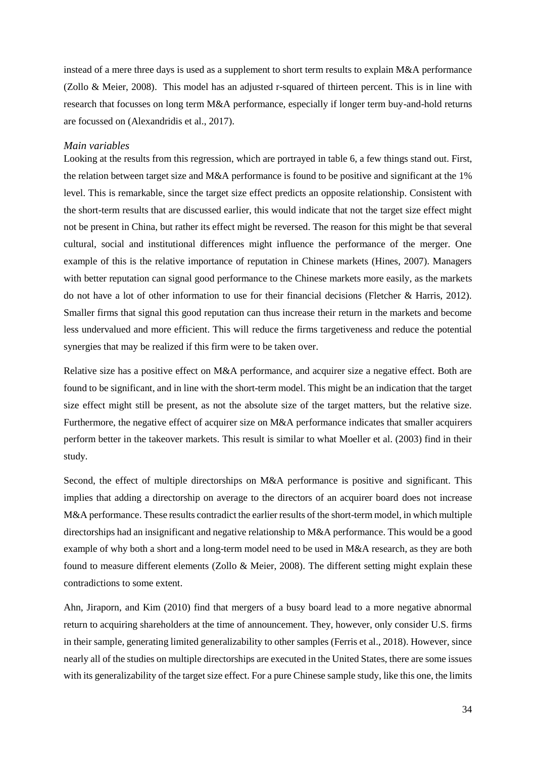instead of a mere three days is used as a supplement to short term results to explain M&A performance (Zollo & Meier, 2008). This model has an adjusted r-squared of thirteen percent. This is in line with research that focusses on long term M&A performance, especially if longer term buy-and-hold returns are focussed on (Alexandridis et al., 2017).

#### *Main variables*

Looking at the results from this regression, which are portrayed in table 6, a few things stand out. First, the relation between target size and M&A performance is found to be positive and significant at the 1% level. This is remarkable, since the target size effect predicts an opposite relationship. Consistent with the short-term results that are discussed earlier, this would indicate that not the target size effect might not be present in China, but rather its effect might be reversed. The reason for this might be that several cultural, social and institutional differences might influence the performance of the merger. One example of this is the relative importance of reputation in Chinese markets (Hines, 2007). Managers with better reputation can signal good performance to the Chinese markets more easily, as the markets do not have a lot of other information to use for their financial decisions (Fletcher & Harris, 2012). Smaller firms that signal this good reputation can thus increase their return in the markets and become less undervalued and more efficient. This will reduce the firms targetiveness and reduce the potential synergies that may be realized if this firm were to be taken over.

Relative size has a positive effect on M&A performance, and acquirer size a negative effect. Both are found to be significant, and in line with the short-term model. This might be an indication that the target size effect might still be present, as not the absolute size of the target matters, but the relative size. Furthermore, the negative effect of acquirer size on M&A performance indicates that smaller acquirers perform better in the takeover markets. This result is similar to what Moeller et al. (2003) find in their study.

Second, the effect of multiple directorships on M&A performance is positive and significant. This implies that adding a directorship on average to the directors of an acquirer board does not increase M&A performance. These results contradict the earlier results of the short-term model, in which multiple directorships had an insignificant and negative relationship to M&A performance. This would be a good example of why both a short and a long-term model need to be used in M&A research, as they are both found to measure different elements (Zollo & Meier, 2008). The different setting might explain these contradictions to some extent.

Ahn, Jiraporn, and Kim (2010) find that mergers of a busy board lead to a more negative abnormal return to acquiring shareholders at the time of announcement. They, however, only consider U.S. firms in their sample, generating limited generalizability to other samples (Ferris et al., 2018). However, since nearly all of the studies on multiple directorships are executed in the United States, there are some issues with its generalizability of the target size effect. For a pure Chinese sample study, like this one, the limits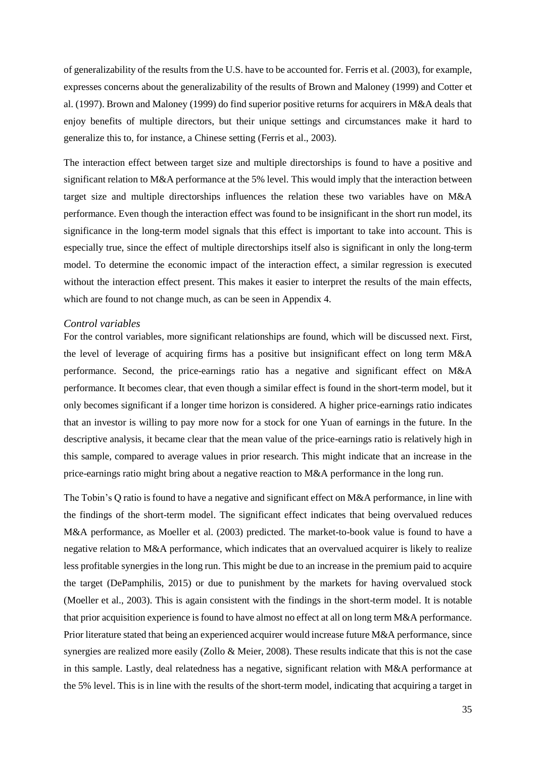of generalizability of the results from the U.S. have to be accounted for. Ferris et al. (2003), for example, expresses concerns about the generalizability of the results of Brown and Maloney (1999) and Cotter et al. (1997). Brown and Maloney (1999) do find superior positive returns for acquirers in M&A deals that enjoy benefits of multiple directors, but their unique settings and circumstances make it hard to generalize this to, for instance, a Chinese setting (Ferris et al., 2003).

The interaction effect between target size and multiple directorships is found to have a positive and significant relation to M&A performance at the 5% level. This would imply that the interaction between target size and multiple directorships influences the relation these two variables have on M&A performance. Even though the interaction effect was found to be insignificant in the short run model, its significance in the long-term model signals that this effect is important to take into account. This is especially true, since the effect of multiple directorships itself also is significant in only the long-term model. To determine the economic impact of the interaction effect, a similar regression is executed without the interaction effect present. This makes it easier to interpret the results of the main effects, which are found to not change much, as can be seen in Appendix 4.

#### *Control variables*

For the control variables, more significant relationships are found, which will be discussed next. First, the level of leverage of acquiring firms has a positive but insignificant effect on long term M&A performance. Second, the price-earnings ratio has a negative and significant effect on M&A performance. It becomes clear, that even though a similar effect is found in the short-term model, but it only becomes significant if a longer time horizon is considered. A higher price-earnings ratio indicates that an investor is willing to pay more now for a stock for one Yuan of earnings in the future. In the descriptive analysis, it became clear that the mean value of the price-earnings ratio is relatively high in this sample, compared to average values in prior research. This might indicate that an increase in the price-earnings ratio might bring about a negative reaction to M&A performance in the long run.

The Tobin's Q ratio is found to have a negative and significant effect on M&A performance, in line with the findings of the short-term model. The significant effect indicates that being overvalued reduces M&A performance, as Moeller et al. (2003) predicted. The market-to-book value is found to have a negative relation to M&A performance, which indicates that an overvalued acquirer is likely to realize less profitable synergies in the long run. This might be due to an increase in the premium paid to acquire the target (DePamphilis, 2015) or due to punishment by the markets for having overvalued stock (Moeller et al., 2003). This is again consistent with the findings in the short-term model. It is notable that prior acquisition experience is found to have almost no effect at all on long term M&A performance. Prior literature stated that being an experienced acquirer would increase future M&A performance, since synergies are realized more easily (Zollo & Meier, 2008). These results indicate that this is not the case in this sample. Lastly, deal relatedness has a negative, significant relation with M&A performance at the 5% level. This is in line with the results of the short-term model, indicating that acquiring a target in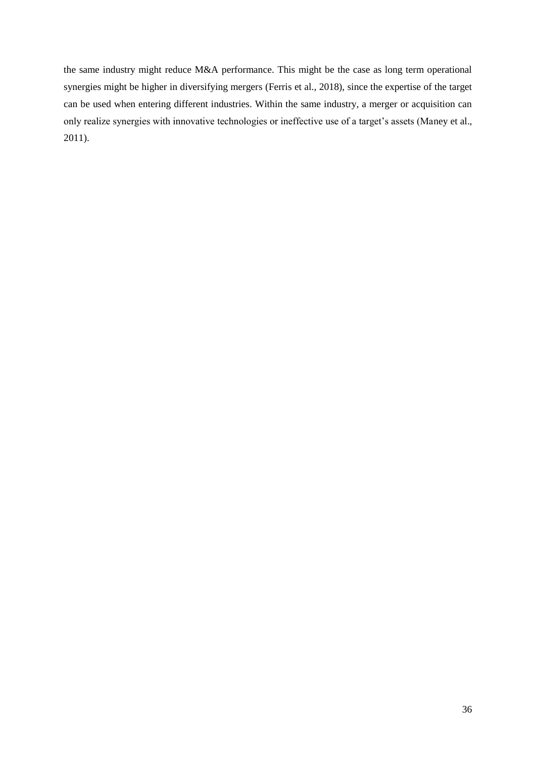the same industry might reduce M&A performance. This might be the case as long term operational synergies might be higher in diversifying mergers (Ferris et al., 2018), since the expertise of the target can be used when entering different industries. Within the same industry, a merger or acquisition can only realize synergies with innovative technologies or ineffective use of a target's assets (Maney et al., 2011).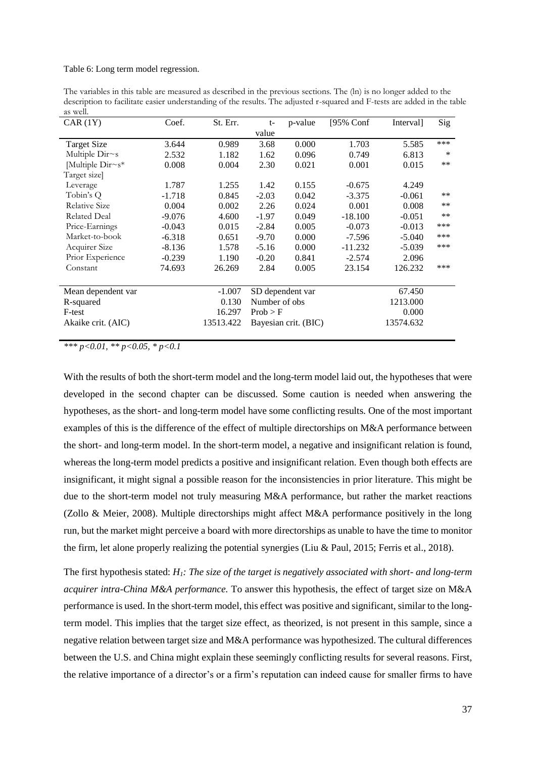#### Table 6: Long term model regression.

The variables in this table are measured as described in the previous sections. The (ln) is no longer added to the description to facilitate easier understanding of the results. The adjusted r-squared and F-tests are added in the table as well.

| CAR(1Y)              | Coef.    | St. Err.  | t-            | p-value              | [95% Conf | Interval] | Sig   |
|----------------------|----------|-----------|---------------|----------------------|-----------|-----------|-------|
|                      |          |           | value         |                      |           |           |       |
| <b>Target Size</b>   | 3.644    | 0.989     | 3.68          | 0.000                | 1.703     | 5.585     | ***   |
| Multiple Dir~s       | 2.532    | 1.182     | 1.62          | 0.096                | 0.749     | 6.813     | ∗     |
| Multiple Dir~s*      | 0.008    | 0.004     | 2.30          | 0.021                | 0.001     | 0.015     | $***$ |
| Target size]         |          |           |               |                      |           |           |       |
| Leverage             | 1.787    | 1.255     | 1.42          | 0.155                | $-0.675$  | 4.249     |       |
| Tobin's Q            | $-1.718$ | 0.845     | $-2.03$       | 0.042                | $-3.375$  | $-0.061$  | $***$ |
| <b>Relative Size</b> | 0.004    | 0.002     | 2.26          | 0.024                | 0.001     | 0.008     | $***$ |
| <b>Related Deal</b>  | $-9.076$ | 4.600     | $-1.97$       | 0.049                | $-18.100$ | $-0.051$  | $***$ |
| Price-Earnings       | $-0.043$ | 0.015     | $-2.84$       | 0.005                | $-0.073$  | $-0.013$  | ***   |
| Market-to-book       | $-6.318$ | 0.651     | $-9.70$       | 0.000                | $-7.596$  | $-5.040$  | ***   |
| Acquirer Size        | $-8.136$ | 1.578     | $-5.16$       | 0.000                | $-11.232$ | $-5.039$  | ***   |
| Prior Experience     | $-0.239$ | 1.190     | $-0.20$       | 0.841                | $-2.574$  | 2.096     |       |
| Constant             | 74.693   | 26.269    | 2.84          | 0.005                | 23.154    | 126.232   | ***   |
| Mean dependent var   |          | $-1.007$  |               | SD dependent var     |           | 67.450    |       |
| R-squared            |          | 0.130     | Number of obs |                      |           | 1213.000  |       |
| F-test               |          | 16.297    | Prob > F      |                      |           | 0.000     |       |
| Akaike crit. (AIC)   |          | 13513.422 |               | Bayesian crit. (BIC) |           | 13574.632 |       |

*\*\*\* p<0.01, \*\* p<0.05, \* p<0.1* 

With the results of both the short-term model and the long-term model laid out, the hypotheses that were developed in the second chapter can be discussed. Some caution is needed when answering the hypotheses, as the short- and long-term model have some conflicting results. One of the most important examples of this is the difference of the effect of multiple directorships on M&A performance between the short- and long-term model. In the short-term model, a negative and insignificant relation is found, whereas the long-term model predicts a positive and insignificant relation. Even though both effects are insignificant, it might signal a possible reason for the inconsistencies in prior literature. This might be due to the short-term model not truly measuring M&A performance, but rather the market reactions (Zollo & Meier, 2008). Multiple directorships might affect M&A performance positively in the long run, but the market might perceive a board with more directorships as unable to have the time to monitor the firm, let alone properly realizing the potential synergies (Liu & Paul, 2015; Ferris et al., 2018).

The first hypothesis stated: *H1: The size of the target is negatively associated with short- and long-term acquirer intra-China M&A performance.* To answer this hypothesis, the effect of target size on M&A performance is used. In the short-term model, this effect was positive and significant, similar to the longterm model. This implies that the target size effect, as theorized, is not present in this sample, since a negative relation between target size and M&A performance was hypothesized. The cultural differences between the U.S. and China might explain these seemingly conflicting results for several reasons. First, the relative importance of a director's or a firm's reputation can indeed cause for smaller firms to have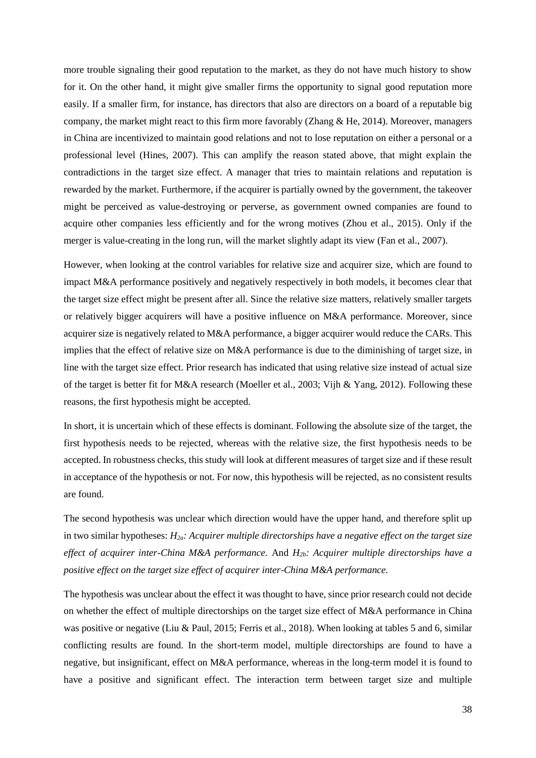more trouble signaling their good reputation to the market, as they do not have much history to show for it. On the other hand, it might give smaller firms the opportunity to signal good reputation more easily. If a smaller firm, for instance, has directors that also are directors on a board of a reputable big company, the market might react to this firm more favorably (Zhang  $\&$  He, 2014). Moreover, managers in China are incentivized to maintain good relations and not to lose reputation on either a personal or a professional level (Hines, 2007). This can amplify the reason stated above, that might explain the contradictions in the target size effect. A manager that tries to maintain relations and reputation is rewarded by the market. Furthermore, if the acquirer is partially owned by the government, the takeover might be perceived as value-destroying or perverse, as government owned companies are found to acquire other companies less efficiently and for the wrong motives (Zhou et al., 2015). Only if the merger is value-creating in the long run, will the market slightly adapt its view (Fan et al., 2007).

However, when looking at the control variables for relative size and acquirer size, which are found to impact M&A performance positively and negatively respectively in both models, it becomes clear that the target size effect might be present after all. Since the relative size matters, relatively smaller targets or relatively bigger acquirers will have a positive influence on M&A performance. Moreover, since acquirer size is negatively related to M&A performance, a bigger acquirer would reduce the CARs. This implies that the effect of relative size on M&A performance is due to the diminishing of target size, in line with the target size effect. Prior research has indicated that using relative size instead of actual size of the target is better fit for M&A research (Moeller et al., 2003; Vijh & Yang, 2012). Following these reasons, the first hypothesis might be accepted.

In short, it is uncertain which of these effects is dominant. Following the absolute size of the target, the first hypothesis needs to be rejected, whereas with the relative size, the first hypothesis needs to be accepted. In robustness checks, this study will look at different measures of target size and if these result in acceptance of the hypothesis or not. For now, this hypothesis will be rejected, as no consistent results are found.

The second hypothesis was unclear which direction would have the upper hand, and therefore split up in two similar hypotheses: *H2a: Acquirer multiple directorships have a negative effect on the target size effect of acquirer inter-China M&A performance.* And *H2b: Acquirer multiple directorships have a positive effect on the target size effect of acquirer inter-China M&A performance.*

The hypothesis was unclear about the effect it was thought to have, since prior research could not decide on whether the effect of multiple directorships on the target size effect of M&A performance in China was positive or negative (Liu & Paul, 2015; Ferris et al., 2018). When looking at tables 5 and 6, similar conflicting results are found. In the short-term model, multiple directorships are found to have a negative, but insignificant, effect on M&A performance, whereas in the long-term model it is found to have a positive and significant effect. The interaction term between target size and multiple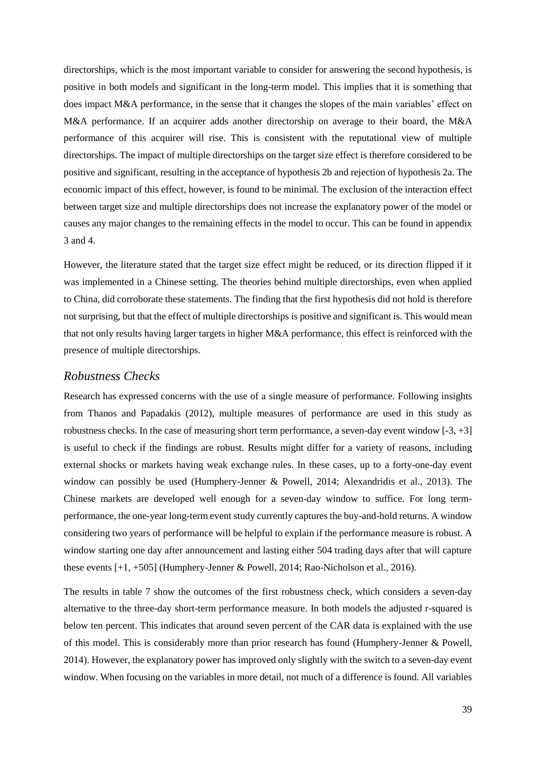directorships, which is the most important variable to consider for answering the second hypothesis, is positive in both models and significant in the long-term model. This implies that it is something that does impact M&A performance, in the sense that it changes the slopes of the main variables' effect on M&A performance. If an acquirer adds another directorship on average to their board, the M&A performance of this acquirer will rise. This is consistent with the reputational view of multiple directorships. The impact of multiple directorships on the target size effect is therefore considered to be positive and significant, resulting in the acceptance of hypothesis 2b and rejection of hypothesis 2a. The economic impact of this effect, however, is found to be minimal. The exclusion of the interaction effect between target size and multiple directorships does not increase the explanatory power of the model or causes any major changes to the remaining effects in the model to occur. This can be found in appendix 3 and 4.

However, the literature stated that the target size effect might be reduced, or its direction flipped if it was implemented in a Chinese setting. The theories behind multiple directorships, even when applied to China, did corroborate these statements. The finding that the first hypothesis did not hold is therefore not surprising, but that the effect of multiple directorships is positive and significant is. This would mean that not only results having larger targets in higher M&A performance, this effect is reinforced with the presence of multiple directorships.

#### <span id="page-39-0"></span>*Robustness Checks*

Research has expressed concerns with the use of a single measure of performance. Following insights from Thanos and Papadakis (2012), multiple measures of performance are used in this study as robustness checks. In the case of measuring short term performance, a seven-day event window  $[-3, +3]$ is useful to check if the findings are robust. Results might differ for a variety of reasons, including external shocks or markets having weak exchange rules. In these cases, up to a forty-one-day event window can possibly be used (Humphery-Jenner & Powell, 2014; Alexandridis et al., 2013). The Chinese markets are developed well enough for a seven-day window to suffice. For long termperformance, the one-year long-term event study currently captures the buy-and-hold returns. A window considering two years of performance will be helpful to explain if the performance measure is robust. A window starting one day after announcement and lasting either 504 trading days after that will capture these events [+1, +505] (Humphery-Jenner & Powell, 2014; Rao-Nicholson et al., 2016).

The results in table 7 show the outcomes of the first robustness check, which considers a seven-day alternative to the three-day short-term performance measure. In both models the adjusted r-squared is below ten percent. This indicates that around seven percent of the CAR data is explained with the use of this model. This is considerably more than prior research has found (Humphery-Jenner & Powell, 2014). However, the explanatory power has improved only slightly with the switch to a seven-day event window. When focusing on the variables in more detail, not much of a difference is found. All variables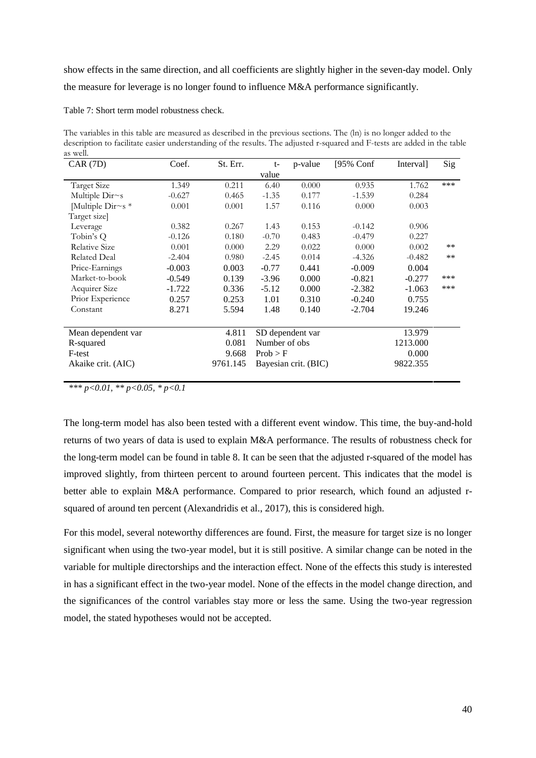show effects in the same direction, and all coefficients are slightly higher in the seven-day model. Only the measure for leverage is no longer found to influence M&A performance significantly.

Table 7: Short term model robustness check.

The variables in this table are measured as described in the previous sections. The (ln) is no longer added to the description to facilitate easier understanding of the results. The adjusted r-squared and F-tests are added in the table as well.

| CAR(7D)                 | Coef.    | St. Err. | $t-$          | p-value              | [95% Conf | Interval] | Sig   |
|-------------------------|----------|----------|---------------|----------------------|-----------|-----------|-------|
|                         |          |          | value         |                      |           |           |       |
| <b>Target Size</b>      | 1.349    | 0.211    | 6.40          | 0.000                | 0.935     | 1.762     | ***   |
| Multiple Dir~s          | $-0.627$ | 0.465    | $-1.35$       | 0.177                | $-1.539$  | 0.284     |       |
| Multiple Dir $\sim s$ * | 0.001    | 0.001    | 1.57          | 0.116                | 0.000     | 0.003     |       |
| Target size]            |          |          |               |                      |           |           |       |
| Leverage                | 0.382    | 0.267    | 1.43          | 0.153                | $-0.142$  | 0.906     |       |
| Tobin's Q               | $-0.126$ | 0.180    | $-0.70$       | 0.483                | $-0.479$  | 0.227     |       |
| Relative Size           | 0.001    | 0.000    | 2.29          | 0.022                | 0.000     | 0.002     | $***$ |
| <b>Related Deal</b>     | $-2.404$ | 0.980    | $-2.45$       | 0.014                | $-4.326$  | $-0.482$  | **    |
| Price-Earnings          | $-0.003$ | 0.003    | $-0.77$       | 0.441                | $-0.009$  | 0.004     |       |
| Market-to-book          | $-0.549$ | 0.139    | $-3.96$       | 0.000                | $-0.821$  | $-0.277$  | ***   |
| Acquirer Size           | $-1.722$ | 0.336    | $-5.12$       | 0.000                | $-2.382$  | $-1.063$  | ***   |
| Prior Experience        | 0.257    | 0.253    | 1.01          | 0.310                | $-0.240$  | 0.755     |       |
| Constant                | 8.271    | 5.594    | 1.48          | 0.140                | $-2.704$  | 19.246    |       |
|                         |          |          |               |                      |           |           |       |
| Mean dependent var      |          | 4.811    |               | SD dependent var     |           | 13.979    |       |
| R-squared               |          | 0.081    | Number of obs |                      |           | 1213.000  |       |
| F-test                  |          | 9.668    | Prob > F      |                      |           | 0.000     |       |
| Akaike crit. (AIC)      |          | 9761.145 |               | Bayesian crit. (BIC) |           | 9822.355  |       |

*\*\*\* p<0.01, \*\* p<0.05, \* p<0.1* 

The long-term model has also been tested with a different event window. This time, the buy-and-hold returns of two years of data is used to explain M&A performance. The results of robustness check for the long-term model can be found in table 8. It can be seen that the adjusted r-squared of the model has improved slightly, from thirteen percent to around fourteen percent. This indicates that the model is better able to explain M&A performance. Compared to prior research, which found an adjusted rsquared of around ten percent (Alexandridis et al., 2017), this is considered high.

For this model, several noteworthy differences are found. First, the measure for target size is no longer significant when using the two-year model, but it is still positive. A similar change can be noted in the variable for multiple directorships and the interaction effect. None of the effects this study is interested in has a significant effect in the two-year model. None of the effects in the model change direction, and the significances of the control variables stay more or less the same. Using the two-year regression model, the stated hypotheses would not be accepted.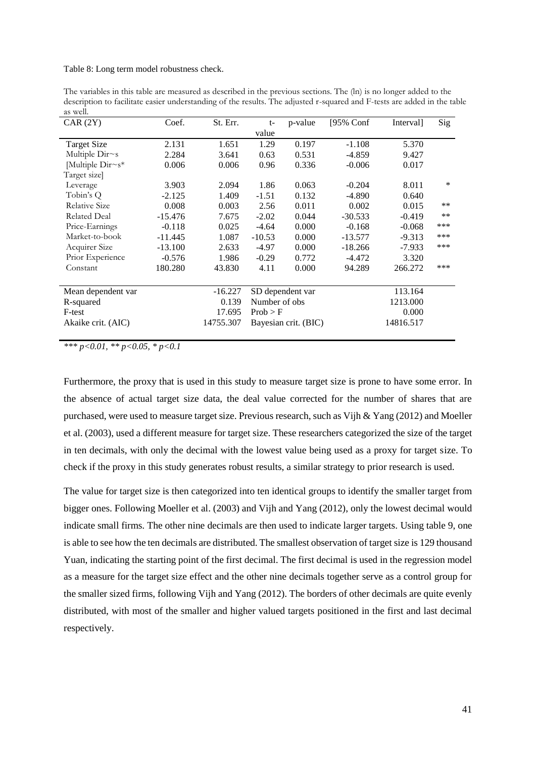#### Table 8: Long term model robustness check.

The variables in this table are measured as described in the previous sections. The (ln) is no longer added to the description to facilitate easier understanding of the results. The adjusted r-squared and F-tests are added in the table as well.

| CAR(2Y)             | Coef.     | St. Err.  | t-            | p-value              | $[95%$ Conf | Interval] | Sig    |
|---------------------|-----------|-----------|---------------|----------------------|-------------|-----------|--------|
|                     |           |           | value         |                      |             |           |        |
| <b>Target Size</b>  | 2.131     | 1.651     | 1.29          | 0.197                | $-1.108$    | 5.370     |        |
| Multiple $Dirs$     | 2.284     | 3.641     | 0.63          | 0.531                | $-4.859$    | 9.427     |        |
| Multiple Dir~s*     | 0.006     | 0.006     | 0.96          | 0.336                | $-0.006$    | 0.017     |        |
| Target size         |           |           |               |                      |             |           |        |
| Leverage            | 3.903     | 2.094     | 1.86          | 0.063                | $-0.204$    | 8.011     | $\ast$ |
| Tobin's Q           | $-2.125$  | 1.409     | $-1.51$       | 0.132                | $-4.890$    | 0.640     |        |
| Relative Size       | 0.008     | 0.003     | 2.56          | 0.011                | 0.002       | 0.015     | $***$  |
| <b>Related Deal</b> | $-15.476$ | 7.675     | $-2.02$       | 0.044                | $-30.533$   | $-0.419$  | $***$  |
| Price-Earnings      | $-0.118$  | 0.025     | $-4.64$       | 0.000                | $-0.168$    | $-0.068$  | ***    |
| Market-to-book      | $-11.445$ | 1.087     | $-10.53$      | 0.000                | $-13.577$   | $-9.313$  | ***    |
| Acquirer Size       | $-13.100$ | 2.633     | $-4.97$       | 0.000                | $-18.266$   | $-7.933$  | ***    |
| Prior Experience    | $-0.576$  | 1.986     | $-0.29$       | 0.772                | $-4.472$    | 3.320     |        |
| Constant            | 180.280   | 43.830    | 4.11          | 0.000                | 94.289      | 266.272   | ***    |
| Mean dependent var  |           | $-16.227$ |               | SD dependent var     |             | 113.164   |        |
| R-squared           |           | 0.139     | Number of obs |                      |             | 1213.000  |        |
| F-test              |           | 17.695    | Prob > F      |                      |             | 0.000     |        |
| Akaike crit. (AIC)  |           | 14755.307 |               | Bayesian crit. (BIC) |             | 14816.517 |        |
|                     |           |           |               |                      |             |           |        |

*\*\*\* p<0.01, \*\* p<0.05, \* p<0.1* 

Furthermore, the proxy that is used in this study to measure target size is prone to have some error. In the absence of actual target size data, the deal value corrected for the number of shares that are purchased, were used to measure target size. Previous research, such as Vijh & Yang (2012) and Moeller et al. (2003), used a different measure for target size. These researchers categorized the size of the target in ten decimals, with only the decimal with the lowest value being used as a proxy for target size. To check if the proxy in this study generates robust results, a similar strategy to prior research is used.

The value for target size is then categorized into ten identical groups to identify the smaller target from bigger ones. Following Moeller et al. (2003) and Vijh and Yang (2012), only the lowest decimal would indicate small firms. The other nine decimals are then used to indicate larger targets. Using table 9, one is able to see how the ten decimals are distributed. The smallest observation of target size is 129 thousand Yuan, indicating the starting point of the first decimal. The first decimal is used in the regression model as a measure for the target size effect and the other nine decimals together serve as a control group for the smaller sized firms, following Vijh and Yang (2012). The borders of other decimals are quite evenly distributed, with most of the smaller and higher valued targets positioned in the first and last decimal respectively.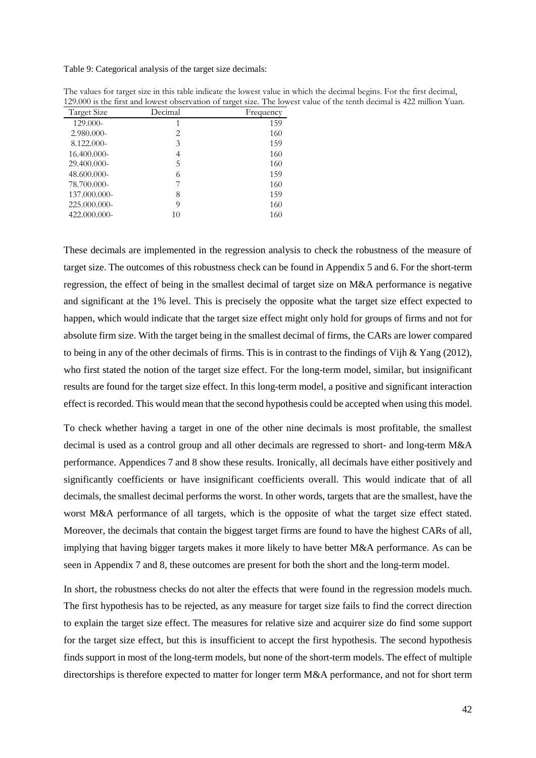Table 9: Categorical analysis of the target size decimals:

| Target Size  | Decimal | Frequency |
|--------------|---------|-----------|
| 129.000-     | 1       | 159       |
| 2.980.000-   | 2       | 160       |
| 8.122.000-   | 3       | 159       |
| 16.400.000-  | 4       | 160       |
| 29.400.000-  | 5       | 160       |
| 48.600.000-  | 6       | 159       |
| 78.700.000-  |         | 160       |
| 137.000.000- | 8       | 159       |
| 225.000.000- | 9       | 160       |
| 422.000.000- | 10      | 160       |

The values for target size in this table indicate the lowest value in which the decimal begins. For the first decimal, 129.000 is the first and lowest observation of target size. The lowest value of the tenth decimal is 422 million Yuan.

These decimals are implemented in the regression analysis to check the robustness of the measure of target size. The outcomes of this robustness check can be found in Appendix 5 and 6. For the short-term regression, the effect of being in the smallest decimal of target size on M&A performance is negative and significant at the 1% level. This is precisely the opposite what the target size effect expected to happen, which would indicate that the target size effect might only hold for groups of firms and not for absolute firm size. With the target being in the smallest decimal of firms, the CARs are lower compared to being in any of the other decimals of firms. This is in contrast to the findings of Vijh & Yang (2012), who first stated the notion of the target size effect. For the long-term model, similar, but insignificant results are found for the target size effect. In this long-term model, a positive and significant interaction effect is recorded. This would mean that the second hypothesis could be accepted when using this model.

To check whether having a target in one of the other nine decimals is most profitable, the smallest decimal is used as a control group and all other decimals are regressed to short- and long-term M&A performance. Appendices 7 and 8 show these results. Ironically, all decimals have either positively and significantly coefficients or have insignificant coefficients overall. This would indicate that of all decimals, the smallest decimal performs the worst. In other words, targets that are the smallest, have the worst M&A performance of all targets, which is the opposite of what the target size effect stated. Moreover, the decimals that contain the biggest target firms are found to have the highest CARs of all, implying that having bigger targets makes it more likely to have better M&A performance. As can be seen in Appendix 7 and 8, these outcomes are present for both the short and the long-term model.

In short, the robustness checks do not alter the effects that were found in the regression models much. The first hypothesis has to be rejected, as any measure for target size fails to find the correct direction to explain the target size effect. The measures for relative size and acquirer size do find some support for the target size effect, but this is insufficient to accept the first hypothesis. The second hypothesis finds support in most of the long-term models, but none of the short-term models. The effect of multiple directorships is therefore expected to matter for longer term M&A performance, and not for short term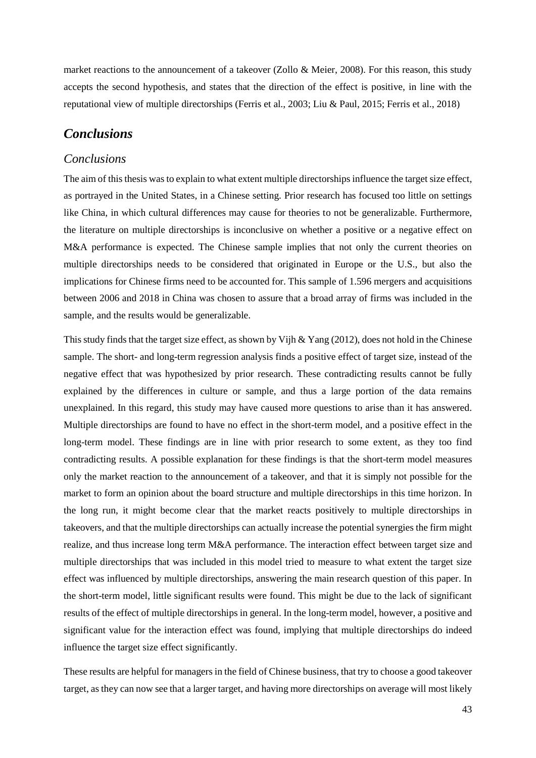market reactions to the announcement of a takeover (Zollo & Meier, 2008). For this reason, this study accepts the second hypothesis, and states that the direction of the effect is positive, in line with the reputational view of multiple directorships (Ferris et al., 2003; Liu & Paul, 2015; Ferris et al., 2018)

# <span id="page-43-0"></span>*Conclusions*

# <span id="page-43-1"></span>*Conclusions*

The aim of this thesis was to explain to what extent multiple directorships influence the target size effect, as portrayed in the United States, in a Chinese setting. Prior research has focused too little on settings like China, in which cultural differences may cause for theories to not be generalizable. Furthermore, the literature on multiple directorships is inconclusive on whether a positive or a negative effect on M&A performance is expected. The Chinese sample implies that not only the current theories on multiple directorships needs to be considered that originated in Europe or the U.S., but also the implications for Chinese firms need to be accounted for. This sample of 1.596 mergers and acquisitions between 2006 and 2018 in China was chosen to assure that a broad array of firms was included in the sample, and the results would be generalizable.

This study finds that the target size effect, as shown by Vijh & Yang (2012), does not hold in the Chinese sample. The short- and long-term regression analysis finds a positive effect of target size, instead of the negative effect that was hypothesized by prior research. These contradicting results cannot be fully explained by the differences in culture or sample, and thus a large portion of the data remains unexplained. In this regard, this study may have caused more questions to arise than it has answered. Multiple directorships are found to have no effect in the short-term model, and a positive effect in the long-term model. These findings are in line with prior research to some extent, as they too find contradicting results. A possible explanation for these findings is that the short-term model measures only the market reaction to the announcement of a takeover, and that it is simply not possible for the market to form an opinion about the board structure and multiple directorships in this time horizon. In the long run, it might become clear that the market reacts positively to multiple directorships in takeovers, and that the multiple directorships can actually increase the potential synergies the firm might realize, and thus increase long term M&A performance. The interaction effect between target size and multiple directorships that was included in this model tried to measure to what extent the target size effect was influenced by multiple directorships, answering the main research question of this paper. In the short-term model, little significant results were found. This might be due to the lack of significant results of the effect of multiple directorships in general. In the long-term model, however, a positive and significant value for the interaction effect was found, implying that multiple directorships do indeed influence the target size effect significantly.

These results are helpful for managers in the field of Chinese business, that try to choose a good takeover target, as they can now see that a larger target, and having more directorships on average will most likely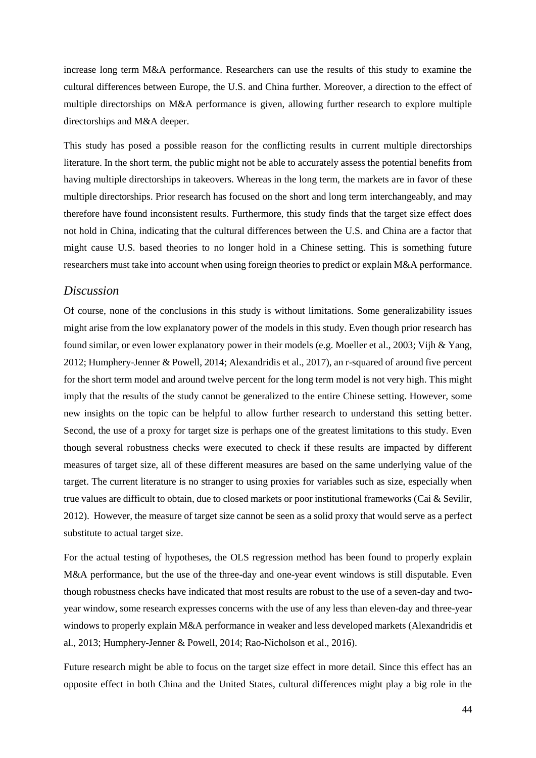increase long term M&A performance. Researchers can use the results of this study to examine the cultural differences between Europe, the U.S. and China further. Moreover, a direction to the effect of multiple directorships on M&A performance is given, allowing further research to explore multiple directorships and M&A deeper.

This study has posed a possible reason for the conflicting results in current multiple directorships literature. In the short term, the public might not be able to accurately assess the potential benefits from having multiple directorships in takeovers. Whereas in the long term, the markets are in favor of these multiple directorships. Prior research has focused on the short and long term interchangeably, and may therefore have found inconsistent results. Furthermore, this study finds that the target size effect does not hold in China, indicating that the cultural differences between the U.S. and China are a factor that might cause U.S. based theories to no longer hold in a Chinese setting. This is something future researchers must take into account when using foreign theories to predict or explain M&A performance.

#### <span id="page-44-0"></span>*Discussion*

Of course, none of the conclusions in this study is without limitations. Some generalizability issues might arise from the low explanatory power of the models in this study. Even though prior research has found similar, or even lower explanatory power in their models (e.g. Moeller et al., 2003; Vijh & Yang, 2012; Humphery-Jenner & Powell, 2014; Alexandridis et al., 2017), an r-squared of around five percent for the short term model and around twelve percent for the long term model is not very high. This might imply that the results of the study cannot be generalized to the entire Chinese setting. However, some new insights on the topic can be helpful to allow further research to understand this setting better. Second, the use of a proxy for target size is perhaps one of the greatest limitations to this study. Even though several robustness checks were executed to check if these results are impacted by different measures of target size, all of these different measures are based on the same underlying value of the target. The current literature is no stranger to using proxies for variables such as size, especially when true values are difficult to obtain, due to closed markets or poor institutional frameworks (Cai & Sevilir, 2012). However, the measure of target size cannot be seen as a solid proxy that would serve as a perfect substitute to actual target size.

For the actual testing of hypotheses, the OLS regression method has been found to properly explain M&A performance, but the use of the three-day and one-year event windows is still disputable. Even though robustness checks have indicated that most results are robust to the use of a seven-day and twoyear window, some research expresses concerns with the use of any less than eleven-day and three-year windows to properly explain M&A performance in weaker and less developed markets (Alexandridis et al., 2013; Humphery-Jenner & Powell, 2014; Rao-Nicholson et al., 2016).

Future research might be able to focus on the target size effect in more detail. Since this effect has an opposite effect in both China and the United States, cultural differences might play a big role in the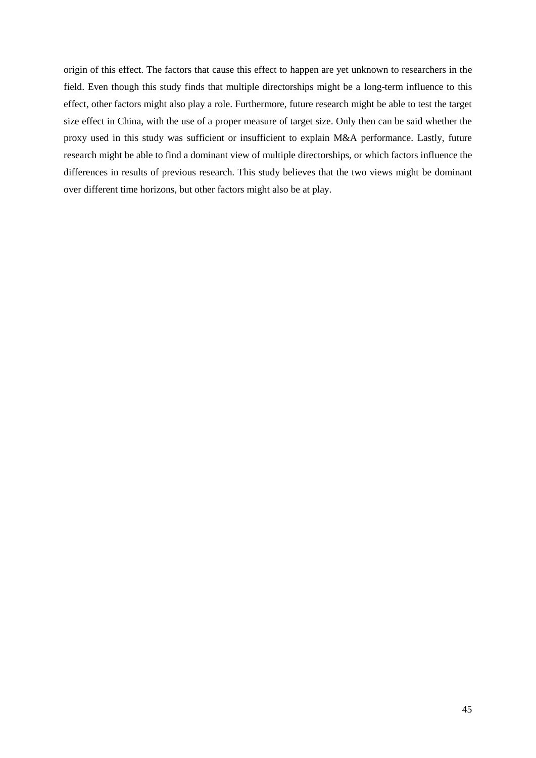origin of this effect. The factors that cause this effect to happen are yet unknown to researchers in the field. Even though this study finds that multiple directorships might be a long-term influence to this effect, other factors might also play a role. Furthermore, future research might be able to test the target size effect in China, with the use of a proper measure of target size. Only then can be said whether the proxy used in this study was sufficient or insufficient to explain M&A performance. Lastly, future research might be able to find a dominant view of multiple directorships, or which factors influence the differences in results of previous research. This study believes that the two views might be dominant over different time horizons, but other factors might also be at play.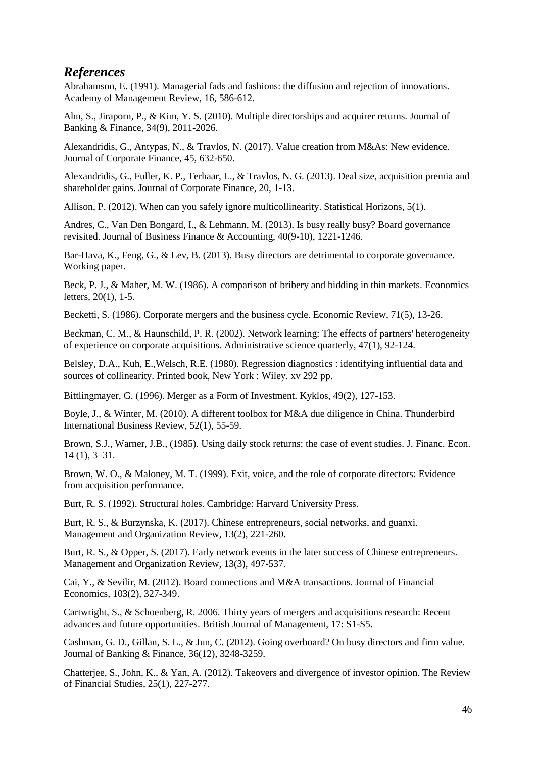# <span id="page-46-0"></span>*References*

Abrahamson, E. (1991). Managerial fads and fashions: the diffusion and rejection of innovations. Academy of Management Review, 16, 586-612.

Ahn, S., Jiraporn, P., & Kim, Y. S. (2010). Multiple directorships and acquirer returns. Journal of Banking & Finance, 34(9), 2011-2026.

Alexandridis, G., Antypas, N., & Travlos, N. (2017). Value creation from M&As: New evidence. Journal of Corporate Finance, 45, 632-650.

Alexandridis, G., Fuller, K. P., Terhaar, L., & Travlos, N. G. (2013). Deal size, acquisition premia and shareholder gains. Journal of Corporate Finance, 20, 1-13.

Allison, P. (2012). When can you safely ignore multicollinearity. Statistical Horizons, 5(1).

Andres, C., Van Den Bongard, I., & Lehmann, M. (2013). Is busy really busy? Board governance revisited. Journal of Business Finance & Accounting, 40(9-10), 1221-1246.

Bar-Hava, K., Feng, G., & Lev, B. (2013). Busy directors are detrimental to corporate governance. Working paper.

Beck, P. J., & Maher, M. W. (1986). A comparison of bribery and bidding in thin markets. Economics letters, 20(1), 1-5.

Becketti, S. (1986). Corporate mergers and the business cycle. Economic Review, 71(5), 13-26.

Beckman, C. M., & Haunschild, P. R. (2002). Network learning: The effects of partners' heterogeneity of experience on corporate acquisitions. Administrative science quarterly, 47(1), 92-124.

Belsley, D.A., Kuh, E.,Welsch, R.E. (1980). Regression diagnostics : identifying influential data and sources of collinearity. Printed book, New York : Wiley. xv 292 pp.

Bittlingmayer, G. (1996). Merger as a Form of Investment. Kyklos, 49(2), 127-153.

Boyle, J., & Winter, M. (2010). A different toolbox for M&A due diligence in China. Thunderbird International Business Review, 52(1), 55-59.

Brown, S.J., Warner, J.B., (1985). Using daily stock returns: the case of event studies. J. Financ. Econ. 14 (1), 3–31.

Brown, W. O., & Maloney, M. T. (1999). Exit, voice, and the role of corporate directors: Evidence from acquisition performance.

Burt, R. S. (1992). Structural holes. Cambridge: Harvard University Press.

Burt, R. S., & Burzynska, K. (2017). Chinese entrepreneurs, social networks, and guanxi. Management and Organization Review, 13(2), 221-260.

Burt, R. S., & Opper, S. (2017). Early network events in the later success of Chinese entrepreneurs. Management and Organization Review, 13(3), 497-537.

Cai, Y., & Sevilir, M. (2012). Board connections and M&A transactions. Journal of Financial Economics, 103(2), 327-349.

Cartwright, S., & Schoenberg, R. 2006. Thirty years of mergers and acquisitions research: Recent advances and future opportunities. British Journal of Management, 17: S1-S5.

Cashman, G. D., Gillan, S. L., & Jun, C. (2012). Going overboard? On busy directors and firm value. Journal of Banking & Finance, 36(12), 3248-3259.

Chatterjee, S., John, K., & Yan, A. (2012). Takeovers and divergence of investor opinion. The Review of Financial Studies, 25(1), 227-277.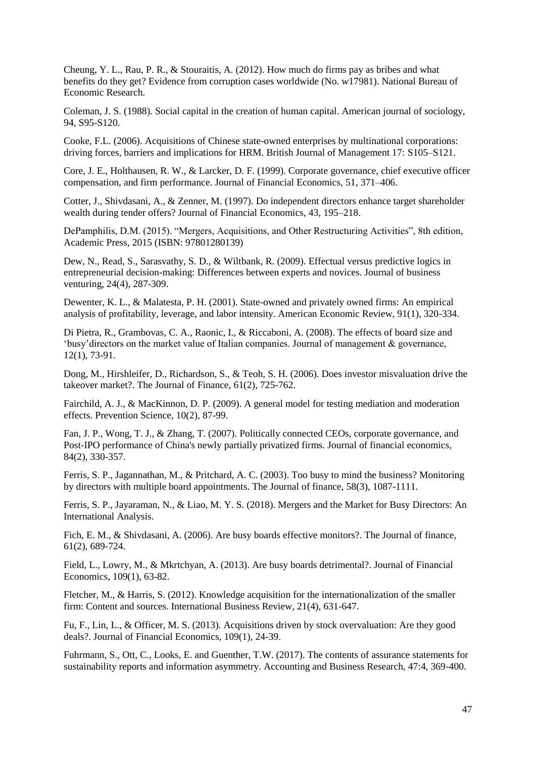Cheung, Y. L., Rau, P. R., & Stouraitis, A. (2012). How much do firms pay as bribes and what benefits do they get? Evidence from corruption cases worldwide (No. w17981). National Bureau of Economic Research.

Coleman, J. S. (1988). Social capital in the creation of human capital. American journal of sociology, 94, S95-S120.

Cooke, F.L. (2006). Acquisitions of Chinese state-owned enterprises by multinational corporations: driving forces, barriers and implications for HRM. British Journal of Management 17: S105–S121.

Core, J. E., Holthausen, R. W., & Larcker, D. F. (1999). Corporate governance, chief executive officer compensation, and firm performance. Journal of Financial Economics, 51, 371–406.

Cotter, J., Shivdasani, A., & Zenner, M. (1997). Do independent directors enhance target shareholder wealth during tender offers? Journal of Financial Economics, 43, 195–218.

DePamphilis, D.M. (2015). "Mergers, Acquisitions, and Other Restructuring Activities", 8th edition, Academic Press, 2015 (ISBN: 97801280139)

Dew, N., Read, S., Sarasvathy, S. D., & Wiltbank, R. (2009). Effectual versus predictive logics in entrepreneurial decision-making: Differences between experts and novices. Journal of business venturing, 24(4), 287-309.

Dewenter, K. L., & Malatesta, P. H. (2001). State-owned and privately owned firms: An empirical analysis of profitability, leverage, and labor intensity. American Economic Review, 91(1), 320-334.

Di Pietra, R., Grambovas, C. A., Raonic, I., & Riccaboni, A. (2008). The effects of board size and 'busy'directors on the market value of Italian companies. Journal of management & governance, 12(1), 73-91.

Dong, M., Hirshleifer, D., Richardson, S., & Teoh, S. H. (2006). Does investor misvaluation drive the takeover market?. The Journal of Finance, 61(2), 725-762.

Fairchild, A. J., & MacKinnon, D. P. (2009). A general model for testing mediation and moderation effects. Prevention Science, 10(2), 87-99.

Fan, J. P., Wong, T. J., & Zhang, T. (2007). Politically connected CEOs, corporate governance, and Post-IPO performance of China's newly partially privatized firms. Journal of financial economics, 84(2), 330-357.

Ferris, S. P., Jagannathan, M., & Pritchard, A. C. (2003). Too busy to mind the business? Monitoring by directors with multiple board appointments. The Journal of finance, 58(3), 1087-1111.

Ferris, S. P., Jayaraman, N., & Liao, M. Y. S. (2018). Mergers and the Market for Busy Directors: An International Analysis.

Fich, E. M., & Shivdasani, A. (2006). Are busy boards effective monitors?. The Journal of finance, 61(2), 689-724.

Field, L., Lowry, M., & Mkrtchyan, A. (2013). Are busy boards detrimental?. Journal of Financial Economics, 109(1), 63-82.

Fletcher, M., & Harris, S. (2012). Knowledge acquisition for the internationalization of the smaller firm: Content and sources. International Business Review, 21(4), 631-647.

Fu, F., Lin, L., & Officer, M. S. (2013). Acquisitions driven by stock overvaluation: Are they good deals?. Journal of Financial Economics, 109(1), 24-39.

Fuhrmann, S., Ott, C., Looks, E. and Guenther, T.W. (2017). The contents of assurance statements for sustainability reports and information asymmetry. Accounting and Business Research, 47:4, 369-400.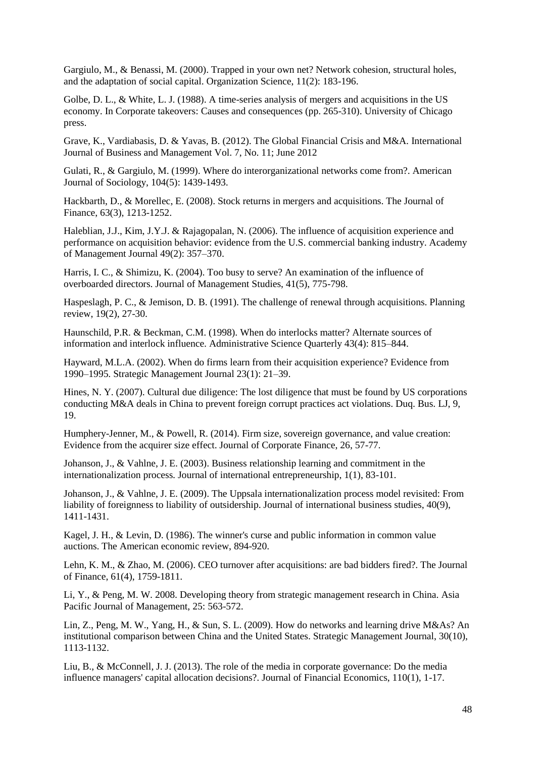Gargiulo, M., & Benassi, M. (2000). Trapped in your own net? Network cohesion, structural holes, and the adaptation of social capital. Organization Science, 11(2): 183-196.

Golbe, D. L., & White, L. J. (1988). A time-series analysis of mergers and acquisitions in the US economy. In Corporate takeovers: Causes and consequences (pp. 265-310). University of Chicago press.

Grave, K., Vardiabasis, D. & Yavas, B. (2012). The Global Financial Crisis and M&A. International Journal of Business and Management Vol. 7, No. 11; June 2012

Gulati, R., & Gargiulo, M. (1999). Where do interorganizational networks come from?. American Journal of Sociology, 104(5): 1439-1493.

Hackbarth, D., & Morellec, E. (2008). Stock returns in mergers and acquisitions. The Journal of Finance, 63(3), 1213-1252.

Haleblian, J.J., Kim, J.Y.J. & Rajagopalan, N. (2006). The influence of acquisition experience and performance on acquisition behavior: evidence from the U.S. commercial banking industry. Academy of Management Journal 49(2): 357–370.

Harris, I. C., & Shimizu, K. (2004). Too busy to serve? An examination of the influence of overboarded directors. Journal of Management Studies, 41(5), 775-798.

Haspeslagh, P. C., & Jemison, D. B. (1991). The challenge of renewal through acquisitions. Planning review, 19(2), 27-30.

Haunschild, P.R. & Beckman, C.M. (1998). When do interlocks matter? Alternate sources of information and interlock influence. Administrative Science Quarterly 43(4): 815–844.

Hayward, M.L.A. (2002). When do firms learn from their acquisition experience? Evidence from 1990–1995. Strategic Management Journal 23(1): 21–39.

Hines, N. Y. (2007). Cultural due diligence: The lost diligence that must be found by US corporations conducting M&A deals in China to prevent foreign corrupt practices act violations. Duq. Bus. LJ, 9, 19.

Humphery-Jenner, M., & Powell, R. (2014). Firm size, sovereign governance, and value creation: Evidence from the acquirer size effect. Journal of Corporate Finance, 26, 57-77.

Johanson, J., & Vahlne, J. E. (2003). Business relationship learning and commitment in the internationalization process. Journal of international entrepreneurship, 1(1), 83-101.

Johanson, J., & Vahlne, J. E. (2009). The Uppsala internationalization process model revisited: From liability of foreignness to liability of outsidership. Journal of international business studies, 40(9), 1411-1431.

Kagel, J. H., & Levin, D. (1986). The winner's curse and public information in common value auctions. The American economic review, 894-920.

Lehn, K. M., & Zhao, M. (2006). CEO turnover after acquisitions: are bad bidders fired?. The Journal of Finance, 61(4), 1759-1811.

Li, Y., & Peng, M. W. 2008. Developing theory from strategic management research in China. Asia Pacific Journal of Management, 25: 563-572.

Lin, Z., Peng, M. W., Yang, H., & Sun, S. L. (2009). How do networks and learning drive M&As? An institutional comparison between China and the United States. Strategic Management Journal, 30(10), 1113-1132.

Liu, B., & McConnell, J. J. (2013). The role of the media in corporate governance: Do the media influence managers' capital allocation decisions?. Journal of Financial Economics, 110(1), 1-17.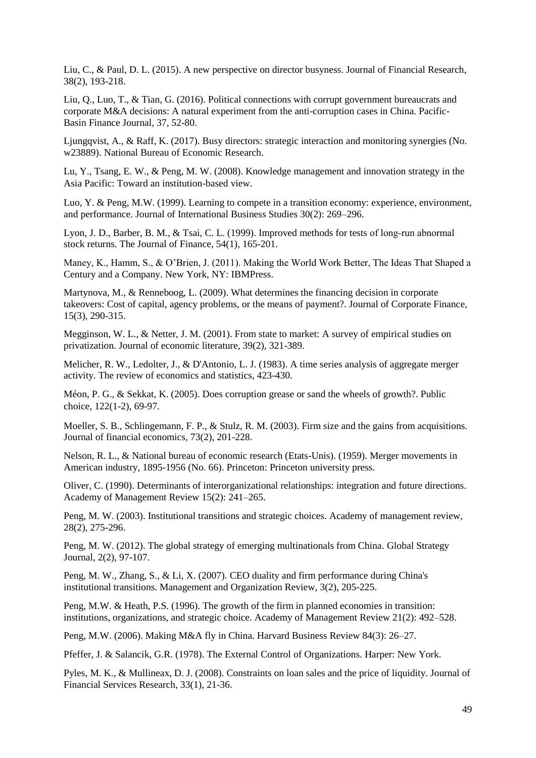Liu, C., & Paul, D. L. (2015). A new perspective on director busyness. Journal of Financial Research, 38(2), 193-218.

Liu, Q., Luo, T., & Tian, G. (2016). Political connections with corrupt government bureaucrats and corporate M&A decisions: A natural experiment from the anti-corruption cases in China. Pacific-Basin Finance Journal, 37, 52-80.

Ljungqvist, A., & Raff, K. (2017). Busy directors: strategic interaction and monitoring synergies (No. w23889). National Bureau of Economic Research.

Lu, Y., Tsang, E. W., & Peng, M. W. (2008). Knowledge management and innovation strategy in the Asia Pacific: Toward an institution-based view.

Luo, Y. & Peng, M.W. (1999). Learning to compete in a transition economy: experience, environment, and performance. Journal of International Business Studies 30(2): 269–296.

Lyon, J. D., Barber, B. M., & Tsai, C. L. (1999). Improved methods for tests of long-run abnormal stock returns. The Journal of Finance, 54(1), 165-201.

Maney, K., Hamm, S., & O'Brien, J. (2011). Making the World Work Better, The Ideas That Shaped a Century and a Company. New York, NY: IBMPress.

Martynova, M., & Renneboog, L. (2009). What determines the financing decision in corporate takeovers: Cost of capital, agency problems, or the means of payment?. Journal of Corporate Finance, 15(3), 290-315.

Megginson, W. L., & Netter, J. M. (2001). From state to market: A survey of empirical studies on privatization. Journal of economic literature, 39(2), 321-389.

Melicher, R. W., Ledolter, J., & D'Antonio, L. J. (1983). A time series analysis of aggregate merger activity. The review of economics and statistics, 423-430.

Méon, P. G., & Sekkat, K. (2005). Does corruption grease or sand the wheels of growth?. Public choice, 122(1-2), 69-97.

Moeller, S. B., Schlingemann, F. P., & Stulz, R. M. (2003). Firm size and the gains from acquisitions. Journal of financial economics, 73(2), 201-228.

Nelson, R. L., & National bureau of economic research (Etats-Unis). (1959). Merger movements in American industry, 1895-1956 (No. 66). Princeton: Princeton university press.

Oliver, C. (1990). Determinants of interorganizational relationships: integration and future directions. Academy of Management Review 15(2): 241–265.

Peng, M. W. (2003). Institutional transitions and strategic choices. Academy of management review, 28(2), 275-296.

Peng, M. W. (2012). The global strategy of emerging multinationals from China. Global Strategy Journal, 2(2), 97-107.

Peng, M. W., Zhang, S., & Li, X. (2007). CEO duality and firm performance during China's institutional transitions. Management and Organization Review, 3(2), 205-225.

Peng, M.W. & Heath, P.S. (1996). The growth of the firm in planned economies in transition: institutions, organizations, and strategic choice. Academy of Management Review 21(2): 492–528.

Peng, M.W. (2006). Making M&A fly in China. Harvard Business Review 84(3): 26–27.

Pfeffer, J. & Salancik, G.R. (1978). The External Control of Organizations. Harper: New York.

Pyles, M. K., & Mullineax, D. J. (2008). Constraints on loan sales and the price of liquidity. Journal of Financial Services Research, 33(1), 21-36.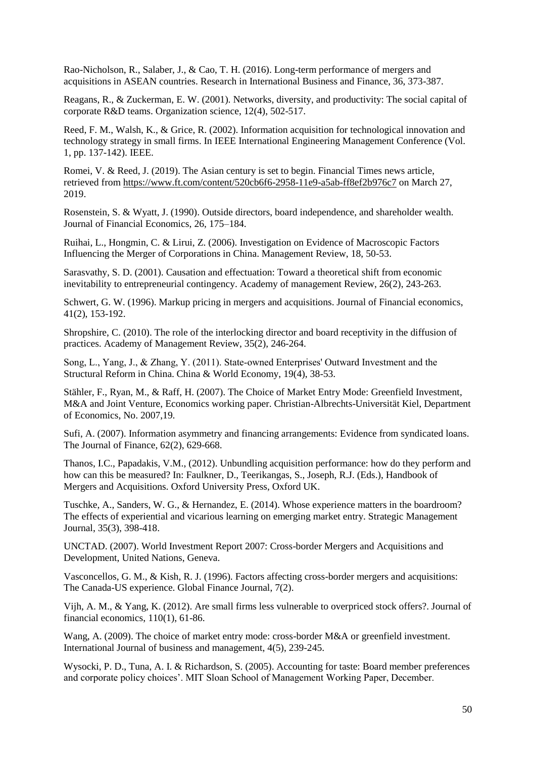Rao-Nicholson, R., Salaber, J., & Cao, T. H. (2016). Long-term performance of mergers and acquisitions in ASEAN countries. Research in International Business and Finance, 36, 373-387.

Reagans, R., & Zuckerman, E. W. (2001). Networks, diversity, and productivity: The social capital of corporate R&D teams. Organization science, 12(4), 502-517.

Reed, F. M., Walsh, K., & Grice, R. (2002). Information acquisition for technological innovation and technology strategy in small firms. In IEEE International Engineering Management Conference (Vol. 1, pp. 137-142). IEEE.

Romei, V. & Reed, J. (2019). The Asian century is set to begin. Financial Times news article, retrieved from<https://www.ft.com/content/520cb6f6-2958-11e9-a5ab-ff8ef2b976c7> on March 27, 2019.

Rosenstein, S. & Wyatt, J. (1990). Outside directors, board independence, and shareholder wealth. Journal of Financial Economics, 26, 175–184.

Ruihai, L., Hongmin, C. & Lirui, Z. (2006). Investigation on Evidence of Macroscopic Factors Influencing the Merger of Corporations in China. Management Review, 18, 50-53.

Sarasvathy, S. D. (2001). Causation and effectuation: Toward a theoretical shift from economic inevitability to entrepreneurial contingency. Academy of management Review, 26(2), 243-263.

Schwert, G. W. (1996). Markup pricing in mergers and acquisitions. Journal of Financial economics, 41(2), 153-192.

Shropshire, C. (2010). The role of the interlocking director and board receptivity in the diffusion of practices. Academy of Management Review, 35(2), 246-264.

Song, L., Yang, J., & Zhang, Y. (2011). State‐owned Enterprises' Outward Investment and the Structural Reform in China. China & World Economy, 19(4), 38-53.

Stähler, F., Ryan, M., & Raff, H. (2007). The Choice of Market Entry Mode: Greenfield Investment, M&A and Joint Venture, Economics working paper. Christian-Albrechts-Universität Kiel, Department of Economics, No. 2007,19.

Sufi, A. (2007). Information asymmetry and financing arrangements: Evidence from syndicated loans. The Journal of Finance, 62(2), 629-668.

Thanos, I.C., Papadakis, V.M., (2012). Unbundling acquisition performance: how do they perform and how can this be measured? In: Faulkner, D., Teerikangas, S., Joseph, R.J. (Eds.), Handbook of Mergers and Acquisitions. Oxford University Press, Oxford UK.

Tuschke, A., Sanders, W. G., & Hernandez, E. (2014). Whose experience matters in the boardroom? The effects of experiential and vicarious learning on emerging market entry. Strategic Management Journal, 35(3), 398-418.

UNCTAD. (2007). World Investment Report 2007: Cross-border Mergers and Acquisitions and Development, United Nations, Geneva.

Vasconcellos, G. M., & Kish, R. J. (1996). Factors affecting cross-border mergers and acquisitions: The Canada-US experience. Global Finance Journal, 7(2).

Vijh, A. M., & Yang, K. (2012). Are small firms less vulnerable to overpriced stock offers?. Journal of financial economics, 110(1), 61-86.

Wang, A. (2009). The choice of market entry mode: cross-border M&A or greenfield investment. International Journal of business and management, 4(5), 239-245.

Wysocki, P. D., Tuna, A. I. & Richardson, S. (2005). Accounting for taste: Board member preferences and corporate policy choices'. MIT Sloan School of Management Working Paper, December.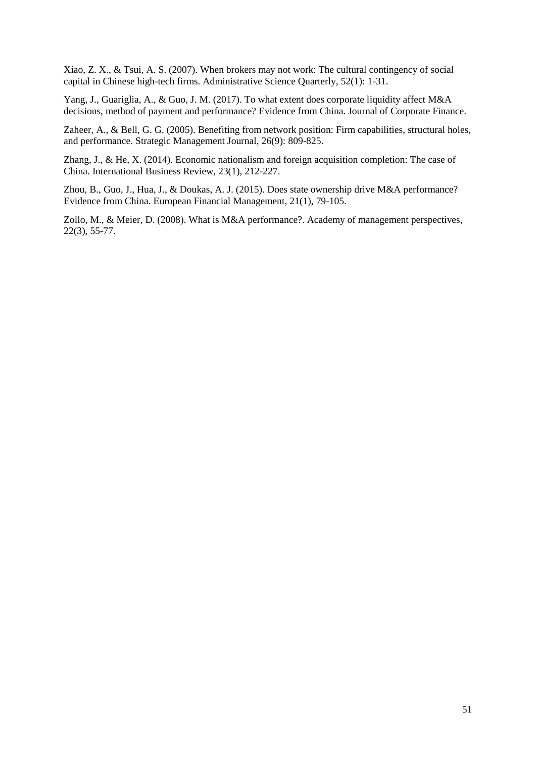Xiao, Z. X., & Tsui, A. S. (2007). When brokers may not work: The cultural contingency of social capital in Chinese high-tech firms. Administrative Science Quarterly, 52(1): 1-31.

Yang, J., Guariglia, A., & Guo, J. M. (2017). To what extent does corporate liquidity affect M&A decisions, method of payment and performance? Evidence from China. Journal of Corporate Finance.

Zaheer, A., & Bell, G. G. (2005). Benefiting from network position: Firm capabilities, structural holes, and performance. Strategic Management Journal, 26(9): 809-825.

Zhang, J., & He, X. (2014). Economic nationalism and foreign acquisition completion: The case of China. International Business Review, 23(1), 212-227.

Zhou, B., Guo, J., Hua, J., & Doukas, A. J. (2015). Does state ownership drive M&A performance? Evidence from China. European Financial Management, 21(1), 79-105.

Zollo, M., & Meier, D. (2008). What is M&A performance?. Academy of management perspectives, 22(3), 55-77.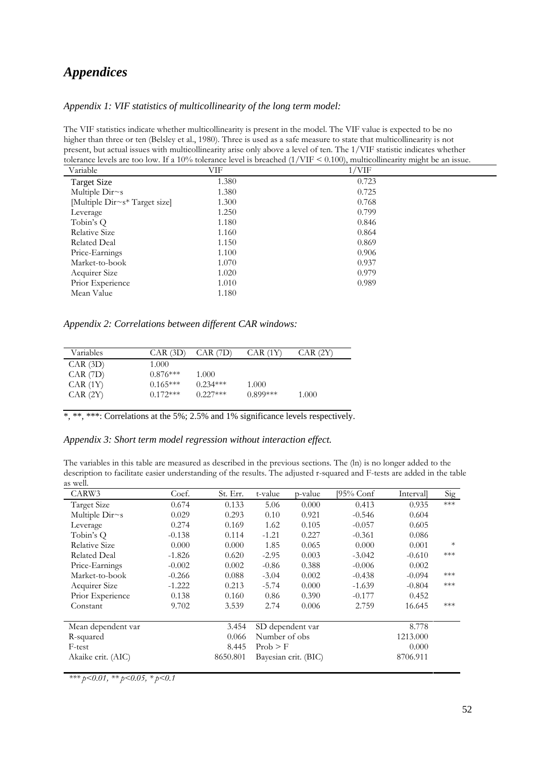# <span id="page-52-0"></span>*Appendices*

#### *Appendix 1: VIF statistics of multicollinearity of the long term model:*

The VIF statistics indicate whether multicollinearity is present in the model. The VIF value is expected to be no higher than three or ten (Belsley et al., 1980). Three is used as a safe measure to state that multicollinearity is not present, but actual issues with multicollinearity arise only above a level of ten. The 1/VIF statistic indicates whether tolerance levels are too low. If a 10% tolerance level is breached (1/VIF < 0.100), multicollinearity might be an issue.

| Variable                      | $\sqrt{ }$<br>VIF | $\sqrt{2}$<br>$1/\mathrm{VIF}$ |
|-------------------------------|-------------------|--------------------------------|
| <b>Target Size</b>            | 1.380             | 0.723                          |
| Multiple Dir~s                | 1.380             | 0.725                          |
| [Multiple Dir~s* Target size] | 1.300             | 0.768                          |
| Leverage                      | 1.250             | 0.799                          |
| Tobin's Q                     | 1.180             | 0.846                          |
| Relative Size                 | 1.160             | 0.864                          |
| Related Deal                  | 1.150             | 0.869                          |
| Price-Earnings                | 1.100             | 0.906                          |
| Market-to-book                | 1.070             | 0.937                          |
| Acquirer Size                 | 1.020             | 0.979                          |
| Prior Experience              | 1.010             | 0.989                          |
| Mean Value                    | 1.180             |                                |

*Appendix 2: Correlations between different CAR windows:*

| Variables    | $CAR$ (3D) | $CAR$ $(7D)$ | CAR (1Y)   | $CAR$ $(2Y)$ |
|--------------|------------|--------------|------------|--------------|
| $CAR$ (3D)   | 1.000      |              |            |              |
| $CAR$ $(7D)$ | $0.876***$ | 1.000        |            |              |
| CAR(1Y)      | $0.165***$ | $0.234***$   | 1.000      |              |
| CAR (2Y)     | $0.172***$ | $0.227***$   | $0.899***$ | 1.000        |
|              |            |              |            |              |

\*, \*\*\*. Correlations at the 5%; 2.5% and 1% significance levels respectively.

#### *Appendix 3: Short term model regression without interaction effect.*

The variables in this table are measured as described in the previous sections. The (ln) is no longer added to the description to facilitate easier understanding of the results. The adjusted r-squared and F-tests are added in the table as well.

| CARW3                | Coef.    | St. Err. | t-value       | p-value              | [95% Conf | <i>Intervall</i> | Sig    |
|----------------------|----------|----------|---------------|----------------------|-----------|------------------|--------|
| <b>Target Size</b>   | 0.674    | 0.133    | 5.06          | 0.000                | 0.413     | 0.935            | $***$  |
| Multiple Dir~s       | 0.029    | 0.293    | 0.10          | 0.921                | $-0.546$  | 0.604            |        |
| Leverage             | 0.274    | 0.169    | 1.62          | 0.105                | $-0.057$  | 0.605            |        |
| Tobin's Q            | $-0.138$ | 0.114    | $-1.21$       | 0.227                | $-0.361$  | 0.086            |        |
| <b>Relative Size</b> | 0.000    | 0.000    | 1.85          | 0.065                | 0.000     | 0.001            | $\ast$ |
| <b>Related Deal</b>  | $-1.826$ | 0.620    | $-2.95$       | 0.003                | $-3.042$  | $-0.610$         | ***    |
| Price-Earnings       | $-0.002$ | 0.002    | $-0.86$       | 0.388                | $-0.006$  | 0.002            |        |
| Market-to-book       | $-0.266$ | 0.088    | $-3.04$       | 0.002                | $-0.438$  | $-0.094$         | ***    |
| Acquirer Size        | $-1.222$ | 0.213    | $-5.74$       | 0.000                | $-1.639$  | $-0.804$         | ***    |
| Prior Experience     | 0.138    | 0.160    | 0.86          | 0.390                | $-0.177$  | 0.452            |        |
| Constant             | 9.702    | 3.539    | 2.74          | 0.006                | 2.759     | 16.645           | ***    |
| Mean dependent var   |          | 3.454    |               | SD dependent var     |           | 8.778            |        |
| R-squared            |          | 0.066    | Number of obs |                      |           | 1213.000         |        |
| F-test               |          | 8.445    | Prob > F      |                      |           | 0.000            |        |
| Akaike crit. (AIC)   |          | 8650.801 |               | Bayesian crit. (BIC) |           | 8706.911         |        |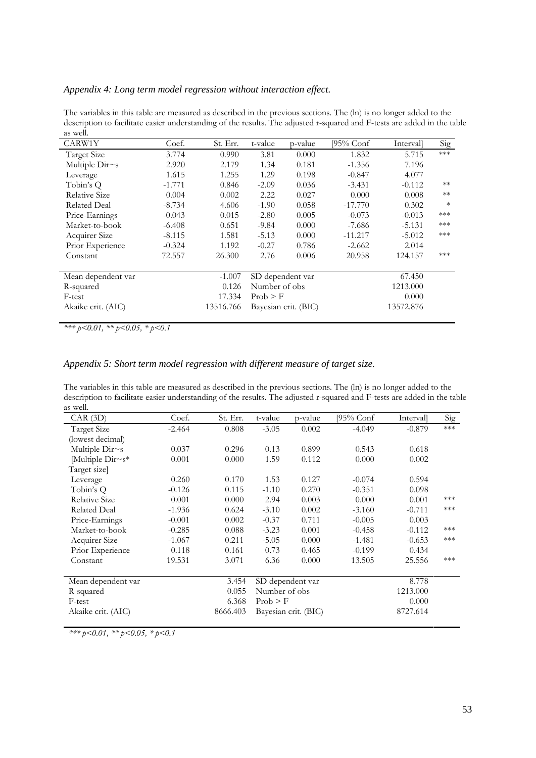*Appendix 4: Long term model regression without interaction effect.* 

The variables in this table are measured as described in the previous sections. The (ln) is no longer added to the description to facilitate easier understanding of the results. The adjusted r-squared and F-tests are added in the table as well.

| CARW1Y             | Coef.    | St. Err.  | t-value       | p-value              | [95% Conf | Intervall | Sig    |
|--------------------|----------|-----------|---------------|----------------------|-----------|-----------|--------|
| Target Size        | 3.774    | 0.990     | 3.81          | 0.000                | 1.832     | 5.715     | $***$  |
| Multiple Dir~s     | 2.920    | 2.179     | 1.34          | 0.181                | $-1.356$  | 7.196     |        |
| Leverage           | 1.615    | 1.255     | 1.29          | 0.198                | $-0.847$  | 4.077     |        |
| Tobin's Q          | $-1.771$ | 0.846     | $-2.09$       | 0.036                | $-3.431$  | $-0.112$  | $**$   |
| Relative Size      | 0.004    | 0.002     | 2.22          | 0.027                | 0.000     | 0.008     | $**$   |
| Related Deal       | $-8.734$ | 4.606     | $-1.90$       | 0.058                | $-17.770$ | 0.302     | $\ast$ |
| Price-Earnings     | $-0.043$ | 0.015     | $-2.80$       | 0.005                | $-0.073$  | $-0.013$  | ***    |
| Market-to-book     | $-6.408$ | 0.651     | $-9.84$       | 0.000                | $-7.686$  | $-5.131$  | ***    |
| Acquirer Size      | $-8.115$ | 1.581     | $-5.13$       | 0.000                | $-11.217$ | $-5.012$  | ***    |
| Prior Experience   | $-0.324$ | 1.192     | $-0.27$       | 0.786                | $-2.662$  | 2.014     |        |
| Constant           | 72.557   | 26.300    | 2.76          | 0.006                | 20.958    | 124.157   | ***    |
| Mean dependent var |          | $-1.007$  |               | SD dependent var     |           | 67.450    |        |
| R-squared          |          | 0.126     | Number of obs |                      |           | 1213.000  |        |
| F-test             |          | 17.334    | Prob > F      |                      |           | 0.000     |        |
| Akaike crit. (AIC) |          | 13516.766 |               | Bayesian crit. (BIC) |           | 13572.876 |        |
|                    |          |           |               |                      |           |           |        |

*\*\*\* p<0.01, \*\* p<0.05, \* p<0.1* 

#### *Appendix 5: Short term model regression with different measure of target size.*

The variables in this table are measured as described in the previous sections. The (ln) is no longer added to the description to facilitate easier understanding of the results. The adjusted r-squared and F-tests are added in the table as well.

| CAR(3D)              | Coef.    | St. Err. | t-value       | p-value              | [95% Conf | Interval | Sig   |
|----------------------|----------|----------|---------------|----------------------|-----------|----------|-------|
| <b>Target Size</b>   | $-2.464$ | 0.808    | $-3.05$       | 0.002                | $-4.049$  | $-0.879$ | $***$ |
| (lowest decimal)     |          |          |               |                      |           |          |       |
| Multiple Dir~s       | 0.037    | 0.296    | 0.13          | 0.899                | $-0.543$  | 0.618    |       |
| Multiple $Dirs*$     | 0.001    | 0.000    | 1.59          | 0.112                | 0.000     | 0.002    |       |
| Target size]         |          |          |               |                      |           |          |       |
| Leverage             | 0.260    | 0.170    | 1.53          | 0.127                | $-0.074$  | 0.594    |       |
| Tobin's O            | $-0.126$ | 0.115    | $-1.10$       | 0.270                | $-0.351$  | 0.098    |       |
| <b>Relative Size</b> | 0.001    | 0.000    | 2.94          | 0.003                | 0.000     | 0.001    | $***$ |
| <b>Related Deal</b>  | $-1.936$ | 0.624    | $-3.10$       | 0.002                | $-3.160$  | $-0.711$ | ***   |
| Price-Earnings       | $-0.001$ | 0.002    | $-0.37$       | 0.711                | $-0.005$  | 0.003    |       |
| Market-to-book       | $-0.285$ | 0.088    | $-3.23$       | 0.001                | $-0.458$  | $-0.112$ | ***   |
| Acquirer Size        | $-1.067$ | 0.211    | $-5.05$       | 0.000                | $-1.481$  | $-0.653$ | ***   |
| Prior Experience     | 0.118    | 0.161    | 0.73          | 0.465                | $-0.199$  | 0.434    |       |
| Constant             | 19.531   | 3.071    | 6.36          | 0.000                | 13.505    | 25.556   | ***   |
|                      |          |          |               |                      |           |          |       |
| Mean dependent var   |          | 3.454    |               | SD dependent var     |           | 8.778    |       |
| R-squared            |          | 0.055    | Number of obs |                      |           | 1213.000 |       |
| F-test               |          | 6.368    | Prob > F      |                      |           | 0.000    |       |
| Akaike crit. (AIC)   |          | 8666.403 |               | Bayesian crit. (BIC) |           | 8727.614 |       |
|                      |          |          |               |                      |           |          |       |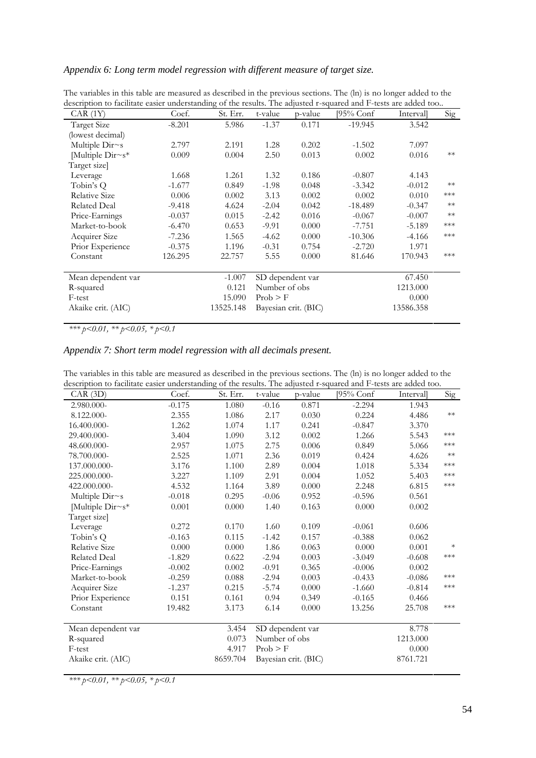#### *Appendix 6: Long term model regression with different measure of target size.*

| aescription to facilitate easier understanding of the results. The adjusted r-squared and F-tests are added too |          |           |               |                      |           |           |       |
|-----------------------------------------------------------------------------------------------------------------|----------|-----------|---------------|----------------------|-----------|-----------|-------|
| CAR (1Y)                                                                                                        | Coef.    | St. Err.  | t-value       | p-value              | [95% Conf | Intervall | Sig   |
| Target Size                                                                                                     | $-8.201$ | 5.986     | $-1.37$       | 0.171                | $-19.945$ | 3.542     |       |
| (lowest decimal)                                                                                                |          |           |               |                      |           |           |       |
| Multiple $Dirs$                                                                                                 | 2.797    | 2.191     | 1.28          | 0.202                | $-1.502$  | 7.097     |       |
| Multiple $Dirs*$                                                                                                | 0.009    | 0.004     | 2.50          | 0.013                | 0.002     | 0.016     | $**$  |
| Target size                                                                                                     |          |           |               |                      |           |           |       |
| Leverage                                                                                                        | 1.668    | 1.261     | 1.32          | 0.186                | $-0.807$  | 4.143     |       |
| Tobin's Q                                                                                                       | $-1.677$ | 0.849     | $-1.98$       | 0.048                | $-3.342$  | $-0.012$  | $**$  |
| Relative Size                                                                                                   | 0.006    | 0.002     | 3.13          | 0.002                | 0.002     | 0.010     | ***   |
| <b>Related Deal</b>                                                                                             | $-9.418$ | 4.624     | $-2.04$       | 0.042                | $-18.489$ | $-0.347$  | $**$  |
| Price-Earnings                                                                                                  | $-0.037$ | 0.015     | $-2.42$       | 0.016                | $-0.067$  | $-0.007$  | $**$  |
| Market-to-book                                                                                                  | $-6.470$ | 0.653     | $-9.91$       | 0.000                | $-7.751$  | $-5.189$  | ***   |
| Acquirer Size                                                                                                   | $-7.236$ | 1.565     | $-4.62$       | 0.000                | $-10.306$ | $-4.166$  | $***$ |
| Prior Experience                                                                                                | $-0.375$ | 1.196     | $-0.31$       | 0.754                | $-2.720$  | 1.971     |       |
| Constant                                                                                                        | 126.295  | 22.757    | 5.55          | 0.000                | 81.646    | 170.943   | ***   |
| Mean dependent var                                                                                              |          | $-1.007$  |               | SD dependent var     |           | 67.450    |       |
| R-squared                                                                                                       |          | 0.121     | Number of obs |                      |           | 1213.000  |       |
| F-test                                                                                                          |          | 15.090    | Prob > F      |                      |           | 0.000     |       |
| Akaike crit. (AIC)                                                                                              |          | 13525.148 |               | Bayesian crit. (BIC) |           | 13586.358 |       |

The variables in this table are measured as described in the previous sections. The (ln) is no longer added to the description to facilitate easier understanding of the results. The adjusted r-squared and F-tests are added too..

*\*\*\* p<0.01, \*\* p<0.05, \* p<0.1* 

#### *Appendix 7: Short term model regression with all decimals present.*

| description to facilitate easier understanding of the results. The adjusted r-squared and F-tests are added too. |          |          |               |                      |           |          |                         |  |  |  |
|------------------------------------------------------------------------------------------------------------------|----------|----------|---------------|----------------------|-----------|----------|-------------------------|--|--|--|
| CAR(3D)                                                                                                          | Coef.    | St. Err. | t-value       | p-value              | [95% Conf | Interval | $\overline{\text{Sig}}$ |  |  |  |
| 2.980.000-                                                                                                       | $-0.175$ | 1.080    | $-0.16$       | 0.871                | $-2.294$  | 1.943    |                         |  |  |  |
| 8.122.000-                                                                                                       | 2.355    | 1.086    | 2.17          | 0.030                | 0.224     | 4.486    | $\ast\ast$              |  |  |  |
| 16.400.000-                                                                                                      | 1.262    | 1.074    | 1.17          | 0.241                | $-0.847$  | 3.370    |                         |  |  |  |
| 29.400.000-                                                                                                      | 3.404    | 1.090    | 3.12          | 0.002                | 1.266     | 5.543    | ***                     |  |  |  |
| 48.600.000-                                                                                                      | 2.957    | 1.075    | 2.75          | 0.006                | 0.849     | 5.066    | $***$                   |  |  |  |
| 78.700.000-                                                                                                      | 2.525    | 1.071    | 2.36          | 0.019                | 0.424     | 4.626    | $\ast\ast$              |  |  |  |
| 137.000.000-                                                                                                     | 3.176    | 1.100    | 2.89          | 0.004                | 1.018     | 5.334    | $***$                   |  |  |  |
| 225.000.000-                                                                                                     | 3.227    | 1.109    | 2.91          | 0.004                | 1.052     | 5.403    | $***$                   |  |  |  |
| 422.000.000-                                                                                                     | 4.532    | 1.164    | 3.89          | 0.000                | 2.248     | 6.815    | $\ast\!\ast\!\ast$      |  |  |  |
| Multiple Dir~s                                                                                                   | $-0.018$ | 0.295    | $-0.06$       | 0.952                | $-0.596$  | 0.561    |                         |  |  |  |
| Multiple Dir~s*                                                                                                  | 0.001    | 0.000    | 1.40          | 0.163                | 0.000     | 0.002    |                         |  |  |  |
| Target size]                                                                                                     |          |          |               |                      |           |          |                         |  |  |  |
| Leverage                                                                                                         | 0.272    | 0.170    | 1.60          | 0.109                | $-0.061$  | 0.606    |                         |  |  |  |
| Tobin's Q                                                                                                        | $-0.163$ | 0.115    | $-1.42$       | 0.157                | $-0.388$  | 0.062    |                         |  |  |  |
| Relative Size                                                                                                    | 0.000    | 0.000    | 1.86          | 0.063                | 0.000     | 0.001    | $\ast$                  |  |  |  |
| <b>Related Deal</b>                                                                                              | $-1.829$ | 0.622    | $-2.94$       | 0.003                | $-3.049$  | $-0.608$ | $\ast\!\ast\!\ast$      |  |  |  |
| Price-Earnings                                                                                                   | $-0.002$ | 0.002    | $-0.91$       | 0.365                | $-0.006$  | 0.002    |                         |  |  |  |
| Market-to-book                                                                                                   | $-0.259$ | 0.088    | $-2.94$       | 0.003                | $-0.433$  | $-0.086$ | ***                     |  |  |  |
| Acquirer Size                                                                                                    | $-1.237$ | 0.215    | $-5.74$       | 0.000                | $-1.660$  | $-0.814$ | $\ast\!\ast\!\ast$      |  |  |  |
| Prior Experience                                                                                                 | 0.151    | 0.161    | 0.94          | 0.349                | $-0.165$  | 0.466    |                         |  |  |  |
| Constant                                                                                                         | 19.482   | 3.173    | 6.14          | 0.000                | 13.256    | 25.708   | ***                     |  |  |  |
| Mean dependent var                                                                                               |          | 3.454    |               | SD dependent var     |           | 8.778    |                         |  |  |  |
| R-squared                                                                                                        |          | 0.073    | Number of obs |                      |           | 1213.000 |                         |  |  |  |
| F-test                                                                                                           |          | 4.917    | Prob > F      |                      |           | 0.000    |                         |  |  |  |
| Akaike crit. (AIC)                                                                                               |          | 8659.704 |               | Bayesian crit. (BIC) |           | 8761.721 |                         |  |  |  |
|                                                                                                                  |          |          |               |                      |           |          |                         |  |  |  |

The variables in this table are measured as described in the previous sections. The (ln) is no longer added to the